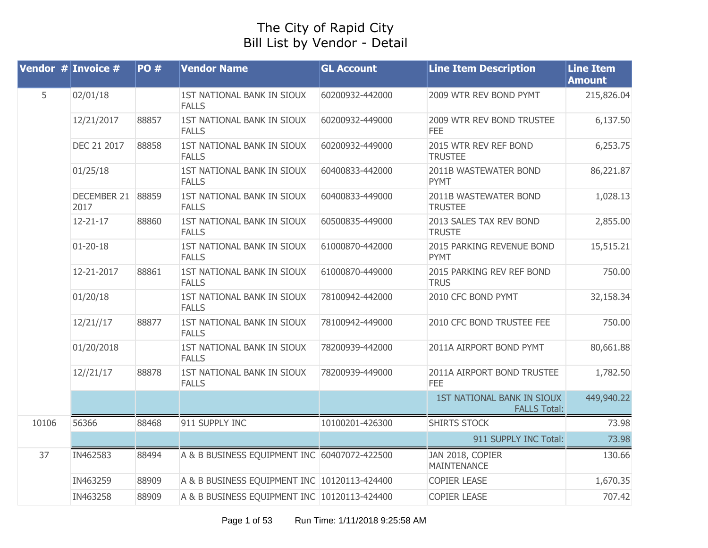## The City of Rapid City Bill List by Vendor - Detail

|       | Vendor $#$ Invoice $#$    | <b>PO#</b> | <b>Vendor Name</b>                           | <b>GL Account</b> | <b>Line Item Description</b>                      | <b>Line Item</b><br><b>Amount</b> |
|-------|---------------------------|------------|----------------------------------------------|-------------------|---------------------------------------------------|-----------------------------------|
| 5     | 02/01/18                  |            | 1ST NATIONAL BANK IN SIOUX<br><b>FALLS</b>   | 60200932-442000   | 2009 WTR REV BOND PYMT                            | 215,826.04                        |
|       | 12/21/2017                | 88857      | 1ST NATIONAL BANK IN SIOUX<br><b>FALLS</b>   | 60200932-449000   | 2009 WTR REV BOND TRUSTEE<br><b>FEE</b>           | 6,137.50                          |
|       | DEC 21 2017               | 88858      | 1ST NATIONAL BANK IN SIOUX<br><b>FALLS</b>   | 60200932-449000   | 2015 WTR REV REF BOND<br><b>TRUSTEE</b>           | 6,253.75                          |
|       | 01/25/18                  |            | 1ST NATIONAL BANK IN SIOUX<br><b>FALLS</b>   | 60400833-442000   | 2011B WASTEWATER BOND<br><b>PYMT</b>              | 86,221.87                         |
|       | DECEMBER 21 88859<br>2017 |            | 1ST NATIONAL BANK IN SIOUX<br><b>FALLS</b>   | 60400833-449000   | 2011B WASTEWATER BOND<br><b>TRUSTEE</b>           | 1,028.13                          |
|       | $12 - 21 - 17$            | 88860      | 1ST NATIONAL BANK IN SIOUX<br><b>FALLS</b>   | 60500835-449000   | 2013 SALES TAX REV BOND<br><b>TRUSTE</b>          | 2,855.00                          |
|       | $01 - 20 - 18$            |            | 1ST NATIONAL BANK IN SIOUX<br><b>FALLS</b>   | 61000870-442000   | 2015 PARKING REVENUE BOND<br><b>PYMT</b>          | 15,515.21                         |
|       | 12-21-2017                | 88861      | 1ST NATIONAL BANK IN SIOUX<br><b>FALLS</b>   | 61000870-449000   | 2015 PARKING REV REF BOND<br><b>TRUS</b>          | 750.00                            |
|       | 01/20/18                  |            | 1ST NATIONAL BANK IN SIOUX<br><b>FALLS</b>   | 78100942-442000   | 2010 CFC BOND PYMT                                | 32,158.34                         |
|       | 12/21//17                 | 88877      | 1ST NATIONAL BANK IN SIOUX<br><b>FALLS</b>   | 78100942-449000   | 2010 CFC BOND TRUSTEE FEE                         | 750.00                            |
|       | 01/20/2018                |            | 1ST NATIONAL BANK IN SIOUX<br><b>FALLS</b>   | 78200939-442000   | 2011A AIRPORT BOND PYMT                           | 80,661.88                         |
|       | 12//21/17                 | 88878      | 1ST NATIONAL BANK IN SIOUX<br><b>FALLS</b>   | 78200939-449000   | 2011A AIRPORT BOND TRUSTEE<br><b>FEE</b>          | 1,782.50                          |
|       |                           |            |                                              |                   | 1ST NATIONAL BANK IN SIOUX<br><b>FALLS Total:</b> | 449,940.22                        |
| 10106 | 56366                     | 88468      | 911 SUPPLY INC                               | 10100201-426300   | <b>SHIRTS STOCK</b>                               | 73.98                             |
|       |                           |            |                                              |                   | 911 SUPPLY INC Total:                             | 73.98                             |
| 37    | IN462583                  | 88494      | A & B BUSINESS EQUIPMENT INC 60407072-422500 |                   | JAN 2018, COPIER<br><b>MAINTENANCE</b>            | 130.66                            |
|       | IN463259                  | 88909      | A & B BUSINESS EQUIPMENT INC 10120113-424400 |                   | <b>COPIER LEASE</b>                               | 1,670.35                          |
|       | IN463258                  | 88909      | A & B BUSINESS EQUIPMENT INC 10120113-424400 |                   | <b>COPIER LEASE</b>                               | 707.42                            |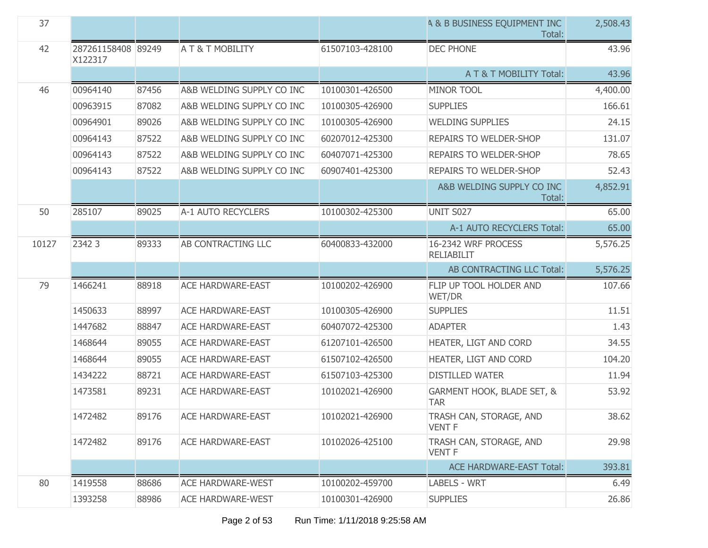| 37    |                               |       |                           |                 | <b>A &amp; B BUSINESS EQUIPMENT INC</b><br>Total: | 2,508.43 |
|-------|-------------------------------|-------|---------------------------|-----------------|---------------------------------------------------|----------|
| 42    | 287261158408 89249<br>X122317 |       | <b>AT&amp;TMOBILITY</b>   | 61507103-428100 | <b>DEC PHONE</b>                                  | 43.96    |
|       |                               |       |                           |                 | A T & T MOBILITY Total:                           | 43.96    |
| 46    | 00964140                      | 87456 | A&B WELDING SUPPLY CO INC | 10100301-426500 | <b>MINOR TOOL</b>                                 | 4,400.00 |
|       | 00963915                      | 87082 | A&B WELDING SUPPLY CO INC | 10100305-426900 | <b>SUPPLIES</b>                                   | 166.61   |
|       | 00964901                      | 89026 | A&B WELDING SUPPLY CO INC | 10100305-426900 | <b>WELDING SUPPLIES</b>                           | 24.15    |
|       | 00964143                      | 87522 | A&B WELDING SUPPLY CO INC | 60207012-425300 | <b>REPAIRS TO WELDER-SHOP</b>                     | 131.07   |
|       | 00964143                      | 87522 | A&B WELDING SUPPLY CO INC | 60407071-425300 | REPAIRS TO WELDER-SHOP                            | 78.65    |
|       | 00964143                      | 87522 | A&B WELDING SUPPLY CO INC | 60907401-425300 | REPAIRS TO WELDER-SHOP                            | 52.43    |
|       |                               |       |                           |                 | A&B WELDING SUPPLY CO INC<br>Total:               | 4,852.91 |
| 50    | 285107                        | 89025 | A-1 AUTO RECYCLERS        | 10100302-425300 | <b>UNIT S027</b>                                  | 65.00    |
|       |                               |       |                           |                 | A-1 AUTO RECYCLERS Total:                         | 65.00    |
| 10127 | 2342 3                        | 89333 | AB CONTRACTING LLC        | 60400833-432000 | 16-2342 WRF PROCESS<br><b>RELIABILIT</b>          | 5,576.25 |
|       |                               |       |                           |                 | AB CONTRACTING LLC Total:                         | 5,576.25 |
|       |                               |       |                           |                 |                                                   |          |
| 79    | 1466241                       | 88918 | <b>ACE HARDWARE-EAST</b>  | 10100202-426900 | FLIP UP TOOL HOLDER AND<br>WET/DR                 | 107.66   |
|       | 1450633                       | 88997 | <b>ACE HARDWARE-EAST</b>  | 10100305-426900 | <b>SUPPLIES</b>                                   | 11.51    |
|       | 1447682                       | 88847 | <b>ACE HARDWARE-EAST</b>  | 60407072-425300 | <b>ADAPTER</b>                                    | 1.43     |
|       | 1468644                       | 89055 | <b>ACE HARDWARE-EAST</b>  | 61207101-426500 | HEATER, LIGT AND CORD                             | 34.55    |
|       | 1468644                       | 89055 | <b>ACE HARDWARE-EAST</b>  | 61507102-426500 | HEATER, LIGT AND CORD                             | 104.20   |
|       | 1434222                       | 88721 | <b>ACE HARDWARE-EAST</b>  | 61507103-425300 | <b>DISTILLED WATER</b>                            | 11.94    |
|       | 1473581                       | 89231 | <b>ACE HARDWARE-EAST</b>  | 10102021-426900 | GARMENT HOOK, BLADE SET, &<br><b>TAR</b>          | 53.92    |
|       | 1472482                       | 89176 | ACE HARDWARE-EAST         | 10102021-426900 | TRASH CAN, STORAGE, AND<br><b>VENT F</b>          | 38.62    |
|       | 1472482                       | 89176 | <b>ACE HARDWARE-EAST</b>  | 10102026-425100 | TRASH CAN, STORAGE, AND<br><b>VENT F</b>          | 29.98    |
|       |                               |       |                           |                 | <b>ACE HARDWARE-EAST Total:</b>                   | 393.81   |
| 80    | 1419558                       | 88686 | <b>ACE HARDWARE-WEST</b>  | 10100202-459700 | <b>LABELS - WRT</b>                               | 6.49     |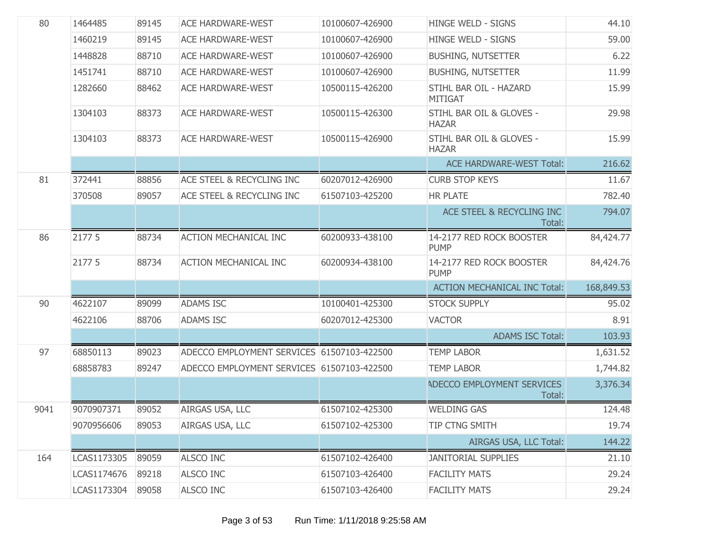| 80   | 1464485     | 89145 | <b>ACE HARDWARE-WEST</b>                   | 10100607-426900 | <b>HINGE WELD - SIGNS</b>                | 44.10      |
|------|-------------|-------|--------------------------------------------|-----------------|------------------------------------------|------------|
|      | 1460219     | 89145 | <b>ACE HARDWARE-WEST</b>                   | 10100607-426900 | <b>HINGE WELD - SIGNS</b>                | 59.00      |
|      | 1448828     | 88710 | <b>ACE HARDWARE-WEST</b>                   | 10100607-426900 | <b>BUSHING, NUTSETTER</b>                | 6.22       |
|      | 1451741     | 88710 | <b>ACE HARDWARE-WEST</b>                   | 10100607-426900 | <b>BUSHING, NUTSETTER</b>                | 11.99      |
|      | 1282660     | 88462 | <b>ACE HARDWARE-WEST</b>                   | 10500115-426200 | STIHL BAR OIL - HAZARD<br><b>MITIGAT</b> | 15.99      |
|      | 1304103     | 88373 | <b>ACE HARDWARE-WEST</b>                   | 10500115-426300 | STIHL BAR OIL & GLOVES -<br><b>HAZAR</b> | 29.98      |
|      | 1304103     | 88373 | <b>ACE HARDWARE-WEST</b>                   | 10500115-426900 | STIHL BAR OIL & GLOVES -<br><b>HAZAR</b> | 15.99      |
|      |             |       |                                            |                 | <b>ACE HARDWARE-WEST Total:</b>          | 216.62     |
| 81   | 372441      | 88856 | ACE STEEL & RECYCLING INC                  | 60207012-426900 | <b>CURB STOP KEYS</b>                    | 11.67      |
|      | 370508      | 89057 | ACE STEEL & RECYCLING INC                  | 61507103-425200 | <b>HR PLATE</b>                          | 782.40     |
|      |             |       |                                            |                 | ACE STEEL & RECYCLING INC<br>Total:      | 794.07     |
| 86   | 2177 5      | 88734 | <b>ACTION MECHANICAL INC</b>               | 60200933-438100 | 14-2177 RED ROCK BOOSTER<br><b>PUMP</b>  | 84,424.77  |
|      | 2177 5      | 88734 | <b>ACTION MECHANICAL INC</b>               | 60200934-438100 | 14-2177 RED ROCK BOOSTER<br><b>PUMP</b>  | 84,424.76  |
|      |             |       |                                            |                 | <b>ACTION MECHANICAL INC Total:</b>      | 168,849.53 |
| 90   | 4622107     | 89099 | <b>ADAMS ISC</b>                           | 10100401-425300 | <b>STOCK SUPPLY</b>                      | 95.02      |
|      | 4622106     | 88706 | <b>ADAMS ISC</b>                           | 60207012-425300 | <b>VACTOR</b>                            | 8.91       |
|      |             |       |                                            |                 | <b>ADAMS ISC Total:</b>                  | 103.93     |
| 97   | 68850113    | 89023 | ADECCO EMPLOYMENT SERVICES 61507103-422500 |                 | <b>TEMP LABOR</b>                        | 1,631.52   |
|      | 68858783    | 89247 | ADECCO EMPLOYMENT SERVICES 61507103-422500 |                 | <b>TEMP LABOR</b>                        | 1,744.82   |
|      |             |       |                                            |                 | ADECCO EMPLOYMENT SERVICES<br>Total:     | 3,376.34   |
| 9041 | 9070907371  | 89052 | AIRGAS USA, LLC                            | 61507102-425300 | <b>WELDING GAS</b>                       | 124.48     |
|      | 9070956606  | 89053 | AIRGAS USA, LLC                            | 61507102-425300 | TIP CTNG SMITH                           | 19.74      |
|      |             |       |                                            |                 | AIRGAS USA, LLC Total:                   | 144.22     |
| 164  | LCAS1173305 | 89059 | ALSCO INC                                  | 61507102-426400 | <b>JANITORIAL SUPPLIES</b>               | 21.10      |
|      | LCAS1174676 | 89218 | ALSCO INC                                  | 61507103-426400 | <b>FACILITY MATS</b>                     | 29.24      |
|      | LCAS1173304 | 89058 | ALSCO INC                                  | 61507103-426400 | <b>FACILITY MATS</b>                     | 29.24      |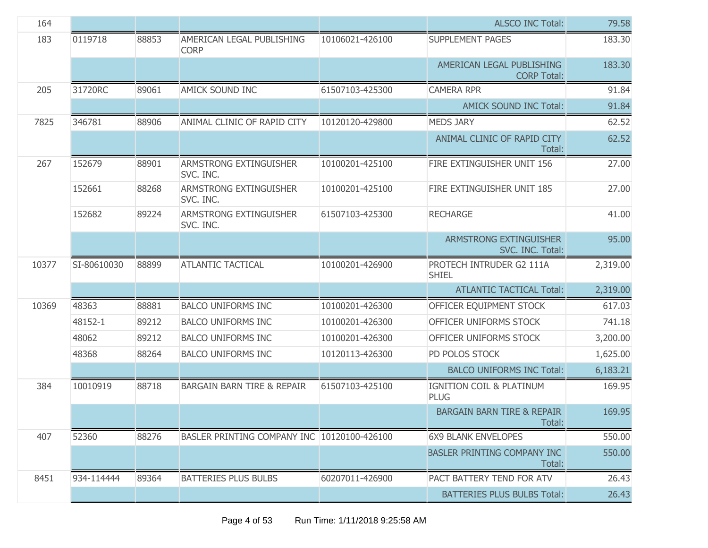| 164   |             |       |                                             |                 | <b>ALSCO INC Total:</b>                         | 79.58    |
|-------|-------------|-------|---------------------------------------------|-----------------|-------------------------------------------------|----------|
| 183   | 0119718     | 88853 | AMERICAN LEGAL PUBLISHING<br><b>CORP</b>    | 10106021-426100 | <b>SUPPLEMENT PAGES</b>                         | 183.30   |
|       |             |       |                                             |                 | AMERICAN LEGAL PUBLISHING<br><b>CORP Total:</b> | 183.30   |
| 205   | 31720RC     | 89061 | AMICK SOUND INC                             | 61507103-425300 | <b>CAMERA RPR</b>                               | 91.84    |
|       |             |       |                                             |                 | <b>AMICK SOUND INC Total:</b>                   | 91.84    |
| 7825  | 346781      | 88906 | ANIMAL CLINIC OF RAPID CITY                 | 10120120-429800 | <b>MEDS JARY</b>                                | 62.52    |
|       |             |       |                                             |                 | ANIMAL CLINIC OF RAPID CITY<br>Total:           | 62.52    |
| 267   | 152679      | 88901 | ARMSTRONG EXTINGUISHER<br>SVC. INC.         | 10100201-425100 | FIRE EXTINGUISHER UNIT 156                      | 27.00    |
|       | 152661      | 88268 | ARMSTRONG EXTINGUISHER<br>SVC. INC.         | 10100201-425100 | FIRE EXTINGUISHER UNIT 185                      | 27.00    |
|       | 152682      | 89224 | ARMSTRONG EXTINGUISHER<br>SVC. INC.         | 61507103-425300 | <b>RECHARGE</b>                                 | 41.00    |
|       |             |       |                                             |                 | ARMSTRONG EXTINGUISHER<br>SVC. INC. Total:      | 95.00    |
| 10377 | SI-80610030 | 88899 | <b>ATLANTIC TACTICAL</b>                    | 10100201-426900 | PROTECH INTRUDER G2 111A<br><b>SHIEL</b>        | 2,319.00 |
|       |             |       |                                             |                 | <b>ATLANTIC TACTICAL Total:</b>                 | 2,319.00 |
| 10369 | 48363       | 88881 | <b>BALCO UNIFORMS INC</b>                   | 10100201-426300 | OFFICER EQUIPMENT STOCK                         | 617.03   |
|       | 48152-1     | 89212 | <b>BALCO UNIFORMS INC</b>                   | 10100201-426300 | OFFICER UNIFORMS STOCK                          | 741.18   |
|       | 48062       | 89212 | <b>BALCO UNIFORMS INC</b>                   | 10100201-426300 | OFFICER UNIFORMS STOCK                          | 3,200.00 |
|       | 48368       | 88264 | <b>BALCO UNIFORMS INC</b>                   | 10120113-426300 | PD POLOS STOCK                                  | 1,625.00 |
|       |             |       |                                             |                 | <b>BALCO UNIFORMS INC Total:</b>                | 6,183.21 |
| 384   | 10010919    | 88718 | <b>BARGAIN BARN TIRE &amp; REPAIR</b>       | 61507103-425100 | IGNITION COIL & PLATINUM<br><b>PLUG</b>         | 169.95   |
|       |             |       |                                             |                 | <b>BARGAIN BARN TIRE &amp; REPAIR</b><br>Total: | 169.95   |
| 407   | 52360       | 88276 | BASLER PRINTING COMPANY INC 10120100-426100 |                 | <b>6X9 BLANK ENVELOPES</b>                      | 550.00   |
|       |             |       |                                             |                 | BASLER PRINTING COMPANY INC<br>Total:           | 550.00   |
| 8451  | 934-114444  | 89364 | <b>BATTERIES PLUS BULBS</b>                 | 60207011-426900 | PACT BATTERY TEND FOR ATV                       | 26.43    |
|       |             |       |                                             |                 | <b>BATTERIES PLUS BULBS Total:</b>              | 26.43    |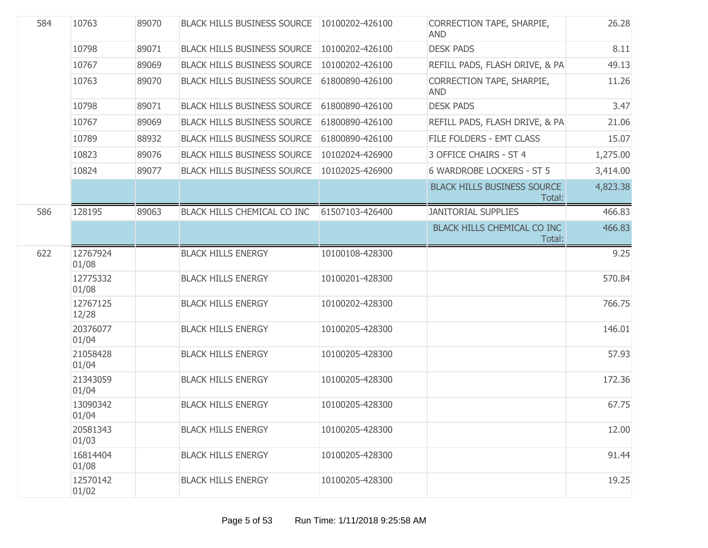| 584 | 10763             | 89070 | <b>BLACK HILLS BUSINESS SOURCE</b> | 10100202-426100 | CORRECTION TAPE, SHARPIE,<br><b>AND</b>      | 26.28    |
|-----|-------------------|-------|------------------------------------|-----------------|----------------------------------------------|----------|
|     | 10798             | 89071 | <b>BLACK HILLS BUSINESS SOURCE</b> | 10100202-426100 | <b>DESK PADS</b>                             | 8.11     |
|     | 10767             | 89069 | <b>BLACK HILLS BUSINESS SOURCE</b> | 10100202-426100 | REFILL PADS, FLASH DRIVE, & PA               | 49.13    |
|     | 10763             | 89070 | <b>BLACK HILLS BUSINESS SOURCE</b> | 61800890-426100 | CORRECTION TAPE, SHARPIE,<br><b>AND</b>      | 11.26    |
|     | 10798             | 89071 | <b>BLACK HILLS BUSINESS SOURCE</b> | 61800890-426100 | <b>DESK PADS</b>                             | 3.47     |
|     | 10767             | 89069 | <b>BLACK HILLS BUSINESS SOURCE</b> | 61800890-426100 | REFILL PADS, FLASH DRIVE, & PA               | 21.06    |
|     | 10789             | 88932 | <b>BLACK HILLS BUSINESS SOURCE</b> | 61800890-426100 | FILE FOLDERS - EMT CLASS                     | 15.07    |
|     | 10823             | 89076 | <b>BLACK HILLS BUSINESS SOURCE</b> | 10102024-426900 | 3 OFFICE CHAIRS - ST 4                       | 1,275.00 |
|     | 10824             | 89077 | <b>BLACK HILLS BUSINESS SOURCE</b> | 10102025-426900 | <b>6 WARDROBE LOCKERS - ST 5</b>             | 3,414.00 |
|     |                   |       |                                    |                 | <b>BLACK HILLS BUSINESS SOURCE</b><br>Total: | 4,823.38 |
| 586 | 128195            | 89063 | BLACK HILLS CHEMICAL CO INC        | 61507103-426400 | <b>JANITORIAL SUPPLIES</b>                   | 466.83   |
|     |                   |       |                                    |                 | BLACK HILLS CHEMICAL CO INC<br>Total:        | 466.83   |
| 622 | 12767924<br>01/08 |       | <b>BLACK HILLS ENERGY</b>          | 10100108-428300 |                                              | 9.25     |
|     | 12775332<br>01/08 |       | <b>BLACK HILLS ENERGY</b>          | 10100201-428300 |                                              | 570.84   |
|     | 12767125<br>12/28 |       | <b>BLACK HILLS ENERGY</b>          | 10100202-428300 |                                              | 766.75   |
|     | 20376077<br>01/04 |       | <b>BLACK HILLS ENERGY</b>          | 10100205-428300 |                                              | 146.01   |
|     | 21058428<br>01/04 |       | <b>BLACK HILLS ENERGY</b>          | 10100205-428300 |                                              | 57.93    |
|     | 21343059<br>01/04 |       | <b>BLACK HILLS ENERGY</b>          | 10100205-428300 |                                              | 172.36   |
|     | 13090342<br>01/04 |       | <b>BLACK HILLS ENERGY</b>          | 10100205-428300 |                                              | 67.75    |
|     | 20581343<br>01/03 |       | <b>BLACK HILLS ENERGY</b>          | 10100205-428300 |                                              | 12.00    |
|     | 16814404<br>01/08 |       | <b>BLACK HILLS ENERGY</b>          | 10100205-428300 |                                              | 91.44    |
|     | 12570142<br>01/02 |       | <b>BLACK HILLS ENERGY</b>          | 10100205-428300 |                                              | 19.25    |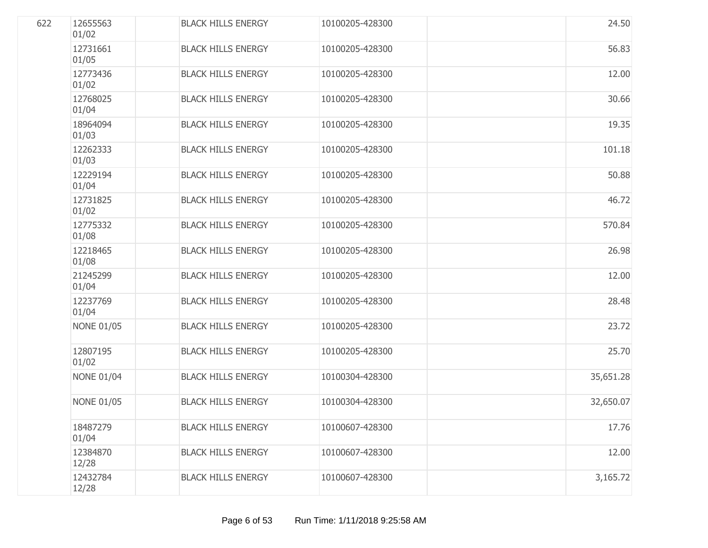| 622 | 12655563<br>01/02 | <b>BLACK HILLS ENERGY</b> | 10100205-428300 | 24.50     |
|-----|-------------------|---------------------------|-----------------|-----------|
|     | 12731661<br>01/05 | <b>BLACK HILLS ENERGY</b> | 10100205-428300 | 56.83     |
|     | 12773436<br>01/02 | <b>BLACK HILLS ENERGY</b> | 10100205-428300 | 12.00     |
|     | 12768025<br>01/04 | <b>BLACK HILLS ENERGY</b> | 10100205-428300 | 30.66     |
|     | 18964094<br>01/03 | <b>BLACK HILLS ENERGY</b> | 10100205-428300 | 19.35     |
|     | 12262333<br>01/03 | <b>BLACK HILLS ENERGY</b> | 10100205-428300 | 101.18    |
|     | 12229194<br>01/04 | <b>BLACK HILLS ENERGY</b> | 10100205-428300 | 50.88     |
|     | 12731825<br>01/02 | <b>BLACK HILLS ENERGY</b> | 10100205-428300 | 46.72     |
|     | 12775332<br>01/08 | <b>BLACK HILLS ENERGY</b> | 10100205-428300 | 570.84    |
|     | 12218465<br>01/08 | <b>BLACK HILLS ENERGY</b> | 10100205-428300 | 26.98     |
|     | 21245299<br>01/04 | <b>BLACK HILLS ENERGY</b> | 10100205-428300 | 12.00     |
|     | 12237769<br>01/04 | <b>BLACK HILLS ENERGY</b> | 10100205-428300 | 28.48     |
|     | <b>NONE 01/05</b> | <b>BLACK HILLS ENERGY</b> | 10100205-428300 | 23.72     |
|     | 12807195<br>01/02 | <b>BLACK HILLS ENERGY</b> | 10100205-428300 | 25.70     |
|     | <b>NONE 01/04</b> | <b>BLACK HILLS ENERGY</b> | 10100304-428300 | 35,651.28 |
|     | <b>NONE 01/05</b> | <b>BLACK HILLS ENERGY</b> | 10100304-428300 | 32,650.07 |
|     | 18487279<br>01/04 | <b>BLACK HILLS ENERGY</b> | 10100607-428300 | 17.76     |
|     | 12384870<br>12/28 | <b>BLACK HILLS ENERGY</b> | 10100607-428300 | 12.00     |
|     | 12432784<br>12/28 | <b>BLACK HILLS ENERGY</b> | 10100607-428300 | 3,165.72  |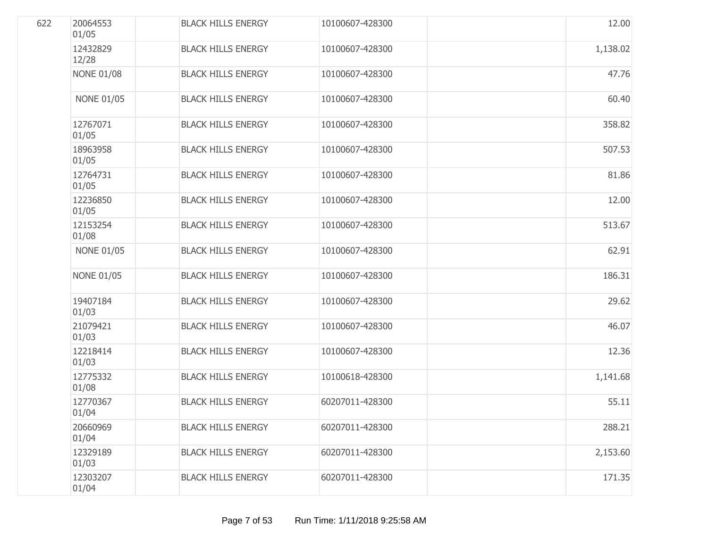| 622 | 20064553<br>01/05 | <b>BLACK HILLS ENERGY</b> | 10100607-428300 | 12.00    |
|-----|-------------------|---------------------------|-----------------|----------|
|     | 12432829<br>12/28 | <b>BLACK HILLS ENERGY</b> | 10100607-428300 | 1,138.02 |
|     | <b>NONE 01/08</b> | <b>BLACK HILLS ENERGY</b> | 10100607-428300 | 47.76    |
|     | <b>NONE 01/05</b> | <b>BLACK HILLS ENERGY</b> | 10100607-428300 | 60.40    |
|     | 12767071<br>01/05 | <b>BLACK HILLS ENERGY</b> | 10100607-428300 | 358.82   |
|     | 18963958<br>01/05 | <b>BLACK HILLS ENERGY</b> | 10100607-428300 | 507.53   |
|     | 12764731<br>01/05 | <b>BLACK HILLS ENERGY</b> | 10100607-428300 | 81.86    |
|     | 12236850<br>01/05 | <b>BLACK HILLS ENERGY</b> | 10100607-428300 | 12.00    |
|     | 12153254<br>01/08 | <b>BLACK HILLS ENERGY</b> | 10100607-428300 | 513.67   |
|     | <b>NONE 01/05</b> | <b>BLACK HILLS ENERGY</b> | 10100607-428300 | 62.91    |
|     | <b>NONE 01/05</b> | <b>BLACK HILLS ENERGY</b> | 10100607-428300 | 186.31   |
|     | 19407184<br>01/03 | <b>BLACK HILLS ENERGY</b> | 10100607-428300 | 29.62    |
|     | 21079421<br>01/03 | <b>BLACK HILLS ENERGY</b> | 10100607-428300 | 46.07    |
|     | 12218414<br>01/03 | <b>BLACK HILLS ENERGY</b> | 10100607-428300 | 12.36    |
|     | 12775332<br>01/08 | <b>BLACK HILLS ENERGY</b> | 10100618-428300 | 1,141.68 |
|     | 12770367<br>01/04 | <b>BLACK HILLS ENERGY</b> | 60207011-428300 | 55.11    |
|     | 20660969<br>01/04 | <b>BLACK HILLS ENERGY</b> | 60207011-428300 | 288.21   |
|     | 12329189<br>01/03 | <b>BLACK HILLS ENERGY</b> | 60207011-428300 | 2,153.60 |
|     | 12303207<br>01/04 | <b>BLACK HILLS ENERGY</b> | 60207011-428300 | 171.35   |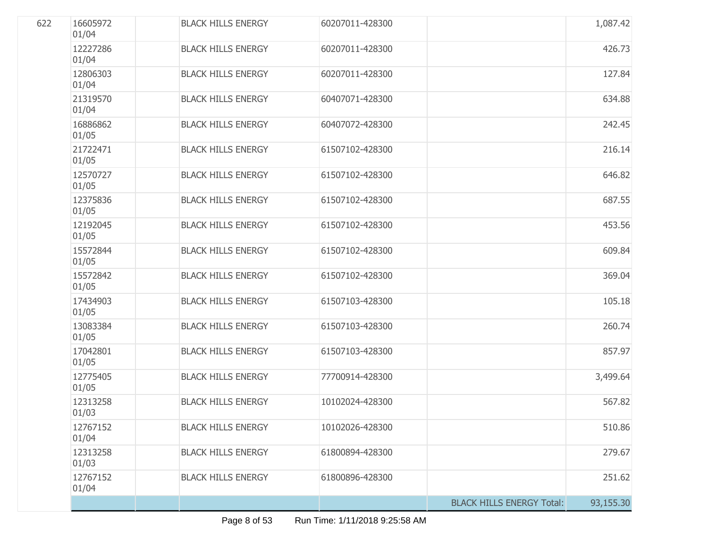| 622 | 16605972<br>01/04 | <b>BLACK HILLS ENERGY</b> | 60207011-428300 |                                  | 1,087.42  |
|-----|-------------------|---------------------------|-----------------|----------------------------------|-----------|
|     | 12227286<br>01/04 | <b>BLACK HILLS ENERGY</b> | 60207011-428300 |                                  | 426.73    |
|     | 12806303<br>01/04 | <b>BLACK HILLS ENERGY</b> | 60207011-428300 |                                  | 127.84    |
|     | 21319570<br>01/04 | <b>BLACK HILLS ENERGY</b> | 60407071-428300 |                                  | 634.88    |
|     | 16886862<br>01/05 | <b>BLACK HILLS ENERGY</b> | 60407072-428300 |                                  | 242.45    |
|     | 21722471<br>01/05 | <b>BLACK HILLS ENERGY</b> | 61507102-428300 |                                  | 216.14    |
|     | 12570727<br>01/05 | <b>BLACK HILLS ENERGY</b> | 61507102-428300 |                                  | 646.82    |
|     | 12375836<br>01/05 | <b>BLACK HILLS ENERGY</b> | 61507102-428300 |                                  | 687.55    |
|     | 12192045<br>01/05 | <b>BLACK HILLS ENERGY</b> | 61507102-428300 |                                  | 453.56    |
|     | 15572844<br>01/05 | <b>BLACK HILLS ENERGY</b> | 61507102-428300 |                                  | 609.84    |
|     | 15572842<br>01/05 | <b>BLACK HILLS ENERGY</b> | 61507102-428300 |                                  | 369.04    |
|     | 17434903<br>01/05 | <b>BLACK HILLS ENERGY</b> | 61507103-428300 |                                  | 105.18    |
|     | 13083384<br>01/05 | <b>BLACK HILLS ENERGY</b> | 61507103-428300 |                                  | 260.74    |
|     | 17042801<br>01/05 | <b>BLACK HILLS ENERGY</b> | 61507103-428300 |                                  | 857.97    |
|     | 12775405<br>01/05 | <b>BLACK HILLS ENERGY</b> | 77700914-428300 |                                  | 3,499.64  |
|     | 12313258<br>01/03 | <b>BLACK HILLS ENERGY</b> | 10102024-428300 |                                  | 567.82    |
|     | 12767152<br>01/04 | <b>BLACK HILLS ENERGY</b> | 10102026-428300 |                                  | 510.86    |
|     | 12313258<br>01/03 | <b>BLACK HILLS ENERGY</b> | 61800894-428300 |                                  | 279.67    |
|     | 12767152<br>01/04 | <b>BLACK HILLS ENERGY</b> | 61800896-428300 |                                  | 251.62    |
|     |                   |                           |                 | <b>BLACK HILLS ENERGY Total:</b> | 93,155.30 |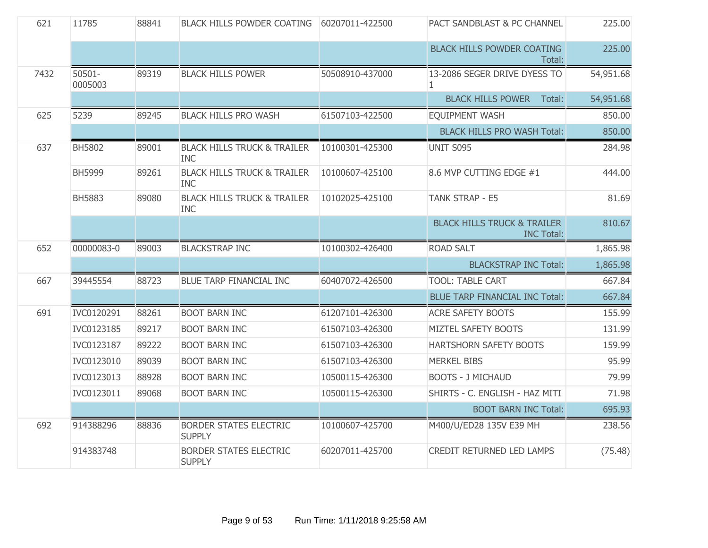| 621  | 11785                | 88841 | <b>BLACK HILLS POWDER COATING</b>                    | 60207011-422500 | PACT SANDBLAST & PC CHANNEL                                 | 225.00    |
|------|----------------------|-------|------------------------------------------------------|-----------------|-------------------------------------------------------------|-----------|
|      |                      |       |                                                      |                 | <b>BLACK HILLS POWDER COATING</b><br>Total:                 | 225.00    |
| 7432 | $50501 -$<br>0005003 | 89319 | <b>BLACK HILLS POWER</b>                             | 50508910-437000 | 13-2086 SEGER DRIVE DYESS TO<br>$\mathbf{1}$                | 54,951.68 |
|      |                      |       |                                                      |                 | <b>BLACK HILLS POWER</b><br>Total:                          | 54,951.68 |
| 625  | 5239                 | 89245 | <b>BLACK HILLS PRO WASH</b>                          | 61507103-422500 | <b>EQUIPMENT WASH</b>                                       | 850.00    |
|      |                      |       |                                                      |                 | <b>BLACK HILLS PRO WASH Total:</b>                          | 850.00    |
| 637  | BH5802               | 89001 | <b>BLACK HILLS TRUCK &amp; TRAILER</b><br><b>INC</b> | 10100301-425300 | UNIT S095                                                   | 284.98    |
|      | <b>BH5999</b>        | 89261 | <b>BLACK HILLS TRUCK &amp; TRAILER</b><br><b>INC</b> | 10100607-425100 | 8.6 MVP CUTTING EDGE #1                                     | 444.00    |
|      | <b>BH5883</b>        | 89080 | <b>BLACK HILLS TRUCK &amp; TRAILER</b><br><b>INC</b> | 10102025-425100 | TANK STRAP - E5                                             | 81.69     |
|      |                      |       |                                                      |                 | <b>BLACK HILLS TRUCK &amp; TRAILER</b><br><b>INC Total:</b> | 810.67    |
| 652  | 00000083-0           | 89003 | <b>BLACKSTRAP INC</b>                                | 10100302-426400 | <b>ROAD SALT</b>                                            | 1,865.98  |
|      |                      |       |                                                      |                 | <b>BLACKSTRAP INC Total:</b>                                | 1,865.98  |
| 667  | 39445554             | 88723 | <b>BLUE TARP FINANCIAL INC</b>                       | 60407072-426500 | <b>TOOL: TABLE CART</b>                                     | 667.84    |
|      |                      |       |                                                      |                 | <b>BLUE TARP FINANCIAL INC Total:</b>                       | 667.84    |
| 691  | IVC0120291           | 88261 | <b>BOOT BARN INC</b>                                 | 61207101-426300 | <b>ACRE SAFETY BOOTS</b>                                    | 155.99    |
|      | IVC0123185           | 89217 | <b>BOOT BARN INC</b>                                 | 61507103-426300 | MIZTEL SAFETY BOOTS                                         | 131.99    |
|      | IVC0123187           | 89222 | <b>BOOT BARN INC</b>                                 | 61507103-426300 | HARTSHORN SAFETY BOOTS                                      | 159.99    |
|      | IVC0123010           | 89039 | <b>BOOT BARN INC</b>                                 | 61507103-426300 | <b>MERKEL BIBS</b>                                          | 95.99     |
|      | IVC0123013           | 88928 | <b>BOOT BARN INC</b>                                 | 10500115-426300 | <b>BOOTS - J MICHAUD</b>                                    | 79.99     |
|      | IVC0123011           | 89068 | <b>BOOT BARN INC</b>                                 | 10500115-426300 | SHIRTS - C. ENGLISH - HAZ MITI                              | 71.98     |
|      |                      |       |                                                      |                 | <b>BOOT BARN INC Total:</b>                                 | 695.93    |
| 692  | 914388296            | 88836 | <b>BORDER STATES ELECTRIC</b><br><b>SUPPLY</b>       | 10100607-425700 | M400/U/ED28 135V E39 MH                                     | 238.56    |
|      | 914383748            |       | <b>BORDER STATES ELECTRIC</b><br><b>SUPPLY</b>       | 60207011-425700 | <b>CREDIT RETURNED LED LAMPS</b>                            | (75.48)   |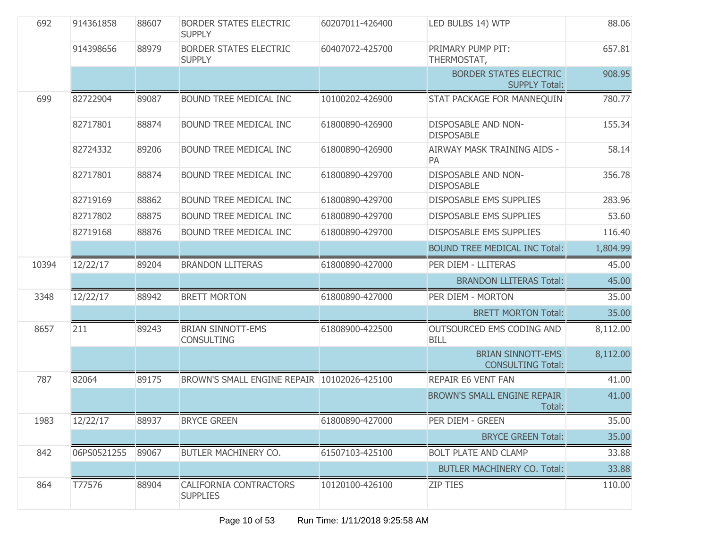| 692   | 914361858   | 88607 | <b>BORDER STATES ELECTRIC</b><br><b>SUPPLY</b>   | 60207011-426400 | LED BULBS 14) WTP                                    | 88.06    |
|-------|-------------|-------|--------------------------------------------------|-----------------|------------------------------------------------------|----------|
|       | 914398656   | 88979 | <b>BORDER STATES ELECTRIC</b><br><b>SUPPLY</b>   | 60407072-425700 | PRIMARY PUMP PIT:<br>THERMOSTAT,                     | 657.81   |
|       |             |       |                                                  |                 | BORDER STATES ELECTRIC<br><b>SUPPLY Total:</b>       | 908.95   |
| 699   | 82722904    | 89087 | BOUND TREE MEDICAL INC                           | 10100202-426900 | STAT PACKAGE FOR MANNEQUIN                           | 780.77   |
|       | 82717801    | 88874 | BOUND TREE MEDICAL INC                           | 61800890-426900 | <b>DISPOSABLE AND NON-</b><br><b>DISPOSABLE</b>      | 155.34   |
|       | 82724332    | 89206 | BOUND TREE MEDICAL INC                           | 61800890-426900 | AIRWAY MASK TRAINING AIDS -<br>PA                    | 58.14    |
|       | 82717801    | 88874 | BOUND TREE MEDICAL INC                           | 61800890-429700 | <b>DISPOSABLE AND NON-</b><br><b>DISPOSABLE</b>      | 356.78   |
|       | 82719169    | 88862 | BOUND TREE MEDICAL INC                           | 61800890-429700 | <b>DISPOSABLE EMS SUPPLIES</b>                       | 283.96   |
|       | 82717802    | 88875 | <b>BOUND TREE MEDICAL INC</b>                    | 61800890-429700 | <b>DISPOSABLE EMS SUPPLIES</b>                       | 53.60    |
|       | 82719168    | 88876 | BOUND TREE MEDICAL INC                           | 61800890-429700 | <b>DISPOSABLE EMS SUPPLIES</b>                       | 116.40   |
|       |             |       |                                                  |                 | <b>BOUND TREE MEDICAL INC Total:</b>                 | 1,804.99 |
| 10394 | 12/22/17    | 89204 | <b>BRANDON LLITERAS</b>                          | 61800890-427000 | PER DIEM - LLITERAS                                  | 45.00    |
|       |             |       |                                                  |                 | <b>BRANDON LLITERAS Total:</b>                       | 45.00    |
| 3348  | 12/22/17    | 88942 | <b>BRETT MORTON</b>                              | 61800890-427000 | PER DIEM - MORTON                                    | 35.00    |
|       |             |       |                                                  |                 | <b>BRETT MORTON Total:</b>                           | 35.00    |
| 8657  | 211         | 89243 | <b>BRIAN SINNOTT-EMS</b><br><b>CONSULTING</b>    | 61808900-422500 | OUTSOURCED EMS CODING AND<br><b>BILL</b>             | 8,112.00 |
|       |             |       |                                                  |                 | <b>BRIAN SINNOTT-EMS</b><br><b>CONSULTING Total:</b> | 8,112.00 |
| 787   | 82064       | 89175 | BROWN'S SMALL ENGINE REPAIR 10102026-425100      |                 | <b>REPAIR E6 VENT FAN</b>                            | 41.00    |
|       |             |       |                                                  |                 | <b>BROWN'S SMALL ENGINE REPAIR</b><br>Total:         | 41.00    |
| 1983  | 12/22/17    | 88937 | <b>BRYCE GREEN</b>                               | 61800890-427000 | PER DIEM - GREEN                                     | 35.00    |
|       |             |       |                                                  |                 | <b>BRYCE GREEN Total:</b>                            | 35.00    |
| 842   | 06PS0521255 | 89067 | <b>BUTLER MACHINERY CO.</b>                      | 61507103-425100 | <b>BOLT PLATE AND CLAMP</b>                          | 33.88    |
|       |             |       |                                                  |                 | <b>BUTLER MACHINERY CO. Total:</b>                   | 33.88    |
| 864   | T77576      | 88904 | <b>CALIFORNIA CONTRACTORS</b><br><b>SUPPLIES</b> | 10120100-426100 | <b>ZIP TIES</b>                                      | 110.00   |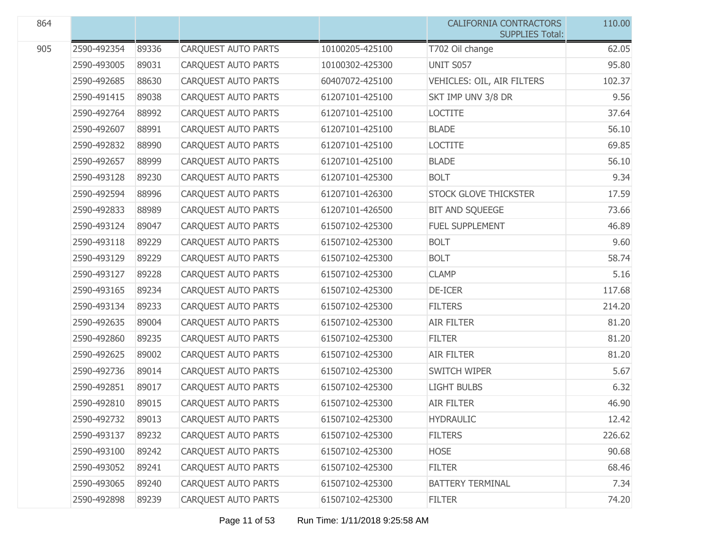| 864 |             |       |                            |                 | <b>CALIFORNIA CONTRACTORS</b><br><b>SUPPLIES Total:</b> | 110.00 |
|-----|-------------|-------|----------------------------|-----------------|---------------------------------------------------------|--------|
| 905 | 2590-492354 | 89336 | <b>CARQUEST AUTO PARTS</b> | 10100205-425100 | T702 Oil change                                         | 62.05  |
|     | 2590-493005 | 89031 | <b>CARQUEST AUTO PARTS</b> | 10100302-425300 | <b>UNIT S057</b>                                        | 95.80  |
|     | 2590-492685 | 88630 | CARQUEST AUTO PARTS        | 60407072-425100 | VEHICLES: OIL, AIR FILTERS                              | 102.37 |
|     | 2590-491415 | 89038 | CARQUEST AUTO PARTS        | 61207101-425100 | SKT IMP UNV 3/8 DR                                      | 9.56   |
|     | 2590-492764 | 88992 | CARQUEST AUTO PARTS        | 61207101-425100 | <b>LOCTITE</b>                                          | 37.64  |
|     | 2590-492607 | 88991 | <b>CARQUEST AUTO PARTS</b> | 61207101-425100 | <b>BLADE</b>                                            | 56.10  |
|     | 2590-492832 | 88990 | <b>CARQUEST AUTO PARTS</b> | 61207101-425100 | <b>LOCTITE</b>                                          | 69.85  |
|     | 2590-492657 | 88999 | CARQUEST AUTO PARTS        | 61207101-425100 | <b>BLADE</b>                                            | 56.10  |
|     | 2590-493128 | 89230 | CARQUEST AUTO PARTS        | 61207101-425300 | <b>BOLT</b>                                             | 9.34   |
|     | 2590-492594 | 88996 | CARQUEST AUTO PARTS        | 61207101-426300 | STOCK GLOVE THICKSTER                                   | 17.59  |
|     | 2590-492833 | 88989 | <b>CARQUEST AUTO PARTS</b> | 61207101-426500 | BIT AND SQUEEGE                                         | 73.66  |
|     | 2590-493124 | 89047 | CARQUEST AUTO PARTS        | 61507102-425300 | <b>FUEL SUPPLEMENT</b>                                  | 46.89  |
|     | 2590-493118 | 89229 | CARQUEST AUTO PARTS        | 61507102-425300 | <b>BOLT</b>                                             | 9.60   |
|     | 2590-493129 | 89229 | CARQUEST AUTO PARTS        | 61507102-425300 | <b>BOLT</b>                                             | 58.74  |
|     | 2590-493127 | 89228 | <b>CARQUEST AUTO PARTS</b> | 61507102-425300 | <b>CLAMP</b>                                            | 5.16   |
|     | 2590-493165 | 89234 | CARQUEST AUTO PARTS        | 61507102-425300 | DE-ICER                                                 | 117.68 |
|     | 2590-493134 | 89233 | CARQUEST AUTO PARTS        | 61507102-425300 | <b>FILTERS</b>                                          | 214.20 |
|     | 2590-492635 | 89004 | CARQUEST AUTO PARTS        | 61507102-425300 | <b>AIR FILTER</b>                                       | 81.20  |
|     | 2590-492860 | 89235 | CARQUEST AUTO PARTS        | 61507102-425300 | <b>FILTER</b>                                           | 81.20  |
|     | 2590-492625 | 89002 | CARQUEST AUTO PARTS        | 61507102-425300 | <b>AIR FILTER</b>                                       | 81.20  |
|     | 2590-492736 | 89014 | CARQUEST AUTO PARTS        | 61507102-425300 | SWITCH WIPER                                            | 5.67   |
|     | 2590-492851 | 89017 | CARQUEST AUTO PARTS        | 61507102-425300 | <b>LIGHT BULBS</b>                                      | 6.32   |
|     | 2590-492810 | 89015 | <b>CARQUEST AUTO PARTS</b> | 61507102-425300 | <b>AIR FILTER</b>                                       | 46.90  |
|     | 2590-492732 | 89013 | <b>CARQUEST AUTO PARTS</b> | 61507102-425300 | <b>HYDRAULIC</b>                                        | 12.42  |
|     | 2590-493137 | 89232 | <b>CARQUEST AUTO PARTS</b> | 61507102-425300 | <b>FILTERS</b>                                          | 226.62 |
|     | 2590-493100 | 89242 | CARQUEST AUTO PARTS        | 61507102-425300 | <b>HOSE</b>                                             | 90.68  |
|     | 2590-493052 | 89241 | CARQUEST AUTO PARTS        | 61507102-425300 | <b>FILTER</b>                                           | 68.46  |
|     | 2590-493065 | 89240 | <b>CARQUEST AUTO PARTS</b> | 61507102-425300 | <b>BATTERY TERMINAL</b>                                 | 7.34   |
|     | 2590-492898 | 89239 | CARQUEST AUTO PARTS        | 61507102-425300 | <b>FILTER</b>                                           | 74.20  |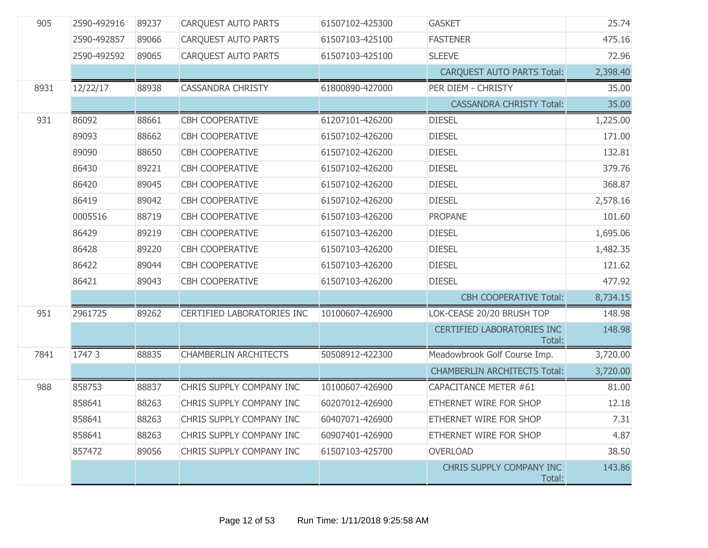| 905  | 2590-492916 | 89237 | <b>CARQUEST AUTO PARTS</b>   | 61507102-425300 | <b>GASKET</b>                               | 25.74    |
|------|-------------|-------|------------------------------|-----------------|---------------------------------------------|----------|
|      | 2590-492857 | 89066 | <b>CARQUEST AUTO PARTS</b>   | 61507103-425100 | <b>FASTENER</b>                             | 475.16   |
|      | 2590-492592 | 89065 | <b>CARQUEST AUTO PARTS</b>   | 61507103-425100 | <b>SLEEVE</b>                               | 72.96    |
|      |             |       |                              |                 | <b>CARQUEST AUTO PARTS Total:</b>           | 2,398.40 |
| 8931 | 12/22/17    | 88938 | <b>CASSANDRA CHRISTY</b>     | 61800890-427000 | PER DIEM - CHRISTY                          | 35.00    |
|      |             |       |                              |                 | <b>CASSANDRA CHRISTY Total:</b>             | 35.00    |
| 931  | 86092       | 88661 | CBH COOPERATIVE              | 61207101-426200 | <b>DIESEL</b>                               | 1,225.00 |
|      | 89093       | 88662 | <b>CBH COOPERATIVE</b>       | 61507102-426200 | <b>DIESEL</b>                               | 171.00   |
|      | 89090       | 88650 | <b>CBH COOPERATIVE</b>       | 61507102-426200 | <b>DIESEL</b>                               | 132.81   |
|      | 86430       | 89221 | <b>CBH COOPERATIVE</b>       | 61507102-426200 | <b>DIESEL</b>                               | 379.76   |
|      | 86420       | 89045 | <b>CBH COOPERATIVE</b>       | 61507102-426200 | <b>DIESEL</b>                               | 368.87   |
|      | 86419       | 89042 | <b>CBH COOPERATIVE</b>       | 61507102-426200 | <b>DIESEL</b>                               | 2,578.16 |
|      | 0005516     | 88719 | <b>CBH COOPERATIVE</b>       | 61507103-426200 | <b>PROPANE</b>                              | 101.60   |
|      | 86429       | 89219 | <b>CBH COOPERATIVE</b>       | 61507103-426200 | <b>DIESEL</b>                               | 1,695.06 |
|      | 86428       | 89220 | <b>CBH COOPERATIVE</b>       | 61507103-426200 | <b>DIESEL</b>                               | 1,482.35 |
|      | 86422       | 89044 | CBH COOPERATIVE              | 61507103-426200 | <b>DIESEL</b>                               | 121.62   |
|      | 86421       | 89043 | <b>CBH COOPERATIVE</b>       | 61507103-426200 | <b>DIESEL</b>                               | 477.92   |
|      |             |       |                              |                 | <b>CBH COOPERATIVE Total:</b>               | 8,734.15 |
| 951  | 2961725     | 89262 | CERTIFIED LABORATORIES INC   | 10100607-426900 | LOK-CEASE 20/20 BRUSH TOP                   | 148.98   |
|      |             |       |                              |                 | <b>CERTIFIED LABORATORIES INC</b><br>Total: | 148.98   |
| 7841 | 1747 3      | 88835 | <b>CHAMBERLIN ARCHITECTS</b> | 50508912-422300 | Meadowbrook Golf Course Imp.                | 3,720.00 |
|      |             |       |                              |                 | <b>CHAMBERLIN ARCHITECTS Total:</b>         | 3,720.00 |
| 988  | 858753      | 88837 | CHRIS SUPPLY COMPANY INC     | 10100607-426900 | CAPACITANCE METER #61                       | 81.00    |
|      | 858641      | 88263 | CHRIS SUPPLY COMPANY INC     | 60207012-426900 | ETHERNET WIRE FOR SHOP                      | 12.18    |
|      | 858641      | 88263 | CHRIS SUPPLY COMPANY INC     | 60407071-426900 | ETHERNET WIRE FOR SHOP                      | 7.31     |
|      | 858641      | 88263 | CHRIS SUPPLY COMPANY INC     | 60907401-426900 | ETHERNET WIRE FOR SHOP                      | 4.87     |
|      | 857472      | 89056 | CHRIS SUPPLY COMPANY INC     | 61507103-425700 | <b>OVERLOAD</b>                             | 38.50    |
|      |             |       |                              |                 | CHRIS SUPPLY COMPANY INC<br>Total:          | 143.86   |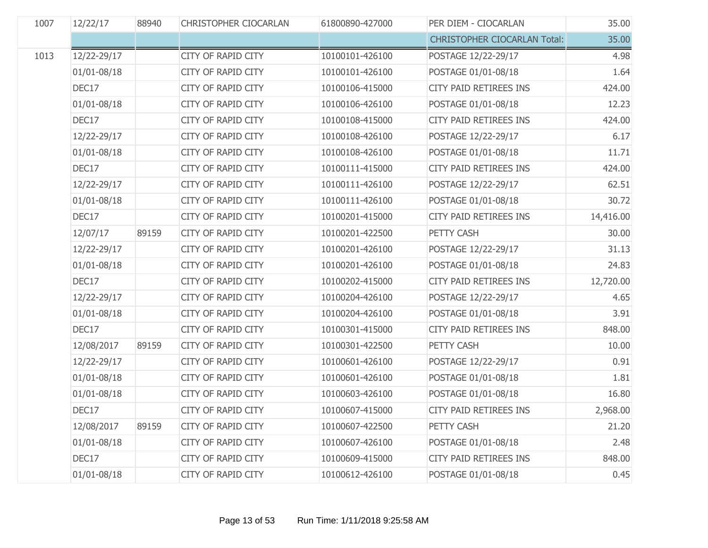| 1007 | 12/22/17        | 88940 | <b>CHRISTOPHER CIOCARLAN</b> | 61800890-427000 | PER DIEM - CIOCARLAN                | 35.00     |
|------|-----------------|-------|------------------------------|-----------------|-------------------------------------|-----------|
|      |                 |       |                              |                 | <b>CHRISTOPHER CIOCARLAN Total:</b> | 35.00     |
| 1013 | 12/22-29/17     |       | <b>CITY OF RAPID CITY</b>    | 10100101-426100 | POSTAGE 12/22-29/17                 | 4.98      |
|      | $01/01 - 08/18$ |       | CITY OF RAPID CITY           | 10100101-426100 | POSTAGE 01/01-08/18                 | 1.64      |
|      | DEC17           |       | <b>CITY OF RAPID CITY</b>    | 10100106-415000 | <b>CITY PAID RETIREES INS</b>       | 424.00    |
|      | 01/01-08/18     |       | CITY OF RAPID CITY           | 10100106-426100 | POSTAGE 01/01-08/18                 | 12.23     |
|      | DEC17           |       | <b>CITY OF RAPID CITY</b>    | 10100108-415000 | CITY PAID RETIREES INS              | 424.00    |
|      | 12/22-29/17     |       | CITY OF RAPID CITY           | 10100108-426100 | POSTAGE 12/22-29/17                 | 6.17      |
|      | $01/01 - 08/18$ |       | CITY OF RAPID CITY           | 10100108-426100 | POSTAGE 01/01-08/18                 | 11.71     |
|      | DEC17           |       | <b>CITY OF RAPID CITY</b>    | 10100111-415000 | <b>CITY PAID RETIREES INS</b>       | 424.00    |
|      | 12/22-29/17     |       | CITY OF RAPID CITY           | 10100111-426100 | POSTAGE 12/22-29/17                 | 62.51     |
|      | $01/01 - 08/18$ |       | CITY OF RAPID CITY           | 10100111-426100 | POSTAGE 01/01-08/18                 | 30.72     |
|      | DEC17           |       | CITY OF RAPID CITY           | 10100201-415000 | <b>CITY PAID RETIREES INS</b>       | 14,416.00 |
|      | 12/07/17        | 89159 | <b>CITY OF RAPID CITY</b>    | 10100201-422500 | PETTY CASH                          | 30.00     |
|      | 12/22-29/17     |       | CITY OF RAPID CITY           | 10100201-426100 | POSTAGE 12/22-29/17                 | 31.13     |
|      | $01/01 - 08/18$ |       | CITY OF RAPID CITY           | 10100201-426100 | POSTAGE 01/01-08/18                 | 24.83     |
|      | DEC17           |       | CITY OF RAPID CITY           | 10100202-415000 | CITY PAID RETIREES INS              | 12,720.00 |
|      | 12/22-29/17     |       | CITY OF RAPID CITY           | 10100204-426100 | POSTAGE 12/22-29/17                 | 4.65      |
|      | 01/01-08/18     |       | <b>CITY OF RAPID CITY</b>    | 10100204-426100 | POSTAGE 01/01-08/18                 | 3.91      |
|      | DEC17           |       | CITY OF RAPID CITY           | 10100301-415000 | CITY PAID RETIREES INS              | 848.00    |
|      | 12/08/2017      | 89159 | <b>CITY OF RAPID CITY</b>    | 10100301-422500 | PETTY CASH                          | 10.00     |
|      | 12/22-29/17     |       | CITY OF RAPID CITY           | 10100601-426100 | POSTAGE 12/22-29/17                 | 0.91      |
|      | $01/01 - 08/18$ |       | <b>CITY OF RAPID CITY</b>    | 10100601-426100 | POSTAGE 01/01-08/18                 | 1.81      |
|      | 01/01-08/18     |       | <b>CITY OF RAPID CITY</b>    | 10100603-426100 | POSTAGE 01/01-08/18                 | 16.80     |
|      | DEC17           |       | <b>CITY OF RAPID CITY</b>    | 10100607-415000 | <b>CITY PAID RETIREES INS</b>       | 2,968.00  |
|      | 12/08/2017      | 89159 | <b>CITY OF RAPID CITY</b>    | 10100607-422500 | PETTY CASH                          | 21.20     |
|      | $01/01 - 08/18$ |       | CITY OF RAPID CITY           | 10100607-426100 | POSTAGE 01/01-08/18                 | 2.48      |
|      | DEC17           |       | <b>CITY OF RAPID CITY</b>    | 10100609-415000 | <b>CITY PAID RETIREES INS</b>       | 848.00    |
|      | 01/01-08/18     |       | <b>CITY OF RAPID CITY</b>    | 10100612-426100 | POSTAGE 01/01-08/18                 | 0.45      |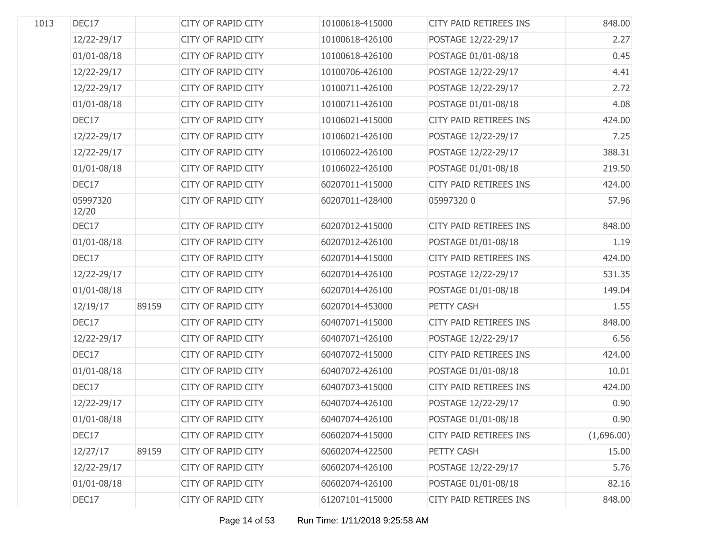| 1013 | DEC17             |       | <b>CITY OF RAPID CITY</b> | 10100618-415000 | CITY PAID RETIREES INS        | 848.00     |
|------|-------------------|-------|---------------------------|-----------------|-------------------------------|------------|
|      | 12/22-29/17       |       | CITY OF RAPID CITY        | 10100618-426100 | POSTAGE 12/22-29/17           | 2.27       |
|      | $01/01 - 08/18$   |       | <b>CITY OF RAPID CITY</b> | 10100618-426100 | POSTAGE 01/01-08/18           | 0.45       |
|      | 12/22-29/17       |       | CITY OF RAPID CITY        | 10100706-426100 | POSTAGE 12/22-29/17           | 4.41       |
|      | 12/22-29/17       |       | <b>CITY OF RAPID CITY</b> | 10100711-426100 | POSTAGE 12/22-29/17           | 2.72       |
|      | $01/01 - 08/18$   |       | CITY OF RAPID CITY        | 10100711-426100 | POSTAGE 01/01-08/18           | 4.08       |
|      | DEC17             |       | CITY OF RAPID CITY        | 10106021-415000 | <b>CITY PAID RETIREES INS</b> | 424.00     |
|      | 12/22-29/17       |       | CITY OF RAPID CITY        | 10106021-426100 | POSTAGE 12/22-29/17           | 7.25       |
|      | 12/22-29/17       |       | CITY OF RAPID CITY        | 10106022-426100 | POSTAGE 12/22-29/17           | 388.31     |
|      | $01/01 - 08/18$   |       | CITY OF RAPID CITY        | 10106022-426100 | POSTAGE 01/01-08/18           | 219.50     |
|      | DEC17             |       | <b>CITY OF RAPID CITY</b> | 60207011-415000 | CITY PAID RETIREES INS        | 424.00     |
|      | 05997320<br>12/20 |       | <b>CITY OF RAPID CITY</b> | 60207011-428400 | 059973200                     | 57.96      |
|      | DEC17             |       | CITY OF RAPID CITY        | 60207012-415000 | CITY PAID RETIREES INS        | 848.00     |
|      | 01/01-08/18       |       | CITY OF RAPID CITY        | 60207012-426100 | POSTAGE 01/01-08/18           | 1.19       |
|      | DEC17             |       | CITY OF RAPID CITY        | 60207014-415000 | CITY PAID RETIREES INS        | 424.00     |
|      | 12/22-29/17       |       | CITY OF RAPID CITY        | 60207014-426100 | POSTAGE 12/22-29/17           | 531.35     |
|      | 01/01-08/18       |       | CITY OF RAPID CITY        | 60207014-426100 | POSTAGE 01/01-08/18           | 149.04     |
|      | 12/19/17          | 89159 | CITY OF RAPID CITY        | 60207014-453000 | PETTY CASH                    | 1.55       |
|      | DEC17             |       | CITY OF RAPID CITY        | 60407071-415000 | CITY PAID RETIREES INS        | 848.00     |
|      | 12/22-29/17       |       | CITY OF RAPID CITY        | 60407071-426100 | POSTAGE 12/22-29/17           | 6.56       |
|      | DEC17             |       | CITY OF RAPID CITY        | 60407072-415000 | CITY PAID RETIREES INS        | 424.00     |
|      | 01/01-08/18       |       | CITY OF RAPID CITY        | 60407072-426100 | POSTAGE 01/01-08/18           | 10.01      |
|      | DEC17             |       | CITY OF RAPID CITY        | 60407073-415000 | CITY PAID RETIREES INS        | 424.00     |
|      | 12/22-29/17       |       | <b>CITY OF RAPID CITY</b> | 60407074-426100 | POSTAGE 12/22-29/17           | 0.90       |
|      | 01/01-08/18       |       | CITY OF RAPID CITY        | 60407074-426100 | POSTAGE 01/01-08/18           | 0.90       |
|      | DEC17             |       | CITY OF RAPID CITY        | 60602074-415000 | CITY PAID RETIREES INS        | (1,696.00) |
|      | 12/27/17          | 89159 | CITY OF RAPID CITY        | 60602074-422500 | PETTY CASH                    | 15.00      |
|      | 12/22-29/17       |       | CITY OF RAPID CITY        | 60602074-426100 | POSTAGE 12/22-29/17           | 5.76       |
|      | 01/01-08/18       |       | CITY OF RAPID CITY        | 60602074-426100 | POSTAGE 01/01-08/18           | 82.16      |
|      | DEC17             |       | CITY OF RAPID CITY        | 61207101-415000 | CITY PAID RETIREES INS        | 848.00     |
|      |                   |       |                           |                 |                               |            |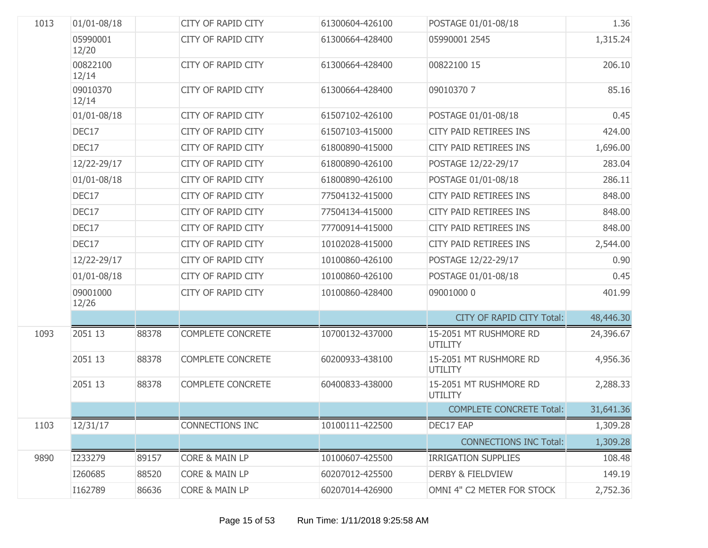| 1013 | $01/01 - 08/18$   |       | <b>CITY OF RAPID CITY</b> | 61300604-426100 | POSTAGE 01/01-08/18                      | 1.36      |
|------|-------------------|-------|---------------------------|-----------------|------------------------------------------|-----------|
|      | 05990001<br>12/20 |       | CITY OF RAPID CITY        | 61300664-428400 | 05990001 2545                            | 1,315.24  |
|      | 00822100<br>12/14 |       | CITY OF RAPID CITY        | 61300664-428400 | 00822100 15                              | 206.10    |
|      | 09010370<br>12/14 |       | <b>CITY OF RAPID CITY</b> | 61300664-428400 | 090103707                                | 85.16     |
|      | $01/01 - 08/18$   |       | <b>CITY OF RAPID CITY</b> | 61507102-426100 | POSTAGE 01/01-08/18                      | 0.45      |
|      | DEC17             |       | <b>CITY OF RAPID CITY</b> | 61507103-415000 | CITY PAID RETIREES INS                   | 424.00    |
|      | DEC17             |       | <b>CITY OF RAPID CITY</b> | 61800890-415000 | CITY PAID RETIREES INS                   | 1,696.00  |
|      | 12/22-29/17       |       | <b>CITY OF RAPID CITY</b> | 61800890-426100 | POSTAGE 12/22-29/17                      | 283.04    |
|      | $01/01 - 08/18$   |       | <b>CITY OF RAPID CITY</b> | 61800890-426100 | POSTAGE 01/01-08/18                      | 286.11    |
|      | DEC17             |       | <b>CITY OF RAPID CITY</b> | 77504132-415000 | CITY PAID RETIREES INS                   | 848.00    |
|      | DEC17             |       | <b>CITY OF RAPID CITY</b> | 77504134-415000 | CITY PAID RETIREES INS                   | 848.00    |
|      | DEC17             |       | <b>CITY OF RAPID CITY</b> | 77700914-415000 | CITY PAID RETIREES INS                   | 848.00    |
|      | DEC17             |       | <b>CITY OF RAPID CITY</b> | 10102028-415000 | CITY PAID RETIREES INS                   | 2,544.00  |
|      | 12/22-29/17       |       | <b>CITY OF RAPID CITY</b> | 10100860-426100 | POSTAGE 12/22-29/17                      | 0.90      |
|      | $01/01 - 08/18$   |       | <b>CITY OF RAPID CITY</b> | 10100860-426100 | POSTAGE 01/01-08/18                      | 0.45      |
|      | 09001000<br>12/26 |       | <b>CITY OF RAPID CITY</b> | 10100860-428400 | 09001000 0                               | 401.99    |
|      |                   |       |                           |                 | <b>CITY OF RAPID CITY Total:</b>         | 48,446.30 |
| 1093 | 2051 13           | 88378 | <b>COMPLETE CONCRETE</b>  | 10700132-437000 | 15-2051 MT RUSHMORE RD<br><b>UTILITY</b> | 24,396.67 |
|      | 2051 13           | 88378 | <b>COMPLETE CONCRETE</b>  | 60200933-438100 | 15-2051 MT RUSHMORE RD<br><b>UTILITY</b> | 4,956.36  |
|      | 2051 13           | 88378 | <b>COMPLETE CONCRETE</b>  | 60400833-438000 | 15-2051 MT RUSHMORE RD<br><b>UTILITY</b> | 2,288.33  |
|      |                   |       |                           |                 | <b>COMPLETE CONCRETE Total:</b>          | 31,641.36 |
| 1103 | 12/31/17          |       | CONNECTIONS INC           | 10100111-422500 | DEC17 EAP                                | 1,309.28  |
|      |                   |       |                           |                 | <b>CONNECTIONS INC Total:</b>            | 1,309.28  |
| 9890 | I233279           | 89157 | <b>CORE &amp; MAIN LP</b> | 10100607-425500 | <b>IRRIGATION SUPPLIES</b>               | 108.48    |
|      | I260685           | 88520 | <b>CORE &amp; MAIN LP</b> | 60207012-425500 | <b>DERBY &amp; FIELDVIEW</b>             | 149.19    |
|      | I162789           | 86636 | <b>CORE &amp; MAIN LP</b> | 60207014-426900 | OMNI 4" C2 METER FOR STOCK               | 2,752.36  |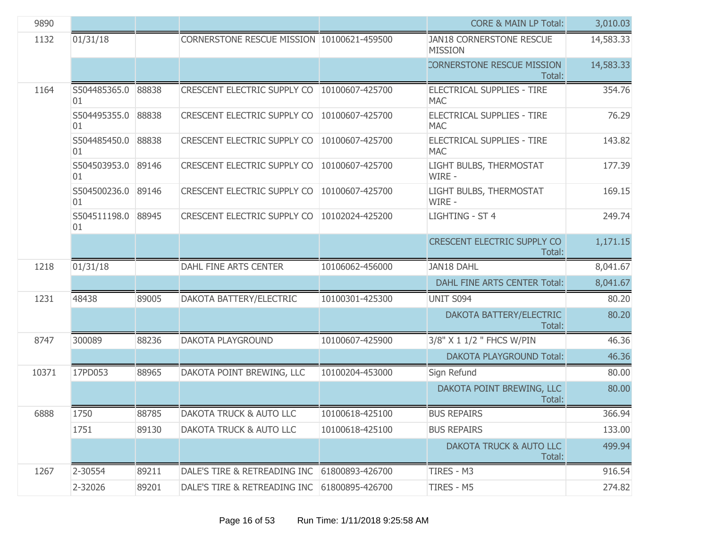| 9890  |                          |       |                                            |                 | <b>CORE &amp; MAIN LP Total:</b>                  | 3,010.03  |
|-------|--------------------------|-------|--------------------------------------------|-----------------|---------------------------------------------------|-----------|
| 1132  | 01/31/18                 |       | CORNERSTONE RESCUE MISSION 10100621-459500 |                 | <b>JAN18 CORNERSTONE RESCUE</b><br><b>MISSION</b> | 14,583.33 |
|       |                          |       |                                            |                 | CORNERSTONE RESCUE MISSION<br>Total:              | 14,583.33 |
| 1164  | S504485365.0<br>01       | 88838 | CRESCENT ELECTRIC SUPPLY CO                | 10100607-425700 | ELECTRICAL SUPPLIES - TIRE<br><b>MAC</b>          | 354.76    |
|       | S504495355.0<br>01       | 88838 | CRESCENT ELECTRIC SUPPLY CO                | 10100607-425700 | ELECTRICAL SUPPLIES - TIRE<br><b>MAC</b>          | 76.29     |
|       | S504485450.0<br>01       | 88838 | CRESCENT ELECTRIC SUPPLY CO                | 10100607-425700 | ELECTRICAL SUPPLIES - TIRE<br><b>MAC</b>          | 143.82    |
|       | S504503953.0<br>01       | 89146 | CRESCENT ELECTRIC SUPPLY CO                | 10100607-425700 | LIGHT BULBS, THERMOSTAT<br>WIRE -                 | 177.39    |
|       | S504500236.0<br>01       | 89146 | CRESCENT ELECTRIC SUPPLY CO                | 10100607-425700 | LIGHT BULBS, THERMOSTAT<br>WIRE -                 | 169.15    |
|       | S504511198.0 88945<br>01 |       | CRESCENT ELECTRIC SUPPLY CO                | 10102024-425200 | LIGHTING - ST 4                                   | 249.74    |
|       |                          |       |                                            |                 | <b>CRESCENT ELECTRIC SUPPLY CO</b><br>Total:      | 1,171.15  |
| 1218  | 01/31/18                 |       | DAHL FINE ARTS CENTER                      | 10106062-456000 | <b>JAN18 DAHL</b>                                 | 8,041.67  |
|       |                          |       |                                            |                 | DAHL FINE ARTS CENTER Total:                      | 8,041.67  |
| 1231  | 48438                    | 89005 | DAKOTA BATTERY/ELECTRIC                    | 10100301-425300 | UNIT S094                                         | 80.20     |
|       |                          |       |                                            |                 | DAKOTA BATTERY/ELECTRIC<br>Total:                 | 80.20     |
| 8747  | 300089                   | 88236 | <b>DAKOTA PLAYGROUND</b>                   | 10100607-425900 | 3/8" X 1 1/2 " FHCS W/PIN                         | 46.36     |
|       |                          |       |                                            |                 | <b>DAKOTA PLAYGROUND Total:</b>                   | 46.36     |
| 10371 | 17PD053                  | 88965 | DAKOTA POINT BREWING, LLC                  | 10100204-453000 | Sign Refund                                       | 80.00     |
|       |                          |       |                                            |                 | DAKOTA POINT BREWING, LLC<br>Total:               | 80.00     |
| 6888  | 1750                     | 88785 | DAKOTA TRUCK & AUTO LLC                    | 10100618-425100 | <b>BUS REPAIRS</b>                                | 366.94    |
|       | 1751                     | 89130 | DAKOTA TRUCK & AUTO LLC                    | 10100618-425100 | <b>BUS REPAIRS</b>                                | 133.00    |
|       |                          |       |                                            |                 | DAKOTA TRUCK & AUTO LLC<br>Total:                 | 499.94    |
| 1267  | 2-30554                  | 89211 | DALE'S TIRE & RETREADING INC               | 61800893-426700 | TIRES - M3                                        | 916.54    |
|       | 2-32026                  | 89201 | DALE'S TIRE & RETREADING INC               | 61800895-426700 | TIRES - M5                                        | 274.82    |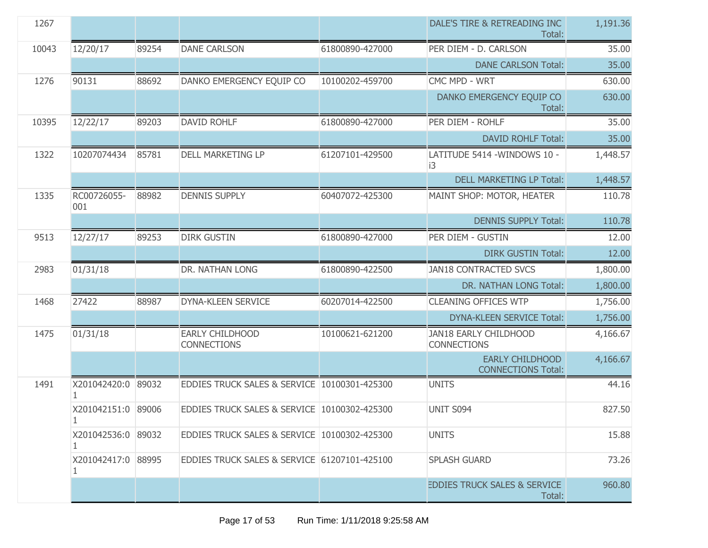| 1267  |                         |       |                                              |                 | DALE'S TIRE & RETREADING INC<br>Total:              | 1,191.36 |
|-------|-------------------------|-------|----------------------------------------------|-----------------|-----------------------------------------------------|----------|
| 10043 | 12/20/17                | 89254 | <b>DANE CARLSON</b>                          | 61800890-427000 | PER DIEM - D. CARLSON                               | 35.00    |
|       |                         |       |                                              |                 | <b>DANE CARLSON Total:</b>                          | 35.00    |
| 1276  | 90131                   | 88692 | DANKO EMERGENCY EQUIP CO                     | 10100202-459700 | CMC MPD - WRT                                       | 630.00   |
|       |                         |       |                                              |                 | DANKO EMERGENCY EQUIP CO<br>Total:                  | 630.00   |
| 10395 | 12/22/17                | 89203 | <b>DAVID ROHLF</b>                           | 61800890-427000 | PER DIEM - ROHLF                                    | 35.00    |
|       |                         |       |                                              |                 | <b>DAVID ROHLF Total:</b>                           | 35.00    |
| 1322  | 10207074434             | 85781 | <b>DELL MARKETING LP</b>                     | 61207101-429500 | LATITUDE 5414 - WINDOWS 10 -<br>i3                  | 1,448.57 |
|       |                         |       |                                              |                 | <b>DELL MARKETING LP Total:</b>                     | 1,448.57 |
| 1335  | RC00726055-<br>001      | 88982 | <b>DENNIS SUPPLY</b>                         | 60407072-425300 | MAINT SHOP: MOTOR, HEATER                           | 110.78   |
|       |                         |       |                                              |                 | <b>DENNIS SUPPLY Total:</b>                         | 110.78   |
| 9513  | 12/27/17                | 89253 | <b>DIRK GUSTIN</b>                           | 61800890-427000 | PER DIEM - GUSTIN                                   | 12.00    |
|       |                         |       |                                              |                 | <b>DIRK GUSTIN Total:</b>                           | 12.00    |
| 2983  | 01/31/18                |       | DR. NATHAN LONG                              | 61800890-422500 | <b>JAN18 CONTRACTED SVCS</b>                        | 1,800.00 |
|       |                         |       |                                              |                 | DR. NATHAN LONG Total:                              | 1,800.00 |
| 1468  | 27422                   | 88987 | DYNA-KLEEN SERVICE                           | 60207014-422500 | <b>CLEANING OFFICES WTP</b>                         | 1,756.00 |
|       |                         |       |                                              |                 | <b>DYNA-KLEEN SERVICE Total:</b>                    | 1,756.00 |
| 1475  | 01/31/18                |       | <b>EARLY CHILDHOOD</b><br><b>CONNECTIONS</b> | 10100621-621200 | JAN18 EARLY CHILDHOOD<br><b>CONNECTIONS</b>         | 4,166.67 |
|       |                         |       |                                              |                 | <b>EARLY CHILDHOOD</b><br><b>CONNECTIONS Total:</b> | 4,166.67 |
| 1491  | X201042420:0 89032      |       | EDDIES TRUCK SALES & SERVICE 10100301-425300 |                 | <b>UNITS</b>                                        | 44.16    |
|       | X201042151:0 89006<br>1 |       | EDDIES TRUCK SALES & SERVICE 10100302-425300 |                 | UNIT S094                                           | 827.50   |
|       | X201042536:0            | 89032 | EDDIES TRUCK SALES & SERVICE 10100302-425300 |                 | <b>UNITS</b>                                        | 15.88    |
|       | X201042417:0 88995<br>1 |       | EDDIES TRUCK SALES & SERVICE 61207101-425100 |                 | <b>SPLASH GUARD</b>                                 | 73.26    |
|       |                         |       |                                              |                 | <b>EDDIES TRUCK SALES &amp; SERVICE</b><br>Total:   | 960.80   |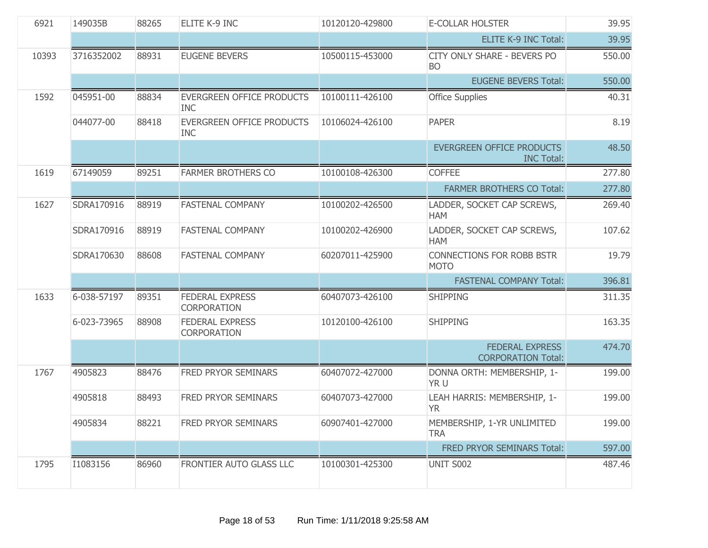| 6921  | 149035B     | 88265 | ELITE K-9 INC                                  | 10120120-429800 | E-COLLAR HOLSTER                                      | 39.95  |
|-------|-------------|-------|------------------------------------------------|-----------------|-------------------------------------------------------|--------|
|       |             |       |                                                |                 | <b>ELITE K-9 INC Total:</b>                           | 39.95  |
| 10393 | 3716352002  | 88931 | <b>EUGENE BEVERS</b>                           | 10500115-453000 | <b>CITY ONLY SHARE - BEVERS PO</b><br><b>BO</b>       | 550.00 |
|       |             |       |                                                |                 | <b>EUGENE BEVERS Total:</b>                           | 550.00 |
| 1592  | 045951-00   | 88834 | EVERGREEN OFFICE PRODUCTS<br><b>INC</b>        | 10100111-426100 | <b>Office Supplies</b>                                | 40.31  |
|       | 044077-00   | 88418 | <b>EVERGREEN OFFICE PRODUCTS</b><br><b>INC</b> | 10106024-426100 | <b>PAPER</b>                                          | 8.19   |
|       |             |       |                                                |                 | <b>EVERGREEN OFFICE PRODUCTS</b><br><b>INC Total:</b> | 48.50  |
| 1619  | 67149059    | 89251 | <b>FARMER BROTHERS CO</b>                      | 10100108-426300 | <b>COFFEE</b>                                         | 277.80 |
|       |             |       |                                                |                 | <b>FARMER BROTHERS CO Total:</b>                      | 277.80 |
| 1627  | SDRA170916  | 88919 | <b>FASTENAL COMPANY</b>                        | 10100202-426500 | LADDER, SOCKET CAP SCREWS,<br><b>HAM</b>              | 269.40 |
|       | SDRA170916  | 88919 | <b>FASTENAL COMPANY</b>                        | 10100202-426900 | LADDER, SOCKET CAP SCREWS,<br><b>HAM</b>              | 107.62 |
|       | SDRA170630  | 88608 | <b>FASTENAL COMPANY</b>                        | 60207011-425900 | <b>CONNECTIONS FOR ROBB BSTR</b><br><b>MOTO</b>       | 19.79  |
|       |             |       |                                                |                 | <b>FASTENAL COMPANY Total:</b>                        | 396.81 |
| 1633  | 6-038-57197 | 89351 | <b>FEDERAL EXPRESS</b><br><b>CORPORATION</b>   | 60407073-426100 | <b>SHIPPING</b>                                       | 311.35 |
|       | 6-023-73965 | 88908 | <b>FEDERAL EXPRESS</b><br>CORPORATION          | 10120100-426100 | <b>SHIPPING</b>                                       | 163.35 |
|       |             |       |                                                |                 | <b>FEDERAL EXPRESS</b><br><b>CORPORATION Total:</b>   | 474.70 |
| 1767  | 4905823     | 88476 | <b>FRED PRYOR SEMINARS</b>                     | 60407072-427000 | DONNA ORTH: MEMBERSHIP, 1-<br>YR U                    | 199.00 |
|       | 4905818     | 88493 | FRED PRYOR SEMINARS                            | 60407073-427000 | LEAH HARRIS: MEMBERSHIP, 1-<br><b>YR</b>              | 199.00 |
|       | 4905834     | 88221 | <b>FRED PRYOR SEMINARS</b>                     | 60907401-427000 | MEMBERSHIP, 1-YR UNLIMITED<br><b>TRA</b>              | 199.00 |
|       |             |       |                                                |                 | FRED PRYOR SEMINARS Total:                            | 597.00 |
| 1795  | I1083156    | 86960 | FRONTIER AUTO GLASS LLC                        | 10100301-425300 | UNIT S002                                             | 487.46 |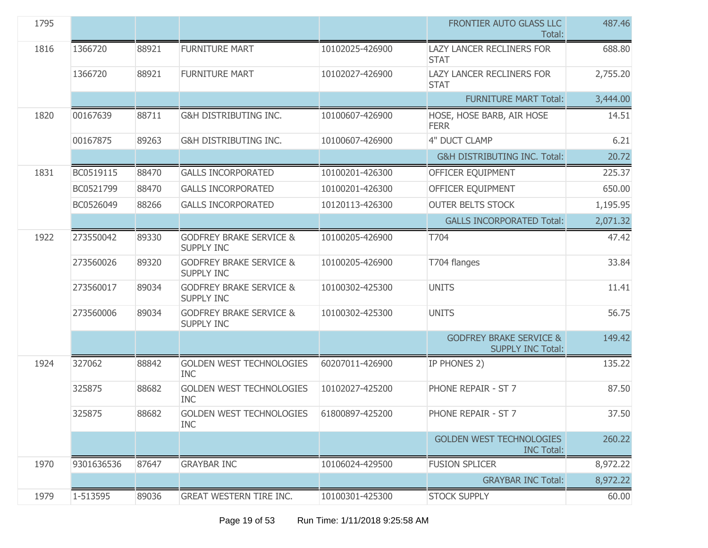| 1795 |            |       |                                                         |                 | FRONTIER AUTO GLASS LLC<br>Total:                              | 487.46   |
|------|------------|-------|---------------------------------------------------------|-----------------|----------------------------------------------------------------|----------|
| 1816 | 1366720    | 88921 | <b>FURNITURE MART</b>                                   | 10102025-426900 | <b>LAZY LANCER RECLINERS FOR</b><br><b>STAT</b>                | 688.80   |
|      | 1366720    | 88921 | <b>FURNITURE MART</b>                                   | 10102027-426900 | <b>LAZY LANCER RECLINERS FOR</b><br><b>STAT</b>                | 2,755.20 |
|      |            |       |                                                         |                 | <b>FURNITURE MART Total:</b>                                   | 3,444.00 |
| 1820 | 00167639   | 88711 | <b>G&amp;H DISTRIBUTING INC.</b>                        | 10100607-426900 | HOSE, HOSE BARB, AIR HOSE<br><b>FERR</b>                       | 14.51    |
|      | 00167875   | 89263 | G&H DISTRIBUTING INC.                                   | 10100607-426900 | 4" DUCT CLAMP                                                  | 6.21     |
|      |            |       |                                                         |                 | <b>G&amp;H DISTRIBUTING INC. Total:</b>                        | 20.72    |
| 1831 | BC0519115  | 88470 | <b>GALLS INCORPORATED</b>                               | 10100201-426300 | OFFICER EQUIPMENT                                              | 225.37   |
|      | BC0521799  | 88470 | <b>GALLS INCORPORATED</b>                               | 10100201-426300 | OFFICER EQUIPMENT                                              | 650.00   |
|      | BC0526049  | 88266 | <b>GALLS INCORPORATED</b>                               | 10120113-426300 | <b>OUTER BELTS STOCK</b>                                       | 1,195.95 |
|      |            |       |                                                         |                 | <b>GALLS INCORPORATED Total:</b>                               | 2,071.32 |
| 1922 | 273550042  | 89330 | <b>GODFREY BRAKE SERVICE &amp;</b><br><b>SUPPLY INC</b> | 10100205-426900 | T704                                                           | 47.42    |
|      | 273560026  | 89320 | <b>GODFREY BRAKE SERVICE &amp;</b><br><b>SUPPLY INC</b> | 10100205-426900 | T704 flanges                                                   | 33.84    |
|      | 273560017  | 89034 | <b>GODFREY BRAKE SERVICE &amp;</b><br><b>SUPPLY INC</b> | 10100302-425300 | <b>UNITS</b>                                                   | 11.41    |
|      | 273560006  | 89034 | <b>GODFREY BRAKE SERVICE &amp;</b><br><b>SUPPLY INC</b> | 10100302-425300 | <b>UNITS</b>                                                   | 56.75    |
|      |            |       |                                                         |                 | <b>GODFREY BRAKE SERVICE &amp;</b><br><b>SUPPLY INC Total:</b> | 149.42   |
| 1924 | 327062     | 88842 | <b>GOLDEN WEST TECHNOLOGIES</b><br><b>INC</b>           | 60207011-426900 | IP PHONES 2)                                                   | 135.22   |
|      | 325875     | 88682 | <b>GOLDEN WEST TECHNOLOGIES</b><br><b>INC</b>           | 10102027-425200 | PHONE REPAIR - ST 7                                            | 87.50    |
|      | 325875     | 88682 | <b>GOLDEN WEST TECHNOLOGIES</b><br><b>INC</b>           | 61800897-425200 | PHONE REPAIR - ST 7                                            | 37.50    |
|      |            |       |                                                         |                 | <b>GOLDEN WEST TECHNOLOGIES</b><br><b>INC Total:</b>           | 260.22   |
| 1970 | 9301636536 | 87647 | <b>GRAYBAR INC</b>                                      | 10106024-429500 | <b>FUSION SPLICER</b>                                          | 8,972.22 |
|      |            |       |                                                         |                 | <b>GRAYBAR INC Total:</b>                                      | 8,972.22 |
| 1979 | 1-513595   | 89036 | <b>GREAT WESTERN TIRE INC.</b>                          | 10100301-425300 | <b>STOCK SUPPLY</b>                                            | 60.00    |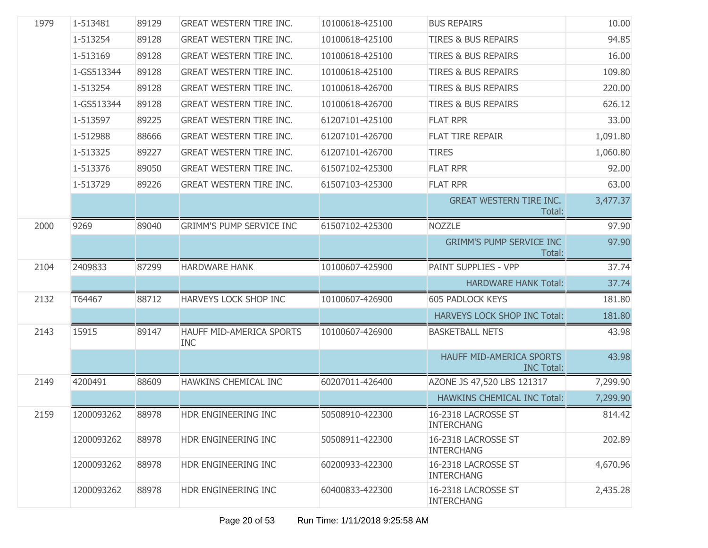| 1979 | 1-513481   | 89129 | <b>GREAT WESTERN TIRE INC.</b>         | 10100618-425100 | <b>BUS REPAIRS</b>                            | 10.00    |
|------|------------|-------|----------------------------------------|-----------------|-----------------------------------------------|----------|
|      | 1-513254   | 89128 | <b>GREAT WESTERN TIRE INC.</b>         | 10100618-425100 | <b>TIRES &amp; BUS REPAIRS</b>                | 94.85    |
|      | 1-513169   | 89128 | <b>GREAT WESTERN TIRE INC.</b>         | 10100618-425100 | <b>TIRES &amp; BUS REPAIRS</b>                | 16.00    |
|      | 1-GS513344 | 89128 | <b>GREAT WESTERN TIRE INC.</b>         | 10100618-425100 | <b>TIRES &amp; BUS REPAIRS</b>                | 109.80   |
|      | 1-513254   | 89128 | <b>GREAT WESTERN TIRE INC.</b>         | 10100618-426700 | <b>TIRES &amp; BUS REPAIRS</b>                | 220.00   |
|      | 1-GS513344 | 89128 | <b>GREAT WESTERN TIRE INC.</b>         | 10100618-426700 | <b>TIRES &amp; BUS REPAIRS</b>                | 626.12   |
|      | 1-513597   | 89225 | <b>GREAT WESTERN TIRE INC.</b>         | 61207101-425100 | <b>FLAT RPR</b>                               | 33.00    |
|      | 1-512988   | 88666 | <b>GREAT WESTERN TIRE INC.</b>         | 61207101-426700 | <b>FLAT TIRE REPAIR</b>                       | 1,091.80 |
|      | 1-513325   | 89227 | <b>GREAT WESTERN TIRE INC.</b>         | 61207101-426700 | <b>TIRES</b>                                  | 1,060.80 |
|      | 1-513376   | 89050 | <b>GREAT WESTERN TIRE INC.</b>         | 61507102-425300 | <b>FLAT RPR</b>                               | 92.00    |
|      | 1-513729   | 89226 | <b>GREAT WESTERN TIRE INC.</b>         | 61507103-425300 | <b>FLAT RPR</b>                               | 63.00    |
|      |            |       |                                        |                 | <b>GREAT WESTERN TIRE INC.</b><br>Total:      | 3,477.37 |
| 2000 | 9269       | 89040 | <b>GRIMM'S PUMP SERVICE INC</b>        | 61507102-425300 | <b>NOZZLE</b>                                 | 97.90    |
|      |            |       |                                        |                 | <b>GRIMM'S PUMP SERVICE INC</b><br>Total:     | 97.90    |
| 2104 | 2409833    | 87299 | <b>HARDWARE HANK</b>                   | 10100607-425900 | PAINT SUPPLIES - VPP                          | 37.74    |
|      |            |       |                                        |                 | <b>HARDWARE HANK Total:</b>                   | 37.74    |
| 2132 | T64467     | 88712 | HARVEYS LOCK SHOP INC                  | 10100607-426900 | <b>605 PADLOCK KEYS</b>                       | 181.80   |
|      |            |       |                                        |                 | <b>HARVEYS LOCK SHOP INC Total:</b>           | 181.80   |
| 2143 | 15915      | 89147 | HAUFF MID-AMERICA SPORTS<br><b>INC</b> | 10100607-426900 | <b>BASKETBALL NETS</b>                        | 43.98    |
|      |            |       |                                        |                 | HAUFF MID-AMERICA SPORTS<br><b>INC Total:</b> | 43.98    |
| 2149 | 4200491    | 88609 | HAWKINS CHEMICAL INC                   | 60207011-426400 | AZONE JS 47,520 LBS 121317                    | 7,299.90 |
|      |            |       |                                        |                 | <b>HAWKINS CHEMICAL INC Total:</b>            | 7,299.90 |
| 2159 | 1200093262 | 88978 | HDR ENGINEERING INC                    | 50508910-422300 | 16-2318 LACROSSE ST<br><b>INTERCHANG</b>      | 814.42   |
|      | 1200093262 | 88978 | HDR ENGINEERING INC                    | 50508911-422300 | 16-2318 LACROSSE ST<br><b>INTERCHANG</b>      | 202.89   |
|      | 1200093262 | 88978 | HDR ENGINEERING INC                    | 60200933-422300 | 16-2318 LACROSSE ST<br><b>INTERCHANG</b>      | 4,670.96 |
|      | 1200093262 | 88978 | HDR ENGINEERING INC                    | 60400833-422300 | 16-2318 LACROSSE ST<br><b>INTERCHANG</b>      | 2,435.28 |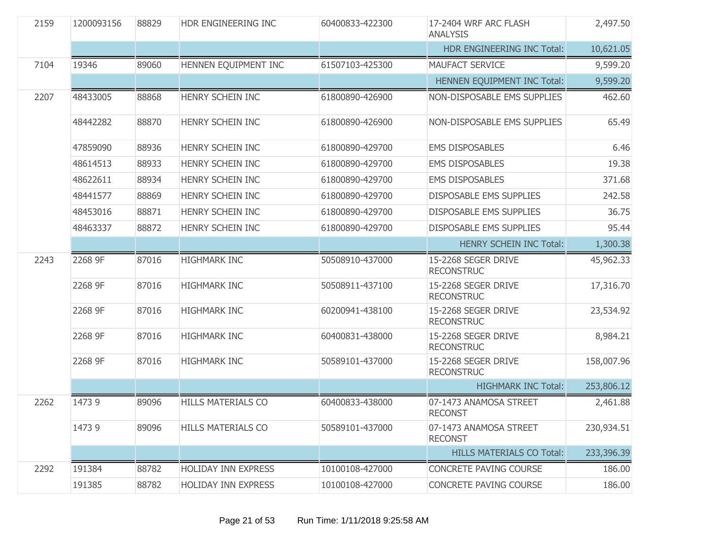| 2159 | 1200093156 | 88829 | HDR ENGINEERING INC        | 60400833-422300 | 17-2404 WRF ARC FLASH<br><b>ANALYSIS</b> | 2,497.50   |
|------|------------|-------|----------------------------|-----------------|------------------------------------------|------------|
|      |            |       |                            |                 | HDR ENGINEERING INC Total:               | 10,621.05  |
| 7104 | 19346      | 89060 | HENNEN EQUIPMENT INC       | 61507103-425300 | MAUFACT SERVICE                          | 9,599.20   |
|      |            |       |                            |                 | HENNEN EQUIPMENT INC Total:              | 9,599.20   |
| 2207 | 48433005   | 88868 | HENRY SCHEIN INC           | 61800890-426900 | NON-DISPOSABLE EMS SUPPLIES              | 462.60     |
|      | 48442282   | 88870 | <b>HENRY SCHEIN INC</b>    | 61800890-426900 | NON-DISPOSABLE EMS SUPPLIES              | 65.49      |
|      | 47859090   | 88936 | HENRY SCHEIN INC           | 61800890-429700 | <b>EMS DISPOSABLES</b>                   | 6.46       |
|      | 48614513   | 88933 | HENRY SCHEIN INC           | 61800890-429700 | <b>EMS DISPOSABLES</b>                   | 19.38      |
|      | 48622611   | 88934 | HENRY SCHEIN INC           | 61800890-429700 | <b>EMS DISPOSABLES</b>                   | 371.68     |
|      | 48441577   | 88869 | HENRY SCHEIN INC           | 61800890-429700 | DISPOSABLE EMS SUPPLIES                  | 242.58     |
|      | 48453016   | 88871 | HENRY SCHEIN INC           | 61800890-429700 | DISPOSABLE EMS SUPPLIES                  | 36.75      |
|      | 48463337   | 88872 | HENRY SCHEIN INC           | 61800890-429700 | DISPOSABLE EMS SUPPLIES                  | 95.44      |
|      |            |       |                            |                 | <b>HENRY SCHEIN INC Total:</b>           | 1,300.38   |
| 2243 | 2268 9F    | 87016 | <b>HIGHMARK INC</b>        | 50508910-437000 | 15-2268 SEGER DRIVE<br><b>RECONSTRUC</b> | 45,962.33  |
|      | 2268 9F    | 87016 | <b>HIGHMARK INC</b>        | 50508911-437100 | 15-2268 SEGER DRIVE<br><b>RECONSTRUC</b> | 17,316.70  |
|      | 2268 9F    | 87016 | <b>HIGHMARK INC</b>        | 60200941-438100 | 15-2268 SEGER DRIVE<br><b>RECONSTRUC</b> | 23,534.92  |
|      | 2268 9F    | 87016 | <b>HIGHMARK INC</b>        | 60400831-438000 | 15-2268 SEGER DRIVE<br><b>RECONSTRUC</b> | 8,984.21   |
|      | 2268 9F    | 87016 | <b>HIGHMARK INC</b>        | 50589101-437000 | 15-2268 SEGER DRIVE<br><b>RECONSTRUC</b> | 158,007.96 |
|      |            |       |                            |                 | <b>HIGHMARK INC Total:</b>               | 253,806.12 |
| 2262 | 14739      | 89096 | <b>HILLS MATERIALS CO</b>  | 60400833-438000 | 07-1473 ANAMOSA STREET<br><b>RECONST</b> | 2,461.88   |
|      | 14739      | 89096 | <b>HILLS MATERIALS CO</b>  | 50589101-437000 | 07-1473 ANAMOSA STREET<br><b>RECONST</b> | 230,934.51 |
|      |            |       |                            |                 | <b>HILLS MATERIALS CO Total:</b>         | 233,396.39 |
| 2292 | 191384     | 88782 | <b>HOLIDAY INN EXPRESS</b> | 10100108-427000 | <b>CONCRETE PAVING COURSE</b>            | 186.00     |
|      | 191385     | 88782 | <b>HOLIDAY INN EXPRESS</b> | 10100108-427000 | CONCRETE PAVING COURSE                   | 186.00     |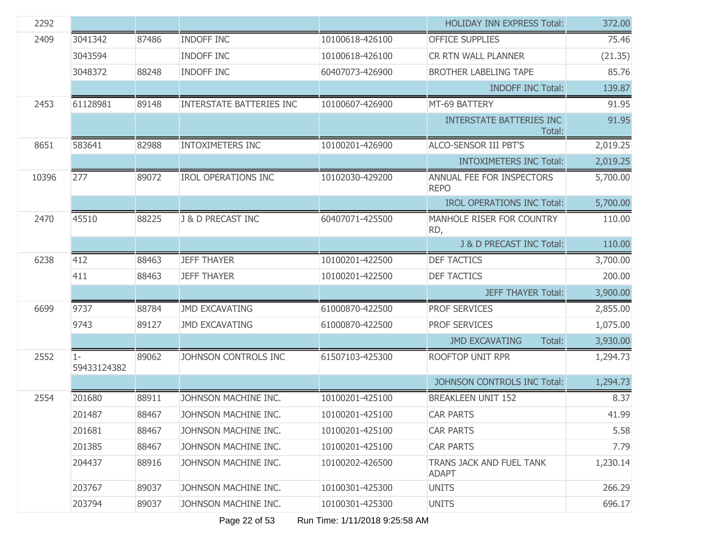| 2292  |                      |       |                                 |                 | <b>HOLIDAY INN EXPRESS Total:</b>         | 372.00   |
|-------|----------------------|-------|---------------------------------|-----------------|-------------------------------------------|----------|
| 2409  | 3041342              | 87486 | <b>INDOFF INC</b>               | 10100618-426100 | <b>OFFICE SUPPLIES</b>                    | 75.46    |
|       | 3043594              |       | <b>INDOFF INC</b>               | 10100618-426100 | CR RTN WALL PLANNER                       | (21.35)  |
|       | 3048372              | 88248 | <b>INDOFF INC</b>               | 60407073-426900 | <b>BROTHER LABELING TAPE</b>              | 85.76    |
|       |                      |       |                                 |                 | <b>INDOFF INC Total:</b>                  | 139.87   |
| 2453  | 61128981             | 89148 | <b>INTERSTATE BATTERIES INC</b> | 10100607-426900 | MT-69 BATTERY                             | 91.95    |
|       |                      |       |                                 |                 | <b>INTERSTATE BATTERIES INC</b><br>Total: | 91.95    |
| 8651  | 583641               | 82988 | <b>INTOXIMETERS INC</b>         | 10100201-426900 | <b>ALCO-SENSOR III PBT'S</b>              | 2,019.25 |
|       |                      |       |                                 |                 | <b>INTOXIMETERS INC Total:</b>            | 2,019.25 |
| 10396 | 277                  | 89072 | <b>IROL OPERATIONS INC</b>      | 10102030-429200 | ANNUAL FEE FOR INSPECTORS<br><b>REPO</b>  | 5,700.00 |
|       |                      |       |                                 |                 | <b>IROL OPERATIONS INC Total:</b>         | 5,700.00 |
| 2470  | 45510                | 88225 | J & D PRECAST INC               | 60407071-425500 | MANHOLE RISER FOR COUNTRY<br>RD,          | 110.00   |
|       |                      |       |                                 |                 | J & D PRECAST INC Total:                  | 110.00   |
| 6238  | 412                  | 88463 | <b>JEFF THAYER</b>              | 10100201-422500 | <b>DEF TACTICS</b>                        | 3,700.00 |
|       | 411                  | 88463 | <b>JEFF THAYER</b>              | 10100201-422500 | <b>DEF TACTICS</b>                        | 200.00   |
|       |                      |       |                                 |                 | <b>JEFF THAYER Total:</b>                 | 3,900.00 |
| 6699  | 9737                 | 88784 | <b>JMD EXCAVATING</b>           | 61000870-422500 | <b>PROF SERVICES</b>                      | 2,855.00 |
|       | 9743                 | 89127 | <b>JMD EXCAVATING</b>           | 61000870-422500 | PROF SERVICES                             | 1,075.00 |
|       |                      |       |                                 |                 | <b>JMD EXCAVATING</b><br>Total:           | 3,930.00 |
| 2552  | $1 -$<br>59433124382 | 89062 | JOHNSON CONTROLS INC            | 61507103-425300 | ROOFTOP UNIT RPR                          | 1,294.73 |
|       |                      |       |                                 |                 | JOHNSON CONTROLS INC Total:               | 1,294.73 |
| 2554  | 201680               | 88911 | JOHNSON MACHINE INC.            | 10100201-425100 | <b>BREAKLEEN UNIT 152</b>                 | 8.37     |
|       | 201487               | 88467 | JOHNSON MACHINE INC.            | 10100201-425100 | <b>CAR PARTS</b>                          | 41.99    |
|       | 201681               | 88467 | JOHNSON MACHINE INC.            | 10100201-425100 | <b>CAR PARTS</b>                          | 5.58     |
|       | 201385               | 88467 | JOHNSON MACHINE INC.            | 10100201-425100 | <b>CAR PARTS</b>                          | 7.79     |
|       | 204437               | 88916 | JOHNSON MACHINE INC.            | 10100202-426500 | TRANS JACK AND FUEL TANK<br><b>ADAPT</b>  | 1,230.14 |
|       | 203767               | 89037 | JOHNSON MACHINE INC.            | 10100301-425300 | <b>UNITS</b>                              | 266.29   |
|       | 203794               | 89037 | JOHNSON MACHINE INC.            | 10100301-425300 | <b>UNITS</b>                              | 696.17   |

Page 22 of 53 Run Time: 1/11/2018 9:25:58 AM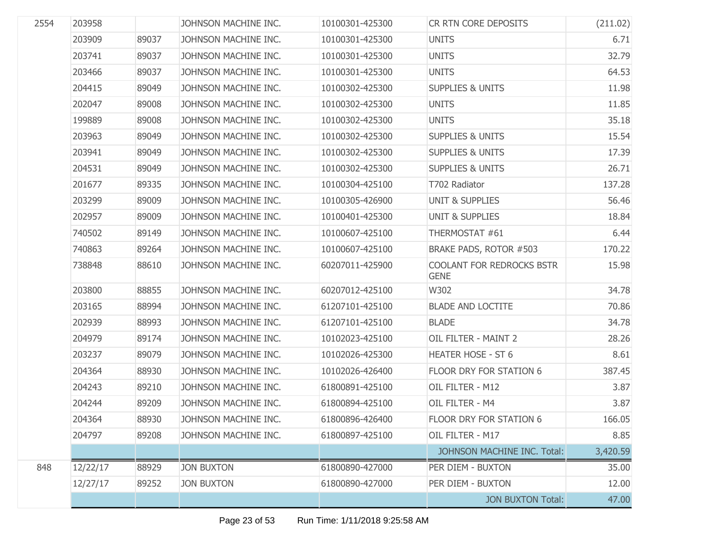| 2554 | 203958   |       | JOHNSON MACHINE INC. | 10100301-425300 | CR RTN CORE DEPOSITS                     | (211.02) |
|------|----------|-------|----------------------|-----------------|------------------------------------------|----------|
|      | 203909   | 89037 | JOHNSON MACHINE INC. | 10100301-425300 | <b>UNITS</b>                             | 6.71     |
|      | 203741   | 89037 | JOHNSON MACHINE INC. | 10100301-425300 | <b>UNITS</b>                             | 32.79    |
|      | 203466   | 89037 | JOHNSON MACHINE INC. | 10100301-425300 | <b>UNITS</b>                             | 64.53    |
|      | 204415   | 89049 | JOHNSON MACHINE INC. | 10100302-425300 | <b>SUPPLIES &amp; UNITS</b>              | 11.98    |
|      | 202047   | 89008 | JOHNSON MACHINE INC. | 10100302-425300 | <b>UNITS</b>                             | 11.85    |
|      | 199889   | 89008 | JOHNSON MACHINE INC. | 10100302-425300 | <b>UNITS</b>                             | 35.18    |
|      | 203963   | 89049 | JOHNSON MACHINE INC. | 10100302-425300 | <b>SUPPLIES &amp; UNITS</b>              | 15.54    |
|      | 203941   | 89049 | JOHNSON MACHINE INC. | 10100302-425300 | <b>SUPPLIES &amp; UNITS</b>              | 17.39    |
|      | 204531   | 89049 | JOHNSON MACHINE INC. | 10100302-425300 | <b>SUPPLIES &amp; UNITS</b>              | 26.71    |
|      | 201677   | 89335 | JOHNSON MACHINE INC. | 10100304-425100 | T702 Radiator                            | 137.28   |
|      | 203299   | 89009 | JOHNSON MACHINE INC. | 10100305-426900 | <b>UNIT &amp; SUPPLIES</b>               | 56.46    |
|      | 202957   | 89009 | JOHNSON MACHINE INC. | 10100401-425300 | <b>UNIT &amp; SUPPLIES</b>               | 18.84    |
|      | 740502   | 89149 | JOHNSON MACHINE INC. | 10100607-425100 | THERMOSTAT #61                           | 6.44     |
|      | 740863   | 89264 | JOHNSON MACHINE INC. | 10100607-425100 | BRAKE PADS, ROTOR #503                   | 170.22   |
|      | 738848   | 88610 | JOHNSON MACHINE INC. | 60207011-425900 | COOLANT FOR REDROCKS BSTR<br><b>GENE</b> | 15.98    |
|      | 203800   | 88855 | JOHNSON MACHINE INC. | 60207012-425100 | W302                                     | 34.78    |
|      | 203165   | 88994 | JOHNSON MACHINE INC. | 61207101-425100 | <b>BLADE AND LOCTITE</b>                 | 70.86    |
|      | 202939   | 88993 | JOHNSON MACHINE INC. | 61207101-425100 | <b>BLADE</b>                             | 34.78    |
|      | 204979   | 89174 | JOHNSON MACHINE INC. | 10102023-425100 | OIL FILTER - MAINT 2                     | 28.26    |
|      | 203237   | 89079 | JOHNSON MACHINE INC. | 10102026-425300 | <b>HEATER HOSE - ST 6</b>                | 8.61     |
|      | 204364   | 88930 | JOHNSON MACHINE INC. | 10102026-426400 | FLOOR DRY FOR STATION 6                  | 387.45   |
|      | 204243   | 89210 | JOHNSON MACHINE INC. | 61800891-425100 | OIL FILTER - M12                         | 3.87     |
|      | 204244   | 89209 | JOHNSON MACHINE INC. | 61800894-425100 | OIL FILTER - M4                          | 3.87     |
|      | 204364   | 88930 | JOHNSON MACHINE INC. | 61800896-426400 | FLOOR DRY FOR STATION 6                  | 166.05   |
|      | 204797   | 89208 | JOHNSON MACHINE INC. | 61800897-425100 | OIL FILTER - M17                         | 8.85     |
|      |          |       |                      |                 | JOHNSON MACHINE INC. Total:              | 3,420.59 |
| 848  | 12/22/17 | 88929 | <b>JON BUXTON</b>    | 61800890-427000 | PER DIEM - BUXTON                        | 35.00    |
|      | 12/27/17 | 89252 | <b>JON BUXTON</b>    | 61800890-427000 | PER DIEM - BUXTON                        | 12.00    |
|      |          |       |                      |                 | <b>JON BUXTON Total:</b>                 | 47.00    |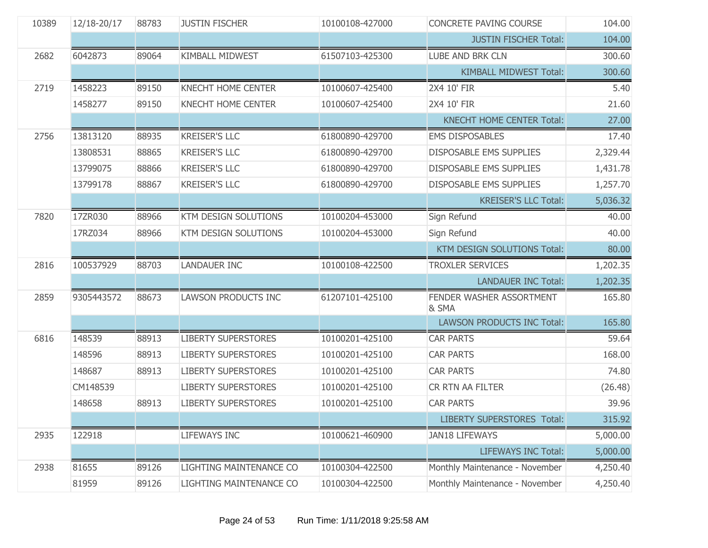| 10389 | 12/18-20/17 | 88783 | <b>JUSTIN FISCHER</b>       | 10100108-427000 | CONCRETE PAVING COURSE            | 104.00   |
|-------|-------------|-------|-----------------------------|-----------------|-----------------------------------|----------|
|       |             |       |                             |                 | <b>JUSTIN FISCHER Total:</b>      | 104.00   |
| 2682  | 6042873     | 89064 | <b>KIMBALL MIDWEST</b>      | 61507103-425300 | LUBE AND BRK CLN                  | 300.60   |
|       |             |       |                             |                 | <b>KIMBALL MIDWEST Total:</b>     | 300.60   |
| 2719  | 1458223     | 89150 | KNECHT HOME CENTER          | 10100607-425400 | 2X4 10' FIR                       | 5.40     |
|       | 1458277     | 89150 | <b>KNECHT HOME CENTER</b>   | 10100607-425400 | 2X4 10' FIR                       | 21.60    |
|       |             |       |                             |                 | <b>KNECHT HOME CENTER Total:</b>  | 27.00    |
| 2756  | 13813120    | 88935 | <b>KREISER'S LLC</b>        | 61800890-429700 | <b>EMS DISPOSABLES</b>            | 17.40    |
|       | 13808531    | 88865 | <b>KREISER'S LLC</b>        | 61800890-429700 | DISPOSABLE EMS SUPPLIES           | 2,329.44 |
|       | 13799075    | 88866 | <b>KREISER'S LLC</b>        | 61800890-429700 | <b>DISPOSABLE EMS SUPPLIES</b>    | 1,431.78 |
|       | 13799178    | 88867 | <b>KREISER'S LLC</b>        | 61800890-429700 | DISPOSABLE EMS SUPPLIES           | 1,257.70 |
|       |             |       |                             |                 | <b>KREISER'S LLC Total:</b>       | 5,036.32 |
| 7820  | 17ZR030     | 88966 | KTM DESIGN SOLUTIONS        | 10100204-453000 | Sign Refund                       | 40.00    |
|       | 17RZ034     | 88966 | <b>KTM DESIGN SOLUTIONS</b> | 10100204-453000 | Sign Refund                       | 40.00    |
|       |             |       |                             |                 | KTM DESIGN SOLUTIONS Total:       | 80.00    |
| 2816  | 100537929   | 88703 | <b>LANDAUER INC</b>         | 10100108-422500 | <b>TROXLER SERVICES</b>           | 1,202.35 |
|       |             |       |                             |                 | <b>LANDAUER INC Total:</b>        | 1,202.35 |
| 2859  | 9305443572  | 88673 | <b>LAWSON PRODUCTS INC</b>  | 61207101-425100 | FENDER WASHER ASSORTMENT<br>& SMA | 165.80   |
|       |             |       |                             |                 | <b>LAWSON PRODUCTS INC Total:</b> | 165.80   |
| 6816  | 148539      | 88913 | <b>LIBERTY SUPERSTORES</b>  | 10100201-425100 | <b>CAR PARTS</b>                  | 59.64    |
|       | 148596      | 88913 | <b>LIBERTY SUPERSTORES</b>  | 10100201-425100 | <b>CAR PARTS</b>                  | 168.00   |
|       | 148687      | 88913 | <b>LIBERTY SUPERSTORES</b>  | 10100201-425100 | <b>CAR PARTS</b>                  | 74.80    |
|       | CM148539    |       | <b>LIBERTY SUPERSTORES</b>  | 10100201-425100 | CR RTN AA FILTER                  | (26.48)  |
|       | 148658      | 88913 | <b>LIBERTY SUPERSTORES</b>  | 10100201-425100 | <b>CAR PARTS</b>                  | 39.96    |
|       |             |       |                             |                 | <b>LIBERTY SUPERSTORES Total:</b> | 315.92   |
| 2935  | 122918      |       | <b>LIFEWAYS INC</b>         | 10100621-460900 | <b>JAN18 LIFEWAYS</b>             | 5,000.00 |
|       |             |       |                             |                 | <b>LIFEWAYS INC Total:</b>        | 5,000.00 |
| 2938  | 81655       | 89126 | LIGHTING MAINTENANCE CO     | 10100304-422500 | Monthly Maintenance - November    | 4,250.40 |
|       | 81959       | 89126 | LIGHTING MAINTENANCE CO     | 10100304-422500 | Monthly Maintenance - November    | 4,250.40 |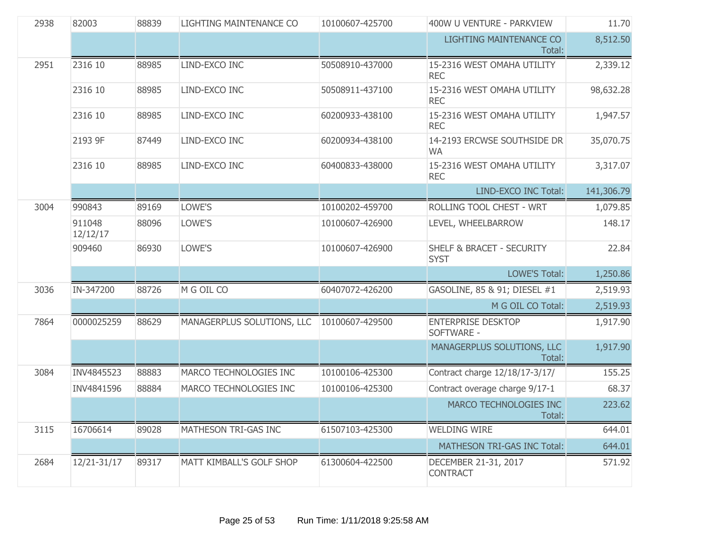| 2938 | 82003              | 88839 | LIGHTING MAINTENANCE CO    | 10100607-425700 | 400W U VENTURE - PARKVIEW                           | 11.70      |
|------|--------------------|-------|----------------------------|-----------------|-----------------------------------------------------|------------|
|      |                    |       |                            |                 | <b>LIGHTING MAINTENANCE CO</b><br>Total:            | 8,512.50   |
| 2951 | 2316 10            | 88985 | LIND-EXCO INC              | 50508910-437000 | 15-2316 WEST OMAHA UTILITY<br><b>REC</b>            | 2,339.12   |
|      | 2316 10            | 88985 | LIND-EXCO INC              | 50508911-437100 | 15-2316 WEST OMAHA UTILITY<br><b>REC</b>            | 98,632.28  |
|      | 2316 10            | 88985 | LIND-EXCO INC              | 60200933-438100 | 15-2316 WEST OMAHA UTILITY<br><b>REC</b>            | 1,947.57   |
|      | 2193 9F            | 87449 | LIND-EXCO INC              | 60200934-438100 | 14-2193 ERCWSE SOUTHSIDE DR<br><b>WA</b>            | 35,070.75  |
|      | 2316 10            | 88985 | LIND-EXCO INC              | 60400833-438000 | 15-2316 WEST OMAHA UTILITY<br><b>REC</b>            | 3,317.07   |
|      |                    |       |                            |                 | LIND-EXCO INC Total:                                | 141,306.79 |
| 3004 | 990843             | 89169 | LOWE'S                     | 10100202-459700 | ROLLING TOOL CHEST - WRT                            | 1,079.85   |
|      | 911048<br>12/12/17 | 88096 | LOWE'S                     | 10100607-426900 | LEVEL, WHEELBARROW                                  | 148.17     |
|      | 909460             | 86930 | LOWE'S                     | 10100607-426900 | <b>SHELF &amp; BRACET - SECURITY</b><br><b>SYST</b> | 22.84      |
|      |                    |       |                            |                 | <b>LOWE'S Total:</b>                                | 1,250.86   |
| 3036 | IN-347200          | 88726 | M G OIL CO                 | 60407072-426200 | GASOLINE, 85 & 91; DIESEL #1                        | 2,519.93   |
|      |                    |       |                            |                 | M G OIL CO Total:                                   | 2,519.93   |
| 7864 | 0000025259         | 88629 | MANAGERPLUS SOLUTIONS, LLC | 10100607-429500 | <b>ENTERPRISE DESKTOP</b><br>SOFTWARE -             | 1,917.90   |
|      |                    |       |                            |                 | MANAGERPLUS SOLUTIONS, LLC<br>Total:                | 1,917.90   |
| 3084 | INV4845523         | 88883 | MARCO TECHNOLOGIES INC     | 10100106-425300 | Contract charge 12/18/17-3/17/                      | 155.25     |
|      | INV4841596         | 88884 | MARCO TECHNOLOGIES INC     | 10100106-425300 | Contract overage charge 9/17-1                      | 68.37      |
|      |                    |       |                            |                 | MARCO TECHNOLOGIES INC<br>Total:                    | 223.62     |
| 3115 | 16706614           | 89028 | MATHESON TRI-GAS INC       | 61507103-425300 | <b>WELDING WIRE</b>                                 | 644.01     |
|      |                    |       |                            |                 | MATHESON TRI-GAS INC Total:                         | 644.01     |
| 2684 | 12/21-31/17        | 89317 | MATT KIMBALL'S GOLF SHOP   | 61300604-422500 | DECEMBER 21-31, 2017<br><b>CONTRACT</b>             | 571.92     |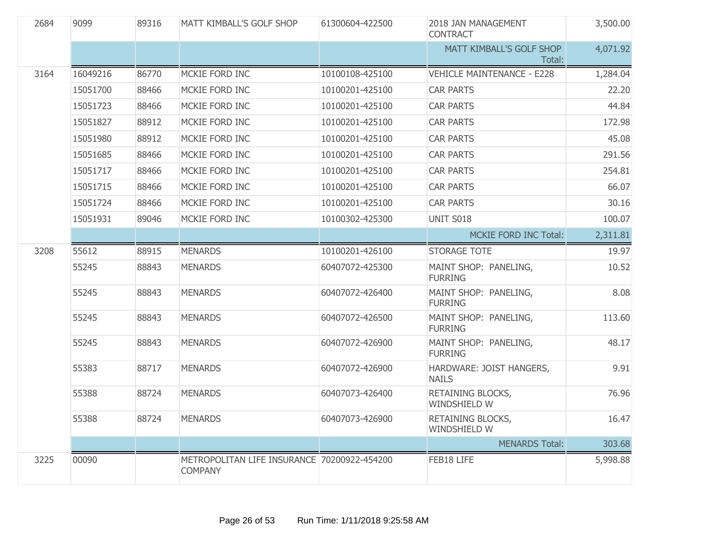| 2684 | 9099     | 89316 | MATT KIMBALL'S GOLF SHOP                                      | 61300604-422500 | 2018 JAN MANAGEMENT<br><b>CONTRACT</b>   | 3,500.00 |
|------|----------|-------|---------------------------------------------------------------|-----------------|------------------------------------------|----------|
|      |          |       |                                                               |                 | MATT KIMBALL'S GOLF SHOP<br>Total:       | 4,071.92 |
| 3164 | 16049216 | 86770 | MCKIE FORD INC                                                | 10100108-425100 | <b>VEHICLE MAINTENANCE - E228</b>        | 1,284.04 |
|      | 15051700 | 88466 | MCKIE FORD INC                                                | 10100201-425100 | <b>CAR PARTS</b>                         | 22.20    |
|      | 15051723 | 88466 | MCKIE FORD INC                                                | 10100201-425100 | <b>CAR PARTS</b>                         | 44.84    |
|      | 15051827 | 88912 | MCKIE FORD INC                                                | 10100201-425100 | <b>CAR PARTS</b>                         | 172.98   |
|      | 15051980 | 88912 | MCKIE FORD INC                                                | 10100201-425100 | <b>CAR PARTS</b>                         | 45.08    |
|      | 15051685 | 88466 | MCKIE FORD INC                                                | 10100201-425100 | <b>CAR PARTS</b>                         | 291.56   |
|      | 15051717 | 88466 | MCKIE FORD INC                                                | 10100201-425100 | <b>CAR PARTS</b>                         | 254.81   |
|      | 15051715 | 88466 | MCKIE FORD INC                                                | 10100201-425100 | <b>CAR PARTS</b>                         | 66.07    |
|      | 15051724 | 88466 | MCKIE FORD INC                                                | 10100201-425100 | <b>CAR PARTS</b>                         | 30.16    |
|      | 15051931 | 89046 | MCKIE FORD INC                                                | 10100302-425300 | <b>UNIT S018</b>                         | 100.07   |
|      |          |       |                                                               |                 | MCKIE FORD INC Total:                    | 2,311.81 |
| 3208 | 55612    | 88915 | <b>MENARDS</b>                                                | 10100201-426100 | <b>STORAGE TOTE</b>                      | 19.97    |
|      | 55245    | 88843 | <b>MENARDS</b>                                                | 60407072-425300 | MAINT SHOP: PANELING,<br><b>FURRING</b>  | 10.52    |
|      | 55245    | 88843 | <b>MENARDS</b>                                                | 60407072-426400 | MAINT SHOP: PANELING,<br><b>FURRING</b>  | 8.08     |
|      | 55245    | 88843 | <b>MENARDS</b>                                                | 60407072-426500 | MAINT SHOP: PANELING,<br><b>FURRING</b>  | 113.60   |
|      | 55245    | 88843 | <b>MENARDS</b>                                                | 60407072-426900 | MAINT SHOP: PANELING,<br><b>FURRING</b>  | 48.17    |
|      | 55383    | 88717 | <b>MENARDS</b>                                                | 60407072-426900 | HARDWARE: JOIST HANGERS,<br><b>NAILS</b> | 9.91     |
|      | 55388    | 88724 | <b>MENARDS</b>                                                | 60407073-426400 | RETAINING BLOCKS,<br>WINDSHIELD W        | 76.96    |
|      | 55388    | 88724 | <b>MENARDS</b>                                                | 60407073-426900 | RETAINING BLOCKS,<br>WINDSHIELD W        | 16.47    |
|      |          |       |                                                               |                 | <b>MENARDS Total:</b>                    | 303.68   |
| 3225 | 00090    |       | METROPOLITAN LIFE INSURANCE 70200922-454200<br><b>COMPANY</b> |                 | FEB18 LIFE                               | 5,998.88 |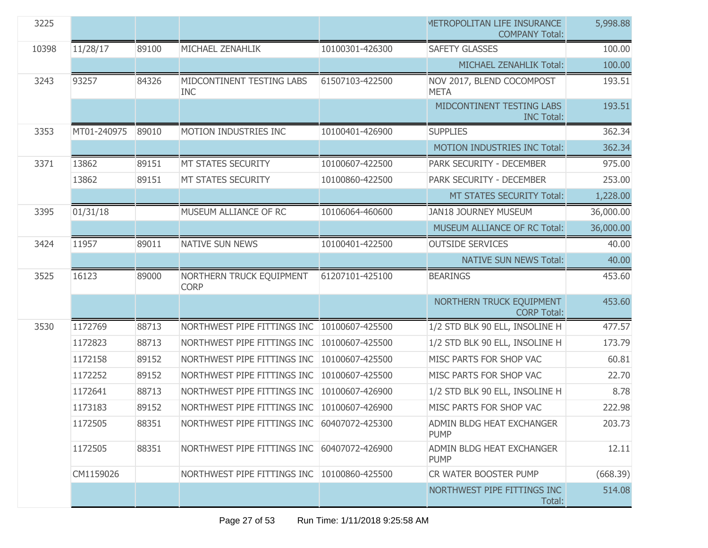| 3225  |             |       |                                             |                 | METROPOLITAN LIFE INSURANCE<br><b>COMPANY Total:</b> | 5,998.88  |
|-------|-------------|-------|---------------------------------------------|-----------------|------------------------------------------------------|-----------|
| 10398 | 11/28/17    | 89100 | MICHAEL ZENAHLIK                            | 10100301-426300 | <b>SAFETY GLASSES</b>                                | 100.00    |
|       |             |       |                                             |                 | MICHAEL ZENAHLIK Total:                              | 100.00    |
| 3243  | 93257       | 84326 | MIDCONTINENT TESTING LABS<br><b>INC</b>     | 61507103-422500 | NOV 2017, BLEND COCOMPOST<br><b>META</b>             | 193.51    |
|       |             |       |                                             |                 | MIDCONTINENT TESTING LABS<br><b>INC Total:</b>       | 193.51    |
| 3353  | MT01-240975 | 89010 | MOTION INDUSTRIES INC                       | 10100401-426900 | <b>SUPPLIES</b>                                      | 362.34    |
|       |             |       |                                             |                 | MOTION INDUSTRIES INC Total:                         | 362.34    |
| 3371  | 13862       | 89151 | MT STATES SECURITY                          | 10100607-422500 | PARK SECURITY - DECEMBER                             | 975.00    |
|       | 13862       | 89151 | <b>MT STATES SECURITY</b>                   | 10100860-422500 | PARK SECURITY - DECEMBER                             | 253.00    |
|       |             |       |                                             |                 | MT STATES SECURITY Total:                            | 1,228.00  |
| 3395  | 01/31/18    |       | MUSEUM ALLIANCE OF RC                       | 10106064-460600 | <b>JAN18 JOURNEY MUSEUM</b>                          | 36,000.00 |
|       |             |       |                                             |                 | MUSEUM ALLIANCE OF RC Total:                         | 36,000.00 |
| 3424  | 11957       | 89011 | NATIVE SUN NEWS                             | 10100401-422500 | <b>OUTSIDE SERVICES</b>                              | 40.00     |
|       |             |       |                                             |                 | <b>NATIVE SUN NEWS Total:</b>                        | 40.00     |
| 3525  | 16123       | 89000 | NORTHERN TRUCK EQUIPMENT<br><b>CORP</b>     | 61207101-425100 | <b>BEARINGS</b>                                      | 453.60    |
|       |             |       |                                             |                 | NORTHERN TRUCK EQUIPMENT<br><b>CORP Total:</b>       | 453.60    |
| 3530  | 1172769     | 88713 | NORTHWEST PIPE FITTINGS INC                 | 10100607-425500 | 1/2 STD BLK 90 ELL, INSOLINE H                       | 477.57    |
|       | 1172823     | 88713 | NORTHWEST PIPE FITTINGS INC                 | 10100607-425500 | 1/2 STD BLK 90 ELL, INSOLINE H                       | 173.79    |
|       | 1172158     | 89152 | NORTHWEST PIPE FITTINGS INC                 | 10100607-425500 | MISC PARTS FOR SHOP VAC                              | 60.81     |
|       | 1172252     | 89152 | NORTHWEST PIPE FITTINGS INC                 | 10100607-425500 | MISC PARTS FOR SHOP VAC                              | 22.70     |
|       | 1172641     | 88713 | NORTHWEST PIPE FITTINGS INC                 | 10100607-426900 | 1/2 STD BLK 90 ELL, INSOLINE H                       | 8.78      |
|       | 1173183     | 89152 | NORTHWEST PIPE FITTINGS INC                 | 10100607-426900 | MISC PARTS FOR SHOP VAC                              | 222.98    |
|       | 1172505     | 88351 | NORTHWEST PIPE FITTINGS INC 60407072-425300 |                 | ADMIN BLDG HEAT EXCHANGER<br><b>PUMP</b>             | 203.73    |
|       | 1172505     | 88351 | NORTHWEST PIPE FITTINGS INC                 | 60407072-426900 | ADMIN BLDG HEAT EXCHANGER<br><b>PUMP</b>             | 12.11     |
|       | CM1159026   |       | NORTHWEST PIPE FITTINGS INC                 | 10100860-425500 | CR WATER BOOSTER PUMP                                | (668.39)  |
|       |             |       |                                             |                 | NORTHWEST PIPE FITTINGS INC<br>Total:                | 514.08    |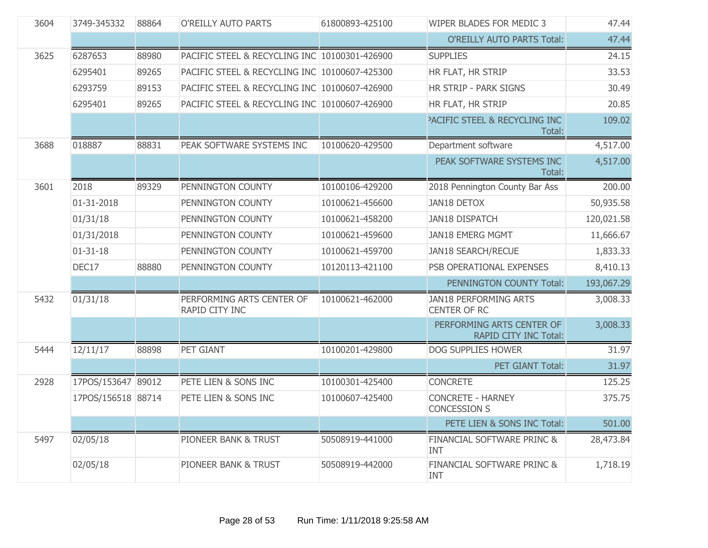| 3604 | 3749-345332        | 88864 | O'REILLY AUTO PARTS                           | 61800893-425100 | WIPER BLADES FOR MEDIC 3                            | 47.44      |
|------|--------------------|-------|-----------------------------------------------|-----------------|-----------------------------------------------------|------------|
|      |                    |       |                                               |                 | <b>O'REILLY AUTO PARTS Total:</b>                   | 47.44      |
| 3625 | 6287653            | 88980 | PACIFIC STEEL & RECYCLING INC 10100301-426900 |                 | <b>SUPPLIES</b>                                     | 24.15      |
|      | 6295401            | 89265 | PACIFIC STEEL & RECYCLING INC 10100607-425300 |                 | HR FLAT, HR STRIP                                   | 33.53      |
|      | 6293759            | 89153 | PACIFIC STEEL & RECYCLING INC 10100607-426900 |                 | HR STRIP - PARK SIGNS                               | 30.49      |
|      | 6295401            | 89265 | PACIFIC STEEL & RECYCLING INC 10100607-426900 |                 | HR FLAT, HR STRIP                                   | 20.85      |
|      |                    |       |                                               |                 | <b>PACIFIC STEEL &amp; RECYCLING INC</b><br>Total:  | 109.02     |
| 3688 | 018887             | 88831 | PEAK SOFTWARE SYSTEMS INC                     | 10100620-429500 | Department software                                 | 4,517.00   |
|      |                    |       |                                               |                 | PEAK SOFTWARE SYSTEMS INC<br>Total:                 | 4,517.00   |
| 3601 | 2018               | 89329 | PENNINGTON COUNTY                             | 10100106-429200 | 2018 Pennington County Bar Ass                      | 200.00     |
|      | 01-31-2018         |       | PENNINGTON COUNTY                             | 10100621-456600 | <b>JAN18 DETOX</b>                                  | 50,935.58  |
|      | 01/31/18           |       | PENNINGTON COUNTY                             | 10100621-458200 | <b>JAN18 DISPATCH</b>                               | 120,021.58 |
|      | 01/31/2018         |       | PENNINGTON COUNTY                             | 10100621-459600 | <b>JAN18 EMERG MGMT</b>                             | 11,666.67  |
|      | $01 - 31 - 18$     |       | PENNINGTON COUNTY                             | 10100621-459700 | <b>JAN18 SEARCH/RECUE</b>                           | 1,833.33   |
|      | DEC17              | 88880 | PENNINGTON COUNTY                             | 10120113-421100 | PSB OPERATIONAL EXPENSES                            | 8,410.13   |
|      |                    |       |                                               |                 | PENNINGTON COUNTY Total:                            | 193,067.29 |
| 5432 | 01/31/18           |       | PERFORMING ARTS CENTER OF<br>RAPID CITY INC   | 10100621-462000 | <b>JAN18 PERFORMING ARTS</b><br><b>CENTER OF RC</b> | 3,008.33   |
|      |                    |       |                                               |                 | PERFORMING ARTS CENTER OF<br>RAPID CITY INC Total:  | 3,008.33   |
| 5444 | 12/11/17           | 88898 | PET GIANT                                     | 10100201-429800 | DOG SUPPLIES HOWER                                  | 31.97      |
|      |                    |       |                                               |                 | PET GIANT Total:                                    | 31.97      |
| 2928 | 17POS/153647 89012 |       | PETE LIEN & SONS INC                          | 10100301-425400 | <b>CONCRETE</b>                                     | 125.25     |
|      | 17POS/156518 88714 |       | PETE LIEN & SONS INC                          | 10100607-425400 | <b>CONCRETE - HARNEY</b><br><b>CONCESSION S</b>     | 375.75     |
|      |                    |       |                                               |                 | PETE LIEN & SONS INC Total:                         | 501.00     |
| 5497 | 02/05/18           |       | PIONEER BANK & TRUST                          | 50508919-441000 | FINANCIAL SOFTWARE PRINC &<br>INT                   | 28,473.84  |
|      | 02/05/18           |       | PIONEER BANK & TRUST                          | 50508919-442000 | <b>FINANCIAL SOFTWARE PRINC &amp;</b><br>INT        | 1,718.19   |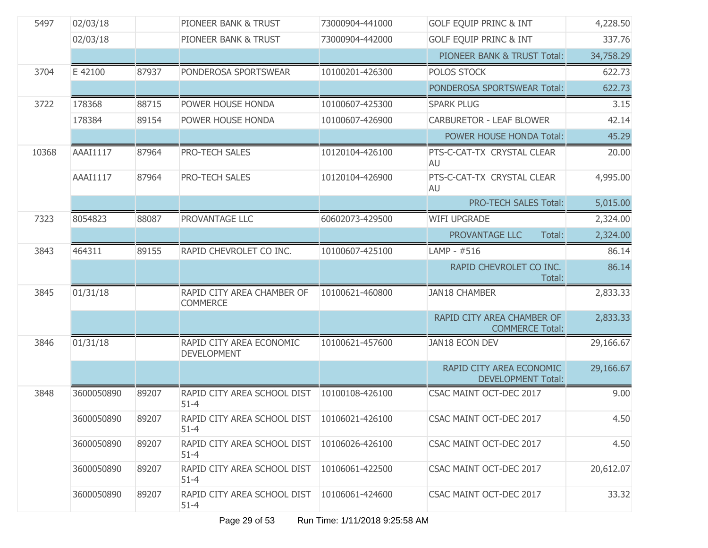| 5497  | 02/03/18        |       | PIONEER BANK & TRUST                                      | 73000904-441000 | <b>GOLF EQUIP PRINC &amp; INT</b>                     | 4,228.50  |
|-------|-----------------|-------|-----------------------------------------------------------|-----------------|-------------------------------------------------------|-----------|
|       | 02/03/18        |       | PIONEER BANK & TRUST                                      | 73000904-442000 | <b>GOLF EQUIP PRINC &amp; INT</b>                     | 337.76    |
|       |                 |       |                                                           |                 | PIONEER BANK & TRUST Total:                           | 34,758.29 |
| 3704  | E 42100         | 87937 | PONDEROSA SPORTSWEAR                                      | 10100201-426300 | POLOS STOCK                                           | 622.73    |
|       |                 |       |                                                           |                 | PONDEROSA SPORTSWEAR Total:                           | 622.73    |
| 3722  | 178368          | 88715 | POWER HOUSE HONDA                                         | 10100607-425300 | <b>SPARK PLUG</b>                                     | 3.15      |
|       | 178384          | 89154 | POWER HOUSE HONDA                                         | 10100607-426900 | <b>CARBURETOR - LEAF BLOWER</b>                       | 42.14     |
|       |                 |       |                                                           |                 | POWER HOUSE HONDA Total:                              | 45.29     |
| 10368 | <b>AAAI1117</b> | 87964 | <b>PRO-TECH SALES</b>                                     | 10120104-426100 | PTS-C-CAT-TX CRYSTAL CLEAR<br>AU                      | 20.00     |
|       | <b>AAAI1117</b> | 87964 | <b>PRO-TECH SALES</b>                                     | 10120104-426900 | PTS-C-CAT-TX CRYSTAL CLEAR<br>AU                      | 4,995.00  |
|       |                 |       |                                                           |                 | <b>PRO-TECH SALES Total:</b>                          | 5,015.00  |
| 7323  | 8054823         | 88087 | PROVANTAGE LLC                                            | 60602073-429500 | <b>WIFI UPGRADE</b>                                   | 2,324.00  |
|       |                 |       |                                                           |                 | PROVANTAGE LLC<br>Total:                              | 2,324.00  |
| 3843  | 464311          | 89155 | RAPID CHEVROLET CO INC.                                   | 10100607-425100 | LAMP - #516                                           | 86.14     |
|       |                 |       |                                                           |                 | RAPID CHEVROLET CO INC.<br>Total:                     | 86.14     |
| 3845  | 01/31/18        |       | RAPID CITY AREA CHAMBER OF<br><b>COMMERCE</b>             | 10100621-460800 | <b>JAN18 CHAMBER</b>                                  | 2,833.33  |
|       |                 |       |                                                           |                 | RAPID CITY AREA CHAMBER OF<br><b>COMMERCE Total:</b>  | 2,833.33  |
| 3846  | 01/31/18        |       | RAPID CITY AREA ECONOMIC<br><b>DEVELOPMENT</b>            | 10100621-457600 | JAN18 ECON DEV                                        | 29,166.67 |
|       |                 |       |                                                           |                 | RAPID CITY AREA ECONOMIC<br><b>DEVELOPMENT Total:</b> | 29,166.67 |
| 3848  | 3600050890      | 89207 | RAPID CITY AREA SCHOOL DIST<br>$51 - 4$                   | 10100108-426100 | CSAC MAINT OCT-DEC 2017                               | 9.00      |
|       | 3600050890      | 89207 | RAPID CITY AREA SCHOOL DIST   10106021-426100<br>$51 - 4$ |                 | CSAC MAINT OCT-DEC 2017                               | 4.50      |
|       | 3600050890      | 89207 | RAPID CITY AREA SCHOOL DIST<br>$51 - 4$                   | 10106026-426100 | CSAC MAINT OCT-DEC 2017                               | 4.50      |
|       | 3600050890      | 89207 | RAPID CITY AREA SCHOOL DIST<br>$51 - 4$                   | 10106061-422500 | CSAC MAINT OCT-DEC 2017                               | 20,612.07 |
|       | 3600050890      | 89207 | RAPID CITY AREA SCHOOL DIST<br>$51 - 4$                   | 10106061-424600 | CSAC MAINT OCT-DEC 2017                               | 33.32     |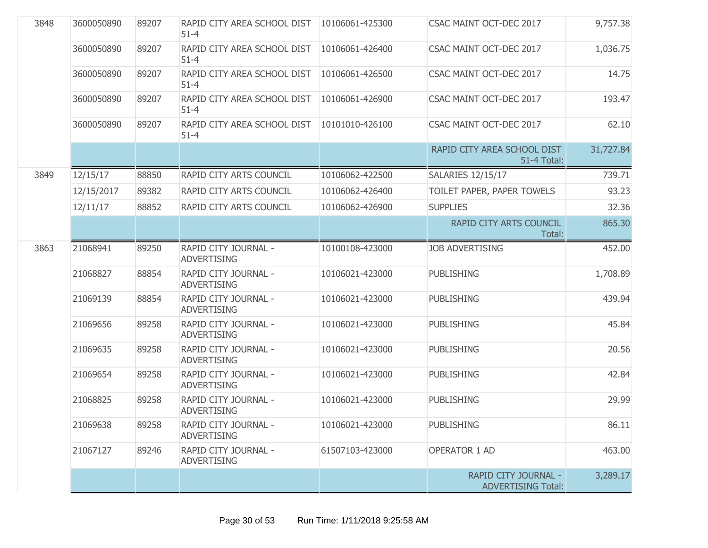| 3848 | 3600050890 | 89207 | RAPID CITY AREA SCHOOL DIST   10106061-425300<br>$51 - 4$ |                 | CSAC MAINT OCT-DEC 2017                           | 9,757.38  |
|------|------------|-------|-----------------------------------------------------------|-----------------|---------------------------------------------------|-----------|
|      | 3600050890 | 89207 | RAPID CITY AREA SCHOOL DIST<br>$51 - 4$                   | 10106061-426400 | CSAC MAINT OCT-DEC 2017                           | 1,036.75  |
|      | 3600050890 | 89207 | RAPID CITY AREA SCHOOL DIST<br>$51 - 4$                   | 10106061-426500 | CSAC MAINT OCT-DEC 2017                           | 14.75     |
|      | 3600050890 | 89207 | RAPID CITY AREA SCHOOL DIST<br>$51 - 4$                   | 10106061-426900 | CSAC MAINT OCT-DEC 2017                           | 193.47    |
|      | 3600050890 | 89207 | RAPID CITY AREA SCHOOL DIST<br>$51 - 4$                   | 10101010-426100 | CSAC MAINT OCT-DEC 2017                           | 62.10     |
|      |            |       |                                                           |                 | RAPID CITY AREA SCHOOL DIST<br>51-4 Total:        | 31,727.84 |
| 3849 | 12/15/17   | 88850 | RAPID CITY ARTS COUNCIL                                   | 10106062-422500 | <b>SALARIES 12/15/17</b>                          | 739.71    |
|      | 12/15/2017 | 89382 | RAPID CITY ARTS COUNCIL                                   | 10106062-426400 | TOILET PAPER, PAPER TOWELS                        | 93.23     |
|      | 12/11/17   | 88852 | RAPID CITY ARTS COUNCIL                                   | 10106062-426900 | <b>SUPPLIES</b>                                   | 32.36     |
|      |            |       |                                                           |                 | RAPID CITY ARTS COUNCIL<br>Total:                 | 865.30    |
| 3863 | 21068941   | 89250 | RAPID CITY JOURNAL -<br><b>ADVERTISING</b>                | 10100108-423000 | <b>JOB ADVERTISING</b>                            | 452.00    |
|      | 21068827   | 88854 | RAPID CITY JOURNAL -<br><b>ADVERTISING</b>                | 10106021-423000 | <b>PUBLISHING</b>                                 | 1,708.89  |
|      | 21069139   | 88854 | RAPID CITY JOURNAL -<br><b>ADVERTISING</b>                | 10106021-423000 | <b>PUBLISHING</b>                                 | 439.94    |
|      | 21069656   | 89258 | RAPID CITY JOURNAL -<br><b>ADVERTISING</b>                | 10106021-423000 | <b>PUBLISHING</b>                                 | 45.84     |
|      | 21069635   | 89258 | RAPID CITY JOURNAL -<br><b>ADVERTISING</b>                | 10106021-423000 | <b>PUBLISHING</b>                                 | 20.56     |
|      | 21069654   | 89258 | RAPID CITY JOURNAL -<br><b>ADVERTISING</b>                | 10106021-423000 | <b>PUBLISHING</b>                                 | 42.84     |
|      | 21068825   | 89258 | RAPID CITY JOURNAL -<br><b>ADVERTISING</b>                | 10106021-423000 | <b>PUBLISHING</b>                                 | 29.99     |
|      | 21069638   | 89258 | RAPID CITY JOURNAL -<br><b>ADVERTISING</b>                | 10106021-423000 | <b>PUBLISHING</b>                                 | 86.11     |
|      | 21067127   | 89246 | RAPID CITY JOURNAL -<br><b>ADVERTISING</b>                | 61507103-423000 | <b>OPERATOR 1 AD</b>                              | 463.00    |
|      |            |       |                                                           |                 | RAPID CITY JOURNAL -<br><b>ADVERTISING Total:</b> | 3,289.17  |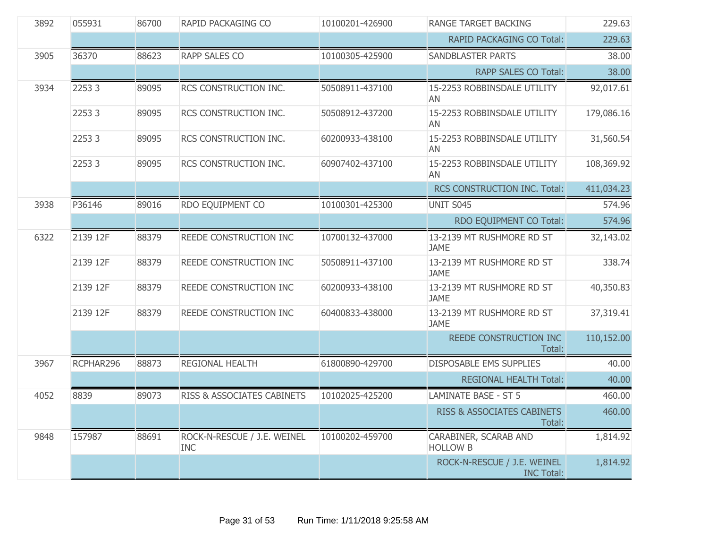| 3892 | 055931    | 86700 | RAPID PACKAGING CO                        | 10100201-426900 | <b>RANGE TARGET BACKING</b>                      | 229.63     |
|------|-----------|-------|-------------------------------------------|-----------------|--------------------------------------------------|------------|
|      |           |       |                                           |                 | RAPID PACKAGING CO Total:                        | 229.63     |
| 3905 | 36370     | 88623 | <b>RAPP SALES CO</b>                      | 10100305-425900 | <b>SANDBLASTER PARTS</b>                         | 38.00      |
|      |           |       |                                           |                 | RAPP SALES CO Total:                             | 38.00      |
| 3934 | 22533     | 89095 | RCS CONSTRUCTION INC.                     | 50508911-437100 | 15-2253 ROBBINSDALE UTILITY<br>AN                | 92,017.61  |
|      | 22533     | 89095 | RCS CONSTRUCTION INC.                     | 50508912-437200 | 15-2253 ROBBINSDALE UTILITY<br>AN                | 179,086.16 |
|      | 22533     | 89095 | RCS CONSTRUCTION INC.                     | 60200933-438100 | 15-2253 ROBBINSDALE UTILITY<br>AN                | 31,560.54  |
|      | 22533     | 89095 | RCS CONSTRUCTION INC.                     | 60907402-437100 | 15-2253 ROBBINSDALE UTILITY<br>AN                | 108,369.92 |
|      |           |       |                                           |                 | RCS CONSTRUCTION INC. Total:                     | 411,034.23 |
| 3938 | P36146    | 89016 | RDO EQUIPMENT CO                          | 10100301-425300 | UNIT S045                                        | 574.96     |
|      |           |       |                                           |                 | RDO EQUIPMENT CO Total:                          | 574.96     |
| 6322 | 2139 12F  | 88379 | REEDE CONSTRUCTION INC                    | 10700132-437000 | 13-2139 MT RUSHMORE RD ST<br><b>JAME</b>         | 32,143.02  |
|      | 2139 12F  | 88379 | REEDE CONSTRUCTION INC                    | 50508911-437100 | 13-2139 MT RUSHMORE RD ST<br><b>JAME</b>         | 338.74     |
|      | 2139 12F  | 88379 | REEDE CONSTRUCTION INC                    | 60200933-438100 | 13-2139 MT RUSHMORE RD ST<br><b>JAME</b>         | 40,350.83  |
|      | 2139 12F  | 88379 | REEDE CONSTRUCTION INC                    | 60400833-438000 | 13-2139 MT RUSHMORE RD ST<br><b>JAME</b>         | 37,319.41  |
|      |           |       |                                           |                 | REEDE CONSTRUCTION INC<br>Total:                 | 110,152.00 |
| 3967 | RCPHAR296 | 88873 | REGIONAL HEALTH                           | 61800890-429700 | <b>DISPOSABLE EMS SUPPLIES</b>                   | 40.00      |
|      |           |       |                                           |                 | <b>REGIONAL HEALTH Total:</b>                    | 40.00      |
| 4052 | 8839      | 89073 | RISS & ASSOCIATES CABINETS                | 10102025-425200 | <b>LAMINATE BASE - ST 5</b>                      | 460.00     |
|      |           |       |                                           |                 | RISS & ASSOCIATES CABINETS<br>Total:             | 460.00     |
| 9848 | 157987    | 88691 | ROCK-N-RESCUE / J.E. WEINEL<br><b>INC</b> | 10100202-459700 | CARABINER, SCARAB AND<br><b>HOLLOW B</b>         | 1,814.92   |
|      |           |       |                                           |                 | ROCK-N-RESCUE / J.E. WEINEL<br><b>INC Total:</b> | 1,814.92   |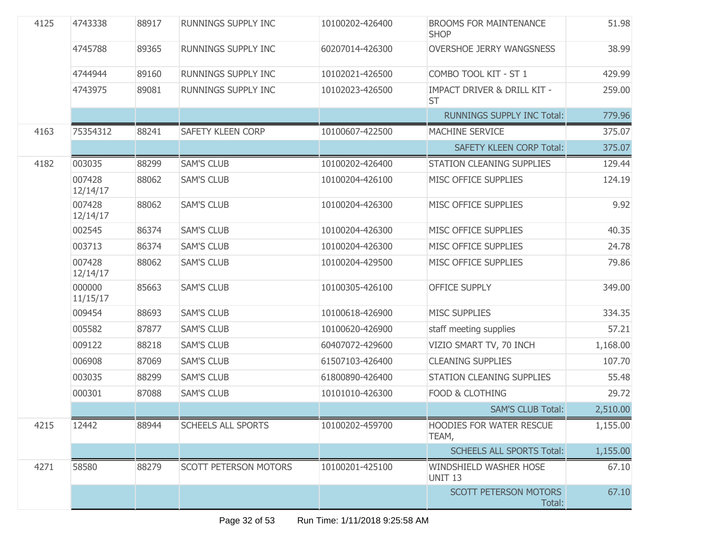| 4125 | 4743338            | 88917 | RUNNINGS SUPPLY INC          | 10100202-426400 | <b>BROOMS FOR MAINTENANCE</b><br><b>SHOP</b>        | 51.98    |
|------|--------------------|-------|------------------------------|-----------------|-----------------------------------------------------|----------|
|      | 4745788            | 89365 | <b>RUNNINGS SUPPLY INC</b>   | 60207014-426300 | <b>OVERSHOE JERRY WANGSNESS</b>                     | 38.99    |
|      | 4744944            | 89160 | RUNNINGS SUPPLY INC          | 10102021-426500 | COMBO TOOL KIT - ST 1                               | 429.99   |
|      | 4743975            | 89081 | RUNNINGS SUPPLY INC          | 10102023-426500 | <b>IMPACT DRIVER &amp; DRILL KIT -</b><br><b>ST</b> | 259.00   |
|      |                    |       |                              |                 | <b>RUNNINGS SUPPLY INC Total:</b>                   | 779.96   |
| 4163 | 75354312           | 88241 | <b>SAFETY KLEEN CORP</b>     | 10100607-422500 | MACHINE SERVICE                                     | 375.07   |
|      |                    |       |                              |                 | <b>SAFETY KLEEN CORP Total:</b>                     | 375.07   |
| 4182 | 003035             | 88299 | <b>SAM'S CLUB</b>            | 10100202-426400 | STATION CLEANING SUPPLIES                           | 129.44   |
|      | 007428<br>12/14/17 | 88062 | <b>SAM'S CLUB</b>            | 10100204-426100 | MISC OFFICE SUPPLIES                                | 124.19   |
|      | 007428<br>12/14/17 | 88062 | <b>SAM'S CLUB</b>            | 10100204-426300 | MISC OFFICE SUPPLIES                                | 9.92     |
|      | 002545             | 86374 | <b>SAM'S CLUB</b>            | 10100204-426300 | MISC OFFICE SUPPLIES                                | 40.35    |
|      | 003713             | 86374 | <b>SAM'S CLUB</b>            | 10100204-426300 | MISC OFFICE SUPPLIES                                | 24.78    |
|      | 007428<br>12/14/17 | 88062 | <b>SAM'S CLUB</b>            | 10100204-429500 | MISC OFFICE SUPPLIES                                | 79.86    |
|      | 000000<br>11/15/17 | 85663 | <b>SAM'S CLUB</b>            | 10100305-426100 | <b>OFFICE SUPPLY</b>                                | 349.00   |
|      | 009454             | 88693 | <b>SAM'S CLUB</b>            | 10100618-426900 | <b>MISC SUPPLIES</b>                                | 334.35   |
|      | 005582             | 87877 | <b>SAM'S CLUB</b>            | 10100620-426900 | staff meeting supplies                              | 57.21    |
|      | 009122             | 88218 | <b>SAM'S CLUB</b>            | 60407072-429600 | VIZIO SMART TV, 70 INCH                             | 1,168.00 |
|      | 006908             | 87069 | <b>SAM'S CLUB</b>            | 61507103-426400 | <b>CLEANING SUPPLIES</b>                            | 107.70   |
|      | 003035             | 88299 | <b>SAM'S CLUB</b>            | 61800890-426400 | STATION CLEANING SUPPLIES                           | 55.48    |
|      | 000301             | 87088 | <b>SAM'S CLUB</b>            | 10101010-426300 | FOOD & CLOTHING                                     | 29.72    |
|      |                    |       |                              |                 | <b>SAM'S CLUB Total:</b>                            | 2,510.00 |
| 4215 | 12442              | 88944 | <b>SCHEELS ALL SPORTS</b>    | 10100202-459700 | <b>HOODIES FOR WATER RESCUE</b><br>TEAM,            | 1,155.00 |
|      |                    |       |                              |                 | <b>SCHEELS ALL SPORTS Total:</b>                    | 1,155.00 |
| 4271 | 58580              | 88279 | <b>SCOTT PETERSON MOTORS</b> | 10100201-425100 | WINDSHIELD WASHER HOSE<br><b>UNIT 13</b>            | 67.10    |
|      |                    |       |                              |                 | <b>SCOTT PETERSON MOTORS</b><br>Total:              | 67.10    |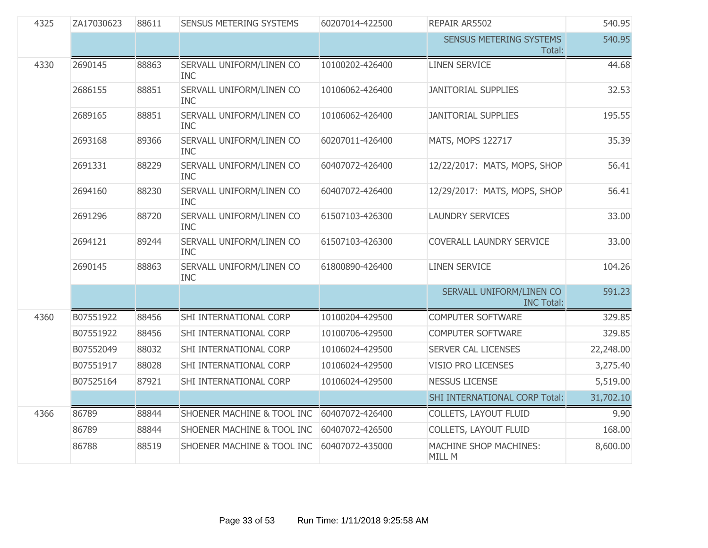| 4325 | ZA17030623 | 88611 | <b>SENSUS METERING SYSTEMS</b>         | 60207014-422500 | REPAIR AR5502                                 | 540.95    |
|------|------------|-------|----------------------------------------|-----------------|-----------------------------------------------|-----------|
|      |            |       |                                        |                 | SENSUS METERING SYSTEMS<br>Total:             | 540.95    |
| 4330 | 2690145    | 88863 | SERVALL UNIFORM/LINEN CO<br><b>INC</b> | 10100202-426400 | <b>LINEN SERVICE</b>                          | 44.68     |
|      | 2686155    | 88851 | SERVALL UNIFORM/LINEN CO<br><b>INC</b> | 10106062-426400 | <b>JANITORIAL SUPPLIES</b>                    | 32.53     |
|      | 2689165    | 88851 | SERVALL UNIFORM/LINEN CO<br><b>INC</b> | 10106062-426400 | <b>JANITORIAL SUPPLIES</b>                    | 195.55    |
|      | 2693168    | 89366 | SERVALL UNIFORM/LINEN CO<br><b>INC</b> | 60207011-426400 | MATS, MOPS 122717                             | 35.39     |
|      | 2691331    | 88229 | SERVALL UNIFORM/LINEN CO<br><b>INC</b> | 60407072-426400 | 12/22/2017: MATS, MOPS, SHOP                  | 56.41     |
|      | 2694160    | 88230 | SERVALL UNIFORM/LINEN CO<br><b>INC</b> | 60407072-426400 | 12/29/2017: MATS, MOPS, SHOP                  | 56.41     |
|      | 2691296    | 88720 | SERVALL UNIFORM/LINEN CO<br><b>INC</b> | 61507103-426300 | <b>LAUNDRY SERVICES</b>                       | 33.00     |
|      | 2694121    | 89244 | SERVALL UNIFORM/LINEN CO<br><b>INC</b> | 61507103-426300 | COVERALL LAUNDRY SERVICE                      | 33.00     |
|      | 2690145    | 88863 | SERVALL UNIFORM/LINEN CO<br><b>INC</b> | 61800890-426400 | <b>LINEN SERVICE</b>                          | 104.26    |
|      |            |       |                                        |                 | SERVALL UNIFORM/LINEN CO<br><b>INC Total:</b> | 591.23    |
| 4360 | B07551922  | 88456 | SHI INTERNATIONAL CORP                 | 10100204-429500 | <b>COMPUTER SOFTWARE</b>                      | 329.85    |
|      | B07551922  | 88456 | SHI INTERNATIONAL CORP                 | 10100706-429500 | <b>COMPUTER SOFTWARE</b>                      | 329.85    |
|      | B07552049  | 88032 | SHI INTERNATIONAL CORP                 | 10106024-429500 | SERVER CAL LICENSES                           | 22,248.00 |
|      | B07551917  | 88028 | SHI INTERNATIONAL CORP                 | 10106024-429500 | <b>VISIO PRO LICENSES</b>                     | 3,275.40  |
|      | B07525164  | 87921 | SHI INTERNATIONAL CORP                 | 10106024-429500 | <b>NESSUS LICENSE</b>                         | 5,519.00  |
|      |            |       |                                        |                 | SHI INTERNATIONAL CORP Total:                 | 31,702.10 |
| 4366 | 86789      | 88844 | SHOENER MACHINE & TOOL INC             | 60407072-426400 | <b>COLLETS, LAYOUT FLUID</b>                  | 9.90      |
|      | 86789      | 88844 | SHOENER MACHINE & TOOL INC             | 60407072-426500 | COLLETS, LAYOUT FLUID                         | 168.00    |
|      | 86788      | 88519 | SHOENER MACHINE & TOOL INC             | 60407072-435000 | MACHINE SHOP MACHINES:<br>MILL M              | 8,600.00  |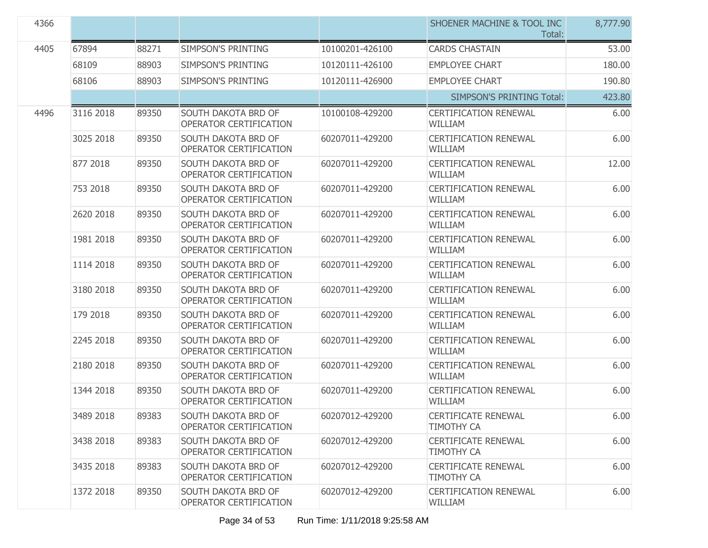| 4366 |           |       |                                                      |                 | SHOENER MACHINE & TOOL INC<br>Total:            | 8,777.90 |
|------|-----------|-------|------------------------------------------------------|-----------------|-------------------------------------------------|----------|
| 4405 | 67894     | 88271 | SIMPSON'S PRINTING                                   | 10100201-426100 | <b>CARDS CHASTAIN</b>                           | 53.00    |
|      | 68109     | 88903 | SIMPSON'S PRINTING                                   | 10120111-426100 | <b>EMPLOYEE CHART</b>                           | 180.00   |
|      | 68106     | 88903 | SIMPSON'S PRINTING                                   | 10120111-426900 | <b>EMPLOYEE CHART</b>                           | 190.80   |
|      |           |       |                                                      |                 | <b>SIMPSON'S PRINTING Total:</b>                | 423.80   |
| 4496 | 3116 2018 | 89350 | SOUTH DAKOTA BRD OF<br>OPERATOR CERTIFICATION        | 10100108-429200 | <b>CERTIFICATION RENEWAL</b><br><b>WILLIAM</b>  | 6.00     |
|      | 3025 2018 | 89350 | SOUTH DAKOTA BRD OF<br>OPERATOR CERTIFICATION        | 60207011-429200 | <b>CERTIFICATION RENEWAL</b><br><b>WILLIAM</b>  | 6.00     |
|      | 877 2018  | 89350 | <b>SOUTH DAKOTA BRD OF</b><br>OPERATOR CERTIFICATION | 60207011-429200 | <b>CERTIFICATION RENEWAL</b><br><b>WILLIAM</b>  | 12.00    |
|      | 753 2018  | 89350 | SOUTH DAKOTA BRD OF<br>OPERATOR CERTIFICATION        | 60207011-429200 | <b>CERTIFICATION RENEWAL</b><br><b>WILLIAM</b>  | 6.00     |
|      | 2620 2018 | 89350 | <b>SOUTH DAKOTA BRD OF</b><br>OPERATOR CERTIFICATION | 60207011-429200 | <b>CERTIFICATION RENEWAL</b><br><b>WILLIAM</b>  | 6.00     |
|      | 1981 2018 | 89350 | SOUTH DAKOTA BRD OF<br>OPERATOR CERTIFICATION        | 60207011-429200 | <b>CERTIFICATION RENEWAL</b><br><b>WILLIAM</b>  | 6.00     |
|      | 1114 2018 | 89350 | SOUTH DAKOTA BRD OF<br>OPERATOR CERTIFICATION        | 60207011-429200 | <b>CERTIFICATION RENEWAL</b><br><b>WILLIAM</b>  | 6.00     |
|      | 3180 2018 | 89350 | SOUTH DAKOTA BRD OF<br>OPERATOR CERTIFICATION        | 60207011-429200 | <b>CERTIFICATION RENEWAL</b><br><b>WILLIAM</b>  | 6.00     |
|      | 179 2018  | 89350 | SOUTH DAKOTA BRD OF<br>OPERATOR CERTIFICATION        | 60207011-429200 | <b>CERTIFICATION RENEWAL</b><br><b>WILLIAM</b>  | 6.00     |
|      | 2245 2018 | 89350 | SOUTH DAKOTA BRD OF<br>OPERATOR CERTIFICATION        | 60207011-429200 | <b>CERTIFICATION RENEWAL</b><br><b>WILLIAM</b>  | 6.00     |
|      | 2180 2018 | 89350 | SOUTH DAKOTA BRD OF<br>OPERATOR CERTIFICATION        | 60207011-429200 | <b>CERTIFICATION RENEWAL</b><br>WILLIAM         | 6.00     |
|      | 1344 2018 | 89350 | SOUTH DAKOTA BRD OF<br>OPERATOR CERTIFICATION        | 60207011-429200 | <b>CERTIFICATION RENEWAL</b><br><b>WILLIAM</b>  | 6.00     |
|      | 3489 2018 | 89383 | SOUTH DAKOTA BRD OF<br>OPERATOR CERTIFICATION        | 60207012-429200 | <b>CERTIFICATE RENEWAL</b><br><b>TIMOTHY CA</b> | 6.00     |
|      | 3438 2018 | 89383 | SOUTH DAKOTA BRD OF<br>OPERATOR CERTIFICATION        | 60207012-429200 | <b>CERTIFICATE RENEWAL</b><br><b>TIMOTHY CA</b> | 6.00     |
|      | 3435 2018 | 89383 | SOUTH DAKOTA BRD OF<br>OPERATOR CERTIFICATION        | 60207012-429200 | <b>CERTIFICATE RENEWAL</b><br><b>TIMOTHY CA</b> | 6.00     |
|      | 1372 2018 | 89350 | SOUTH DAKOTA BRD OF<br>OPERATOR CERTIFICATION        | 60207012-429200 | <b>CERTIFICATION RENEWAL</b><br>WILLIAM         | 6.00     |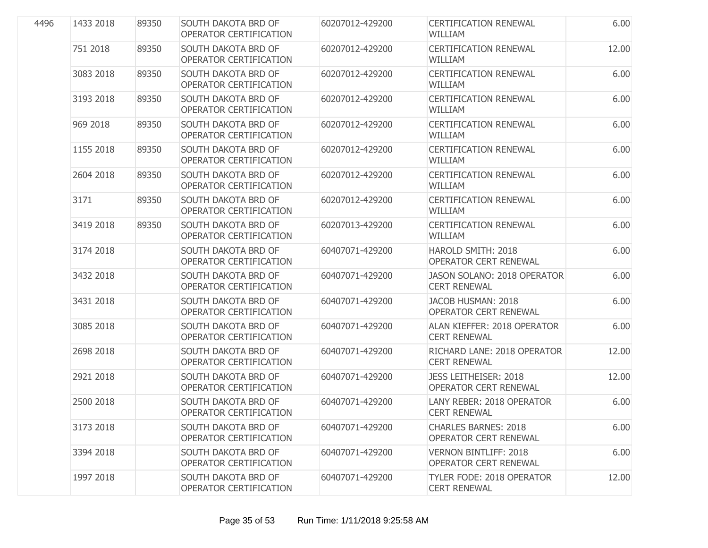| 4496 | 1433 2018 | 89350 | <b>SOUTH DAKOTA BRD OF</b><br>OPERATOR CERTIFICATION | 60207012-429200 | <b>CERTIFICATION RENEWAL</b><br><b>WILLIAM</b>              | 6.00  |
|------|-----------|-------|------------------------------------------------------|-----------------|-------------------------------------------------------------|-------|
|      | 751 2018  | 89350 | <b>SOUTH DAKOTA BRD OF</b><br>OPERATOR CERTIFICATION | 60207012-429200 | <b>CERTIFICATION RENEWAL</b><br><b>WILLIAM</b>              | 12.00 |
|      | 3083 2018 | 89350 | <b>SOUTH DAKOTA BRD OF</b><br>OPERATOR CERTIFICATION | 60207012-429200 | <b>CERTIFICATION RENEWAL</b><br><b>WILLIAM</b>              | 6.00  |
|      | 3193 2018 | 89350 | SOUTH DAKOTA BRD OF<br>OPERATOR CERTIFICATION        | 60207012-429200 | <b>CERTIFICATION RENEWAL</b><br><b>WILLIAM</b>              | 6.00  |
|      | 969 2018  | 89350 | <b>SOUTH DAKOTA BRD OF</b><br>OPERATOR CERTIFICATION | 60207012-429200 | <b>CERTIFICATION RENEWAL</b><br><b>WILLIAM</b>              | 6.00  |
|      | 1155 2018 | 89350 | SOUTH DAKOTA BRD OF<br>OPERATOR CERTIFICATION        | 60207012-429200 | <b>CERTIFICATION RENEWAL</b><br><b>WILLIAM</b>              | 6.00  |
|      | 2604 2018 | 89350 | SOUTH DAKOTA BRD OF<br>OPERATOR CERTIFICATION        | 60207012-429200 | <b>CERTIFICATION RENEWAL</b><br><b>WILLIAM</b>              | 6.00  |
|      | 3171      | 89350 | SOUTH DAKOTA BRD OF<br>OPERATOR CERTIFICATION        | 60207012-429200 | <b>CERTIFICATION RENEWAL</b><br><b>WILLIAM</b>              | 6.00  |
|      | 3419 2018 | 89350 | SOUTH DAKOTA BRD OF<br>OPERATOR CERTIFICATION        | 60207013-429200 | <b>CERTIFICATION RENEWAL</b><br><b>WILLIAM</b>              | 6.00  |
|      | 3174 2018 |       | SOUTH DAKOTA BRD OF<br>OPERATOR CERTIFICATION        | 60407071-429200 | HAROLD SMITH: 2018<br>OPERATOR CERT RENEWAL                 | 6.00  |
|      | 3432 2018 |       | SOUTH DAKOTA BRD OF<br>OPERATOR CERTIFICATION        | 60407071-429200 | JASON SOLANO: 2018 OPERATOR<br><b>CERT RENEWAL</b>          | 6.00  |
|      | 3431 2018 |       | SOUTH DAKOTA BRD OF<br>OPERATOR CERTIFICATION        | 60407071-429200 | JACOB HUSMAN: 2018<br><b>OPERATOR CERT RENEWAL</b>          | 6.00  |
|      | 3085 2018 |       | SOUTH DAKOTA BRD OF<br>OPERATOR CERTIFICATION        | 60407071-429200 | ALAN KIEFFER: 2018 OPERATOR<br><b>CERT RENEWAL</b>          | 6.00  |
|      | 2698 2018 |       | SOUTH DAKOTA BRD OF<br>OPERATOR CERTIFICATION        | 60407071-429200 | RICHARD LANE: 2018 OPERATOR<br><b>CERT RENEWAL</b>          | 12.00 |
|      | 2921 2018 |       | SOUTH DAKOTA BRD OF<br>OPERATOR CERTIFICATION        | 60407071-429200 | <b>JESS LEITHEISER: 2018</b><br>OPERATOR CERT RENEWAL       | 12.00 |
|      | 2500 2018 |       | SOUTH DAKOTA BRD OF<br>OPERATOR CERTIFICATION        | 60407071-429200 | LANY REBER: 2018 OPERATOR<br><b>CERT RENEWAL</b>            | 6.00  |
|      | 3173 2018 |       | SOUTH DAKOTA BRD OF<br>OPERATOR CERTIFICATION        | 60407071-429200 | <b>CHARLES BARNES: 2018</b><br><b>OPERATOR CERT RENEWAL</b> | 6.00  |
|      | 3394 2018 |       | SOUTH DAKOTA BRD OF<br>OPERATOR CERTIFICATION        | 60407071-429200 | <b>VERNON BINTLIFF: 2018</b><br>OPERATOR CERT RENEWAL       | 6.00  |
|      | 1997 2018 |       | SOUTH DAKOTA BRD OF<br>OPERATOR CERTIFICATION        | 60407071-429200 | TYLER FODE: 2018 OPERATOR<br><b>CERT RENEWAL</b>            | 12.00 |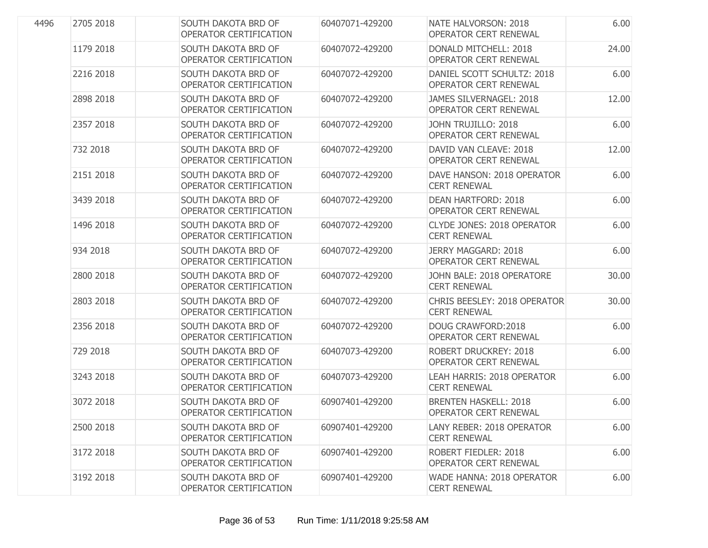| 4496 | 2705 2018 | SOUTH DAKOTA BRD OF<br>OPERATOR CERTIFICATION        | 60407071-429200 | NATE HALVORSON: 2018<br><b>OPERATOR CERT RENEWAL</b>         | 6.00  |
|------|-----------|------------------------------------------------------|-----------------|--------------------------------------------------------------|-------|
|      | 1179 2018 | SOUTH DAKOTA BRD OF<br>OPERATOR CERTIFICATION        | 60407072-429200 | DONALD MITCHELL: 2018<br>OPERATOR CERT RENEWAL               | 24.00 |
|      | 2216 2018 | SOUTH DAKOTA BRD OF<br>OPERATOR CERTIFICATION        | 60407072-429200 | DANIEL SCOTT SCHULTZ: 2018<br>OPERATOR CERT RENEWAL          | 6.00  |
|      | 2898 2018 | SOUTH DAKOTA BRD OF<br>OPERATOR CERTIFICATION        | 60407072-429200 | JAMES SILVERNAGEL: 2018<br><b>OPERATOR CERT RENEWAL</b>      | 12.00 |
|      | 2357 2018 | SOUTH DAKOTA BRD OF<br>OPERATOR CERTIFICATION        | 60407072-429200 | JOHN TRUJILLO: 2018<br>OPERATOR CERT RENEWAL                 | 6.00  |
|      | 732 2018  | SOUTH DAKOTA BRD OF<br>OPERATOR CERTIFICATION        | 60407072-429200 | DAVID VAN CLEAVE: 2018<br>OPERATOR CERT RENEWAL              | 12.00 |
|      | 2151 2018 | SOUTH DAKOTA BRD OF<br>OPERATOR CERTIFICATION        | 60407072-429200 | DAVE HANSON: 2018 OPERATOR<br><b>CERT RENEWAL</b>            | 6.00  |
|      | 3439 2018 | SOUTH DAKOTA BRD OF<br>OPERATOR CERTIFICATION        | 60407072-429200 | <b>DEAN HARTFORD: 2018</b><br><b>OPERATOR CERT RENEWAL</b>   | 6.00  |
|      | 1496 2018 | SOUTH DAKOTA BRD OF<br>OPERATOR CERTIFICATION        | 60407072-429200 | <b>CLYDE JONES: 2018 OPERATOR</b><br><b>CERT RENEWAL</b>     | 6.00  |
|      | 934 2018  | SOUTH DAKOTA BRD OF<br>OPERATOR CERTIFICATION        | 60407072-429200 | <b>JERRY MAGGARD: 2018</b><br>OPERATOR CERT RENEWAL          | 6.00  |
|      | 2800 2018 | <b>SOUTH DAKOTA BRD OF</b><br>OPERATOR CERTIFICATION | 60407072-429200 | JOHN BALE: 2018 OPERATORE<br><b>CERT RENEWAL</b>             | 30.00 |
|      | 2803 2018 | SOUTH DAKOTA BRD OF<br>OPERATOR CERTIFICATION        | 60407072-429200 | CHRIS BEESLEY: 2018 OPERATOR<br><b>CERT RENEWAL</b>          | 30.00 |
|      | 2356 2018 | SOUTH DAKOTA BRD OF<br>OPERATOR CERTIFICATION        | 60407072-429200 | DOUG CRAWFORD: 2018<br>OPERATOR CERT RENEWAL                 | 6.00  |
|      | 729 2018  | SOUTH DAKOTA BRD OF<br>OPERATOR CERTIFICATION        | 60407073-429200 | <b>ROBERT DRUCKREY: 2018</b><br><b>OPERATOR CERT RENEWAL</b> | 6.00  |
|      | 3243 2018 | SOUTH DAKOTA BRD OF<br>OPERATOR CERTIFICATION        | 60407073-429200 | LEAH HARRIS: 2018 OPERATOR<br><b>CERT RENEWAL</b>            | 6.00  |
|      | 3072 2018 | SOUTH DAKOTA BRD OF<br>OPERATOR CERTIFICATION        | 60907401-429200 | <b>BRENTEN HASKELL: 2018</b><br>OPERATOR CERT RENEWAL        | 6.00  |
|      | 2500 2018 | SOUTH DAKOTA BRD OF<br>OPERATOR CERTIFICATION        | 60907401-429200 | LANY REBER: 2018 OPERATOR<br><b>CERT RENEWAL</b>             | 6.00  |
|      | 3172 2018 | SOUTH DAKOTA BRD OF<br>OPERATOR CERTIFICATION        | 60907401-429200 | <b>ROBERT FIEDLER: 2018</b><br><b>OPERATOR CERT RENEWAL</b>  | 6.00  |
|      | 3192 2018 | SOUTH DAKOTA BRD OF<br>OPERATOR CERTIFICATION        | 60907401-429200 | WADE HANNA: 2018 OPERATOR<br><b>CERT RENEWAL</b>             | 6.00  |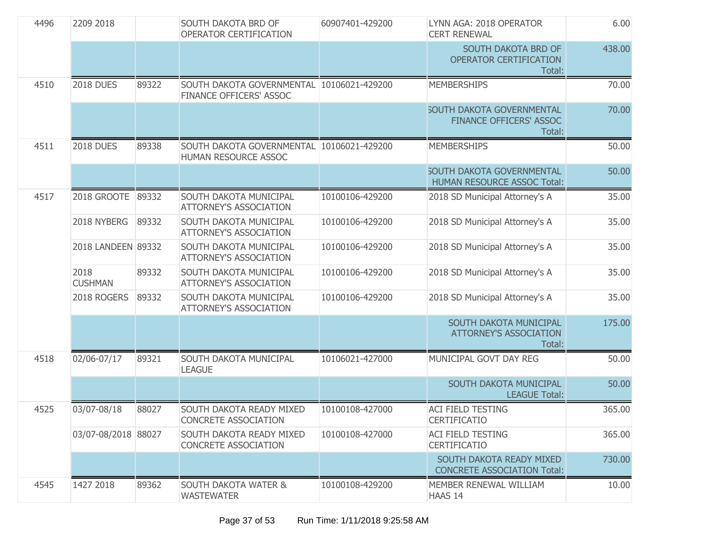| 4496 | 2209 2018              |       | SOUTH DAKOTA BRD OF<br>60907401-429200<br>LYNN AGA: 2018 OPERATOR<br>OPERATOR CERTIFICATION<br><b>CERT RENEWAL</b> |                 | 6.00                                                                         |        |
|------|------------------------|-------|--------------------------------------------------------------------------------------------------------------------|-----------------|------------------------------------------------------------------------------|--------|
|      |                        |       |                                                                                                                    |                 | SOUTH DAKOTA BRD OF<br>OPERATOR CERTIFICATION<br>Total:                      | 438.00 |
| 4510 | <b>2018 DUES</b>       | 89322 | SOUTH DAKOTA GOVERNMENTAL 10106021-429200<br>FINANCE OFFICERS' ASSOC                                               |                 | <b>MEMBERSHIPS</b>                                                           | 70.00  |
|      |                        |       |                                                                                                                    |                 | <b>SOUTH DAKOTA GOVERNMENTAL</b><br><b>FINANCE OFFICERS' ASSOC</b><br>Total: | 70.00  |
| 4511 | <b>2018 DUES</b>       | 89338 | SOUTH DAKOTA GOVERNMENTAL 10106021-429200<br>HUMAN RESOURCE ASSOC                                                  |                 | <b>MEMBERSHIPS</b>                                                           | 50.00  |
|      |                        |       |                                                                                                                    |                 | <b>SOUTH DAKOTA GOVERNMENTAL</b><br><b>HUMAN RESOURCE ASSOC Total:</b>       | 50.00  |
| 4517 | 2018 GROOTE 89332      |       | SOUTH DAKOTA MUNICIPAL<br><b>ATTORNEY'S ASSOCIATION</b>                                                            | 10100106-429200 | 2018 SD Municipal Attorney's A                                               | 35.00  |
|      | 2018 NYBERG            | 89332 | SOUTH DAKOTA MUNICIPAL<br><b>ATTORNEY'S ASSOCIATION</b>                                                            | 10100106-429200 | 2018 SD Municipal Attorney's A                                               | 35.00  |
|      | 2018 LANDEEN 89332     |       | <b>SOUTH DAKOTA MUNICIPAL</b><br><b>ATTORNEY'S ASSOCIATION</b>                                                     | 10100106-429200 | 2018 SD Municipal Attorney's A                                               | 35.00  |
|      | 2018<br><b>CUSHMAN</b> | 89332 | SOUTH DAKOTA MUNICIPAL<br><b>ATTORNEY'S ASSOCIATION</b>                                                            | 10100106-429200 | 2018 SD Municipal Attorney's A                                               | 35.00  |
|      | 2018 ROGERS            | 89332 | SOUTH DAKOTA MUNICIPAL<br><b>ATTORNEY'S ASSOCIATION</b>                                                            | 10100106-429200 | 2018 SD Municipal Attorney's A                                               | 35.00  |
|      |                        |       |                                                                                                                    |                 | SOUTH DAKOTA MUNICIPAL<br><b>ATTORNEY'S ASSOCIATION</b><br>Total:            | 175.00 |
| 4518 | 02/06-07/17            | 89321 | SOUTH DAKOTA MUNICIPAL<br><b>LEAGUE</b>                                                                            | 10106021-427000 | MUNICIPAL GOVT DAY REG                                                       | 50.00  |
|      |                        |       |                                                                                                                    |                 | SOUTH DAKOTA MUNICIPAL<br><b>LEAGUE Total:</b>                               | 50.00  |
| 4525 | 03/07-08/18            | 88027 | SOUTH DAKOTA READY MIXED<br>CONCRETE ASSOCIATION                                                                   | 10100108-427000 | <b>ACI FIELD TESTING</b><br><b>CERTIFICATIO</b>                              | 365.00 |
|      | 03/07-08/2018 88027    |       | <b>SOUTH DAKOTA READY MIXED</b><br><b>CONCRETE ASSOCIATION</b>                                                     | 10100108-427000 | <b>ACI FIELD TESTING</b><br><b>CERTIFICATIO</b>                              | 365.00 |
|      |                        |       |                                                                                                                    |                 | SOUTH DAKOTA READY MIXED<br><b>CONCRETE ASSOCIATION Total:</b>               | 730.00 |
| 4545 | 1427 2018              | 89362 | <b>SOUTH DAKOTA WATER &amp;</b><br><b>WASTEWATER</b>                                                               | 10100108-429200 | MEMBER RENEWAL WILLIAM<br>HAAS 14                                            | 10.00  |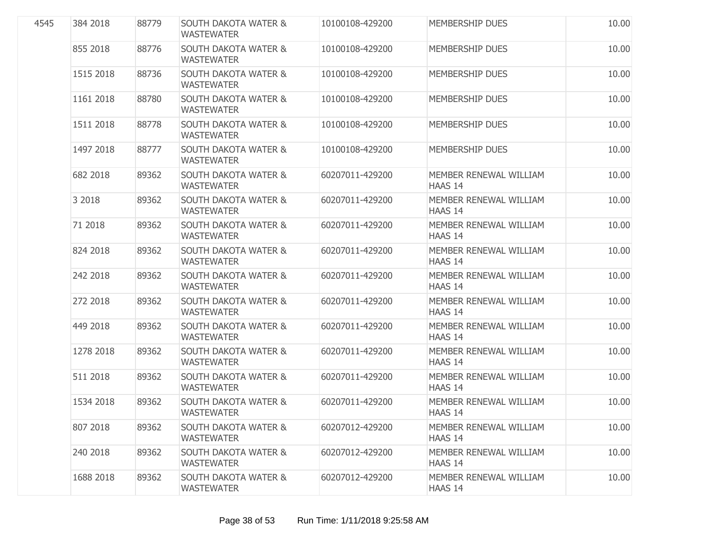| 4545 | 384 2018  | 88779 | <b>SOUTH DAKOTA WATER &amp;</b><br><b>WASTEWATER</b> | 10100108-429200 | <b>MEMBERSHIP DUES</b>                   | 10.00 |
|------|-----------|-------|------------------------------------------------------|-----------------|------------------------------------------|-------|
|      | 855 2018  | 88776 | <b>SOUTH DAKOTA WATER &amp;</b><br><b>WASTEWATER</b> | 10100108-429200 | <b>MEMBERSHIP DUES</b>                   | 10.00 |
|      | 1515 2018 | 88736 | <b>SOUTH DAKOTA WATER &amp;</b><br><b>WASTEWATER</b> | 10100108-429200 | <b>MEMBERSHIP DUES</b>                   | 10.00 |
|      | 1161 2018 | 88780 | <b>SOUTH DAKOTA WATER &amp;</b><br><b>WASTEWATER</b> | 10100108-429200 | <b>MEMBERSHIP DUES</b>                   | 10.00 |
|      | 1511 2018 | 88778 | <b>SOUTH DAKOTA WATER &amp;</b><br><b>WASTEWATER</b> | 10100108-429200 | <b>MEMBERSHIP DUES</b>                   | 10.00 |
|      | 1497 2018 | 88777 | <b>SOUTH DAKOTA WATER &amp;</b><br><b>WASTEWATER</b> | 10100108-429200 | <b>MEMBERSHIP DUES</b>                   | 10.00 |
|      | 682 2018  | 89362 | <b>SOUTH DAKOTA WATER &amp;</b><br><b>WASTEWATER</b> | 60207011-429200 | MEMBER RENEWAL WILLIAM<br><b>HAAS 14</b> | 10.00 |
|      | 3 2018    | 89362 | <b>SOUTH DAKOTA WATER &amp;</b><br><b>WASTEWATER</b> | 60207011-429200 | MEMBER RENEWAL WILLIAM<br>HAAS 14        | 10.00 |
|      | 71 2018   | 89362 | <b>SOUTH DAKOTA WATER &amp;</b><br><b>WASTEWATER</b> | 60207011-429200 | MEMBER RENEWAL WILLIAM<br>HAAS 14        | 10.00 |
|      | 824 2018  | 89362 | <b>SOUTH DAKOTA WATER &amp;</b><br><b>WASTEWATER</b> | 60207011-429200 | MEMBER RENEWAL WILLIAM<br>HAAS 14        | 10.00 |
|      | 242 2018  | 89362 | <b>SOUTH DAKOTA WATER &amp;</b><br><b>WASTEWATER</b> | 60207011-429200 | MEMBER RENEWAL WILLIAM<br>HAAS 14        | 10.00 |
|      | 272 2018  | 89362 | <b>SOUTH DAKOTA WATER &amp;</b><br><b>WASTEWATER</b> | 60207011-429200 | MEMBER RENEWAL WILLIAM<br>HAAS 14        | 10.00 |
|      | 449 2018  | 89362 | <b>SOUTH DAKOTA WATER &amp;</b><br><b>WASTEWATER</b> | 60207011-429200 | MEMBER RENEWAL WILLIAM<br>HAAS 14        | 10.00 |
|      | 1278 2018 | 89362 | <b>SOUTH DAKOTA WATER &amp;</b><br><b>WASTEWATER</b> | 60207011-429200 | MEMBER RENEWAL WILLIAM<br><b>HAAS 14</b> | 10.00 |
|      | 511 2018  | 89362 | <b>SOUTH DAKOTA WATER &amp;</b><br><b>WASTEWATER</b> | 60207011-429200 | MEMBER RENEWAL WILLIAM<br>HAAS 14        | 10.00 |
|      | 1534 2018 | 89362 | <b>SOUTH DAKOTA WATER &amp;</b><br><b>WASTEWATER</b> | 60207011-429200 | MEMBER RENEWAL WILLIAM<br><b>HAAS 14</b> | 10.00 |
|      | 807 2018  | 89362 | <b>SOUTH DAKOTA WATER &amp;</b><br><b>WASTEWATER</b> | 60207012-429200 | MEMBER RENEWAL WILLIAM<br>HAAS 14        | 10.00 |
|      | 240 2018  | 89362 | <b>SOUTH DAKOTA WATER &amp;</b><br><b>WASTEWATER</b> | 60207012-429200 | MEMBER RENEWAL WILLIAM<br>HAAS 14        | 10.00 |
|      | 1688 2018 | 89362 | <b>SOUTH DAKOTA WATER &amp;</b><br><b>WASTEWATER</b> | 60207012-429200 | MEMBER RENEWAL WILLIAM<br>HAAS 14        | 10.00 |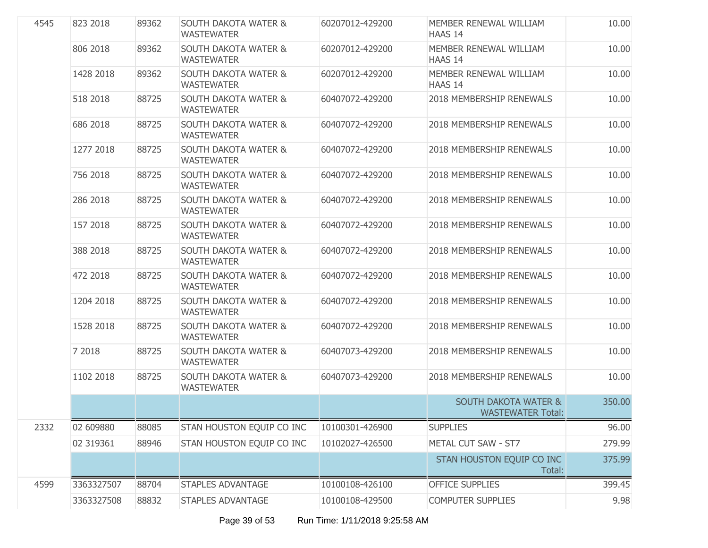| 4545 | 823 2018   | 89362 | <b>SOUTH DAKOTA WATER &amp;</b><br><b>WASTEWATER</b> | 60207012-429200 | MEMBER RENEWAL WILLIAM<br>HAAS 14                           | 10.00  |
|------|------------|-------|------------------------------------------------------|-----------------|-------------------------------------------------------------|--------|
|      | 806 2018   | 89362 | <b>SOUTH DAKOTA WATER &amp;</b><br><b>WASTEWATER</b> | 60207012-429200 | MEMBER RENEWAL WILLIAM<br>HAAS 14                           | 10.00  |
|      | 1428 2018  | 89362 | <b>SOUTH DAKOTA WATER &amp;</b><br><b>WASTEWATER</b> | 60207012-429200 | MEMBER RENEWAL WILLIAM<br>HAAS 14                           | 10.00  |
|      | 518 2018   | 88725 | <b>SOUTH DAKOTA WATER &amp;</b><br><b>WASTEWATER</b> | 60407072-429200 | 2018 MEMBERSHIP RENEWALS                                    | 10.00  |
|      | 686 2018   | 88725 | <b>SOUTH DAKOTA WATER &amp;</b><br><b>WASTEWATER</b> | 60407072-429200 | 2018 MEMBERSHIP RENEWALS                                    | 10.00  |
|      | 1277 2018  | 88725 | <b>SOUTH DAKOTA WATER &amp;</b><br><b>WASTEWATER</b> | 60407072-429200 | 2018 MEMBERSHIP RENEWALS                                    | 10.00  |
|      | 756 2018   | 88725 | <b>SOUTH DAKOTA WATER &amp;</b><br><b>WASTEWATER</b> | 60407072-429200 | 2018 MEMBERSHIP RENEWALS                                    | 10.00  |
|      | 286 2018   | 88725 | <b>SOUTH DAKOTA WATER &amp;</b><br><b>WASTEWATER</b> | 60407072-429200 | 2018 MEMBERSHIP RENEWALS                                    | 10.00  |
|      | 157 2018   | 88725 | <b>SOUTH DAKOTA WATER &amp;</b><br><b>WASTEWATER</b> | 60407072-429200 | 2018 MEMBERSHIP RENEWALS                                    | 10.00  |
|      | 388 2018   | 88725 | <b>SOUTH DAKOTA WATER &amp;</b><br><b>WASTEWATER</b> | 60407072-429200 | 2018 MEMBERSHIP RENEWALS                                    | 10.00  |
|      | 472 2018   | 88725 | <b>SOUTH DAKOTA WATER &amp;</b><br><b>WASTEWATER</b> | 60407072-429200 | 2018 MEMBERSHIP RENEWALS                                    | 10.00  |
|      | 1204 2018  | 88725 | <b>SOUTH DAKOTA WATER &amp;</b><br><b>WASTEWATER</b> | 60407072-429200 | 2018 MEMBERSHIP RENEWALS                                    | 10.00  |
|      | 1528 2018  | 88725 | <b>SOUTH DAKOTA WATER &amp;</b><br><b>WASTEWATER</b> | 60407072-429200 | 2018 MEMBERSHIP RENEWALS                                    | 10.00  |
|      | 7 2018     | 88725 | <b>SOUTH DAKOTA WATER &amp;</b><br><b>WASTEWATER</b> | 60407073-429200 | 2018 MEMBERSHIP RENEWALS                                    | 10.00  |
|      | 1102 2018  | 88725 | <b>SOUTH DAKOTA WATER &amp;</b><br><b>WASTEWATER</b> | 60407073-429200 | 2018 MEMBERSHIP RENEWALS                                    | 10.00  |
|      |            |       |                                                      |                 | <b>SOUTH DAKOTA WATER &amp;</b><br><b>WASTEWATER Total:</b> | 350.00 |
| 2332 | 02 609880  | 88085 | STAN HOUSTON EQUIP CO INC                            | 10100301-426900 | <b>SUPPLIES</b>                                             | 96.00  |
|      | 02 319361  | 88946 | STAN HOUSTON EQUIP CO INC                            | 10102027-426500 | METAL CUT SAW - ST7                                         | 279.99 |
|      |            |       |                                                      |                 | STAN HOUSTON EQUIP CO INC<br>Total:                         | 375.99 |
| 4599 | 3363327507 | 88704 | <b>STAPLES ADVANTAGE</b>                             | 10100108-426100 | <b>OFFICE SUPPLIES</b>                                      | 399.45 |
|      | 3363327508 | 88832 | <b>STAPLES ADVANTAGE</b>                             | 10100108-429500 | <b>COMPUTER SUPPLIES</b>                                    | 9.98   |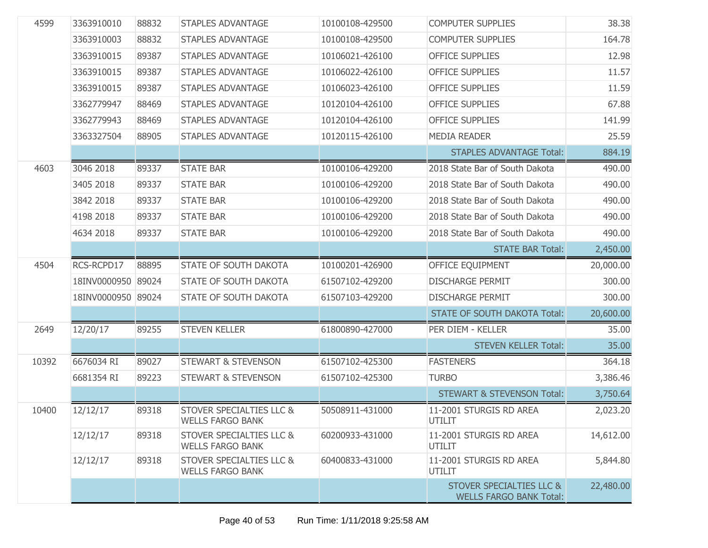| 4599  | 3363910010         | 88832 | <b>STAPLES ADVANTAGE</b>                                       | 10100108-429500 | <b>COMPUTER SUPPLIES</b>                                              | 38.38     |
|-------|--------------------|-------|----------------------------------------------------------------|-----------------|-----------------------------------------------------------------------|-----------|
|       | 3363910003         | 88832 | <b>STAPLES ADVANTAGE</b>                                       | 10100108-429500 | <b>COMPUTER SUPPLIES</b>                                              | 164.78    |
|       | 3363910015         | 89387 | <b>STAPLES ADVANTAGE</b>                                       | 10106021-426100 | <b>OFFICE SUPPLIES</b>                                                | 12.98     |
|       | 3363910015         | 89387 | <b>STAPLES ADVANTAGE</b>                                       | 10106022-426100 | <b>OFFICE SUPPLIES</b>                                                | 11.57     |
|       | 3363910015         | 89387 | <b>STAPLES ADVANTAGE</b>                                       | 10106023-426100 | <b>OFFICE SUPPLIES</b>                                                | 11.59     |
|       | 3362779947         | 88469 | <b>STAPLES ADVANTAGE</b>                                       | 10120104-426100 | <b>OFFICE SUPPLIES</b>                                                | 67.88     |
|       | 3362779943         | 88469 | <b>STAPLES ADVANTAGE</b>                                       | 10120104-426100 | <b>OFFICE SUPPLIES</b>                                                | 141.99    |
|       | 3363327504         | 88905 | <b>STAPLES ADVANTAGE</b>                                       | 10120115-426100 | <b>MEDIA READER</b>                                                   | 25.59     |
|       |                    |       |                                                                |                 | <b>STAPLES ADVANTAGE Total:</b>                                       | 884.19    |
| 4603  | 3046 2018          | 89337 | <b>STATE BAR</b>                                               | 10100106-429200 | 2018 State Bar of South Dakota                                        | 490.00    |
|       | 3405 2018          | 89337 | <b>STATE BAR</b>                                               | 10100106-429200 | 2018 State Bar of South Dakota                                        | 490.00    |
|       | 3842 2018          | 89337 | <b>STATE BAR</b>                                               | 10100106-429200 | 2018 State Bar of South Dakota                                        | 490.00    |
|       | 4198 2018          | 89337 | <b>STATE BAR</b>                                               | 10100106-429200 | 2018 State Bar of South Dakota                                        | 490.00    |
|       | 4634 2018          | 89337 | <b>STATE BAR</b>                                               | 10100106-429200 | 2018 State Bar of South Dakota                                        | 490.00    |
|       |                    |       |                                                                |                 | <b>STATE BAR Total:</b>                                               | 2,450.00  |
| 4504  | RCS-RCPD17         | 88895 | STATE OF SOUTH DAKOTA                                          | 10100201-426900 | OFFICE EQUIPMENT                                                      | 20,000.00 |
|       | 18INV0000950 89024 |       | STATE OF SOUTH DAKOTA                                          | 61507102-429200 | <b>DISCHARGE PERMIT</b>                                               | 300.00    |
|       | 18INV0000950 89024 |       | STATE OF SOUTH DAKOTA                                          | 61507103-429200 | <b>DISCHARGE PERMIT</b>                                               | 300.00    |
|       |                    |       |                                                                |                 | <b>STATE OF SOUTH DAKOTA Total:</b>                                   | 20,600.00 |
| 2649  | 12/20/17           | 89255 | <b>STEVEN KELLER</b>                                           | 61800890-427000 | PER DIEM - KELLER                                                     | 35.00     |
|       |                    |       |                                                                |                 | <b>STEVEN KELLER Total:</b>                                           | 35.00     |
| 10392 | 6676034 RI         | 89027 | <b>STEWART &amp; STEVENSON</b>                                 | 61507102-425300 | <b>FASTENERS</b>                                                      | 364.18    |
|       | 6681354 RI         | 89223 | <b>STEWART &amp; STEVENSON</b>                                 | 61507102-425300 | <b>TURBO</b>                                                          | 3,386.46  |
|       |                    |       |                                                                |                 | <b>STEWART &amp; STEVENSON Total:</b>                                 | 3,750.64  |
| 10400 | 12/12/17           | 89318 | <b>STOVER SPECIALTIES LLC &amp;</b><br><b>WELLS FARGO BANK</b> | 50508911-431000 | 11-2001 STURGIS RD AREA<br><b>UTILIT</b>                              | 2,023.20  |
|       | 12/12/17           | 89318 | <b>STOVER SPECIALTIES LLC &amp;</b><br><b>WELLS FARGO BANK</b> | 60200933-431000 | 11-2001 STURGIS RD AREA<br>UTILIT                                     | 14,612.00 |
|       | 12/12/17           | 89318 | <b>STOVER SPECIALTIES LLC &amp;</b><br><b>WELLS FARGO BANK</b> | 60400833-431000 | 11-2001 STURGIS RD AREA<br><b>UTILIT</b>                              | 5,844.80  |
|       |                    |       |                                                                |                 | <b>STOVER SPECIALTIES LLC &amp;</b><br><b>WELLS FARGO BANK Total:</b> | 22,480.00 |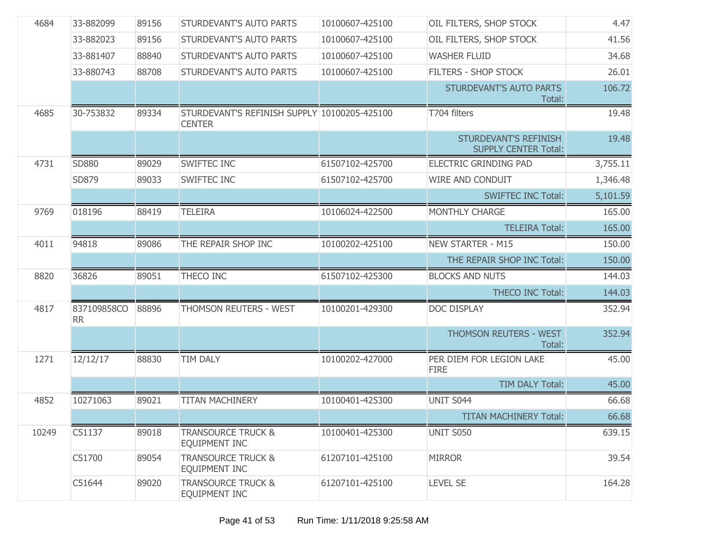| 4684  | 33-882099                | 89156 | STURDEVANT'S AUTO PARTS                                       | 10100607-425100 | OIL FILTERS, SHOP STOCK                              | 4.47     |
|-------|--------------------------|-------|---------------------------------------------------------------|-----------------|------------------------------------------------------|----------|
|       | 33-882023                | 89156 | <b>STURDEVANT'S AUTO PARTS</b>                                | 10100607-425100 | OIL FILTERS, SHOP STOCK                              | 41.56    |
|       | 33-881407                | 88840 | STURDEVANT'S AUTO PARTS                                       | 10100607-425100 | <b>WASHER FLUID</b>                                  | 34.68    |
|       | 33-880743                | 88708 | <b>STURDEVANT'S AUTO PARTS</b>                                | 10100607-425100 | FILTERS - SHOP STOCK                                 | 26.01    |
|       |                          |       |                                                               |                 | STURDEVANT'S AUTO PARTS<br>Total:                    | 106.72   |
| 4685  | 30-753832                | 89334 | STURDEVANT'S REFINISH SUPPLY 10100205-425100<br><b>CENTER</b> |                 | T704 filters                                         | 19.48    |
|       |                          |       |                                                               |                 | STURDEVANT'S REFINISH<br><b>SUPPLY CENTER Total:</b> | 19.48    |
| 4731  | SD880                    | 89029 | SWIFTEC INC                                                   | 61507102-425700 | ELECTRIC GRINDING PAD                                | 3,755.11 |
|       | SD879                    | 89033 | <b>SWIFTEC INC</b>                                            | 61507102-425700 | WIRE AND CONDUIT                                     | 1,346.48 |
|       |                          |       |                                                               |                 | <b>SWIFTEC INC Total:</b>                            | 5,101.59 |
| 9769  | 018196                   | 88419 | <b>TELEIRA</b>                                                | 10106024-422500 | MONTHLY CHARGE                                       | 165.00   |
|       |                          |       |                                                               |                 | <b>TELEIRA Total:</b>                                | 165.00   |
| 4011  | 94818                    | 89086 | THE REPAIR SHOP INC                                           | 10100202-425100 | <b>NEW STARTER - M15</b>                             | 150.00   |
|       |                          |       |                                                               |                 | THE REPAIR SHOP INC Total:                           | 150.00   |
| 8820  | 36826                    | 89051 | THECO INC                                                     | 61507102-425300 | <b>BLOCKS AND NUTS</b>                               | 144.03   |
|       |                          |       |                                                               |                 | <b>THECO INC Total:</b>                              | 144.03   |
| 4817  | 837109858CO<br><b>RR</b> | 88896 | THOMSON REUTERS - WEST                                        | 10100201-429300 | DOC DISPLAY                                          | 352.94   |
|       |                          |       |                                                               |                 | <b>THOMSON REUTERS - WEST</b><br>Total:              | 352.94   |
| 1271  | 12/12/17                 | 88830 | <b>TIM DALY</b>                                               | 10100202-427000 | PER DIEM FOR LEGION LAKE<br><b>FIRE</b>              | 45.00    |
|       |                          |       |                                                               |                 | TIM DALY Total:                                      | 45.00    |
| 4852  | 10271063                 | 89021 | <b>TITAN MACHINERY</b>                                        | 10100401-425300 | UNIT S044                                            | 66.68    |
|       |                          |       |                                                               |                 | <b>TITAN MACHINERY Total:</b>                        | 66.68    |
| 10249 | C51137                   | 89018 | <b>TRANSOURCE TRUCK &amp;</b><br>EQUIPMENT INC                | 10100401-425300 | UNIT S050                                            | 639.15   |
|       | C51700                   | 89054 | <b>TRANSOURCE TRUCK &amp;</b><br><b>EQUIPMENT INC</b>         | 61207101-425100 | <b>MIRROR</b>                                        | 39.54    |
|       | C51644                   | 89020 | <b>TRANSOURCE TRUCK &amp;</b><br><b>EQUIPMENT INC</b>         | 61207101-425100 | <b>LEVEL SE</b>                                      | 164.28   |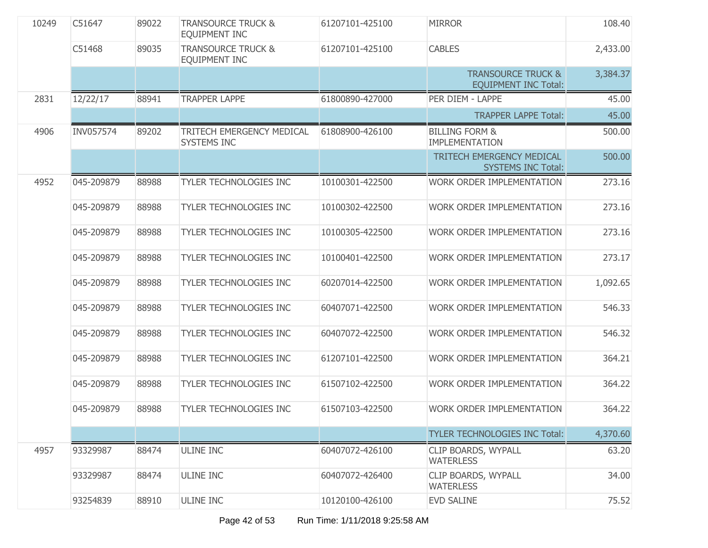| 10249 | C51647     | 89022 | <b>TRANSOURCE TRUCK &amp;</b><br><b>EQUIPMENT INC</b> | 61207101-425100 | <b>MIRROR</b>                                                | 108.40   |
|-------|------------|-------|-------------------------------------------------------|-----------------|--------------------------------------------------------------|----------|
|       | C51468     | 89035 | <b>TRANSOURCE TRUCK &amp;</b><br><b>EQUIPMENT INC</b> | 61207101-425100 | <b>CABLES</b>                                                | 2,433.00 |
|       |            |       |                                                       |                 | <b>TRANSOURCE TRUCK &amp;</b><br><b>EQUIPMENT INC Total:</b> | 3,384.37 |
| 2831  | 12/22/17   | 88941 | <b>TRAPPER LAPPE</b>                                  | 61800890-427000 | PER DIEM - LAPPE                                             | 45.00    |
|       |            |       |                                                       |                 | <b>TRAPPER LAPPE Total:</b>                                  | 45.00    |
| 4906  | INV057574  | 89202 | TRITECH EMERGENCY MEDICAL<br><b>SYSTEMS INC</b>       | 61808900-426100 | <b>BILLING FORM &amp;</b><br><b>IMPLEMENTATION</b>           | 500.00   |
|       |            |       |                                                       |                 | TRITECH EMERGENCY MEDICAL<br><b>SYSTEMS INC Total:</b>       | 500.00   |
| 4952  | 045-209879 | 88988 | <b>TYLER TECHNOLOGIES INC</b>                         | 10100301-422500 | WORK ORDER IMPLEMENTATION                                    | 273.16   |
|       | 045-209879 | 88988 | <b>TYLER TECHNOLOGIES INC</b>                         | 10100302-422500 | <b>WORK ORDER IMPLEMENTATION</b>                             | 273.16   |
|       | 045-209879 | 88988 | <b>TYLER TECHNOLOGIES INC</b>                         | 10100305-422500 | <b>WORK ORDER IMPLEMENTATION</b>                             | 273.16   |
|       | 045-209879 | 88988 | TYLER TECHNOLOGIES INC                                | 10100401-422500 | <b>WORK ORDER IMPLEMENTATION</b>                             | 273.17   |
|       | 045-209879 | 88988 | <b>TYLER TECHNOLOGIES INC</b>                         | 60207014-422500 | <b>WORK ORDER IMPLEMENTATION</b>                             | 1,092.65 |
|       | 045-209879 | 88988 | <b>TYLER TECHNOLOGIES INC</b>                         | 60407071-422500 | WORK ORDER IMPLEMENTATION                                    | 546.33   |
|       | 045-209879 | 88988 | TYLER TECHNOLOGIES INC                                | 60407072-422500 | <b>WORK ORDER IMPLEMENTATION</b>                             | 546.32   |
|       | 045-209879 | 88988 | TYLER TECHNOLOGIES INC                                | 61207101-422500 | <b>WORK ORDER IMPLEMENTATION</b>                             | 364.21   |
|       | 045-209879 | 88988 | TYLER TECHNOLOGIES INC                                | 61507102-422500 | WORK ORDER IMPLEMENTATION                                    | 364.22   |
|       | 045-209879 | 88988 | <b>TYLER TECHNOLOGIES INC</b>                         | 61507103-422500 | <b>WORK ORDER IMPLEMENTATION</b>                             | 364.22   |
|       |            |       |                                                       |                 | <b>TYLER TECHNOLOGIES INC Total:</b>                         | 4,370.60 |
| 4957  | 93329987   | 88474 | <b>ULINE INC</b>                                      | 60407072-426100 | CLIP BOARDS, WYPALL<br><b>WATERLESS</b>                      | 63.20    |
|       | 93329987   | 88474 | <b>ULINE INC</b>                                      | 60407072-426400 | CLIP BOARDS, WYPALL<br><b>WATERLESS</b>                      | 34.00    |
|       | 93254839   | 88910 | <b>ULINE INC</b>                                      | 10120100-426100 | <b>EVD SALINE</b>                                            | 75.52    |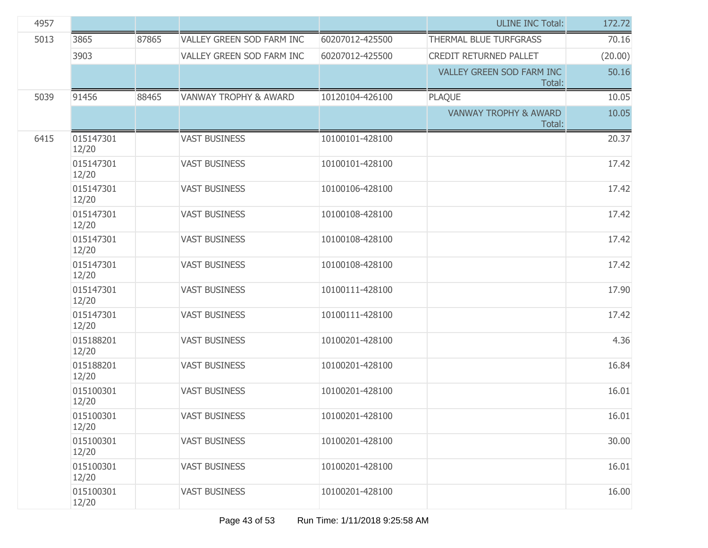| 4957 |                    |       |                                  |                 | <b>ULINE INC Total:</b>                    | 172.72  |
|------|--------------------|-------|----------------------------------|-----------------|--------------------------------------------|---------|
| 5013 | 3865               | 87865 | VALLEY GREEN SOD FARM INC        | 60207012-425500 | THERMAL BLUE TURFGRASS                     | 70.16   |
|      | 3903               |       | VALLEY GREEN SOD FARM INC        | 60207012-425500 | CREDIT RETURNED PALLET                     | (20.00) |
|      |                    |       |                                  |                 | <b>VALLEY GREEN SOD FARM INC</b><br>Total: | 50.16   |
| 5039 | 91456              | 88465 | <b>VANWAY TROPHY &amp; AWARD</b> | 10120104-426100 | <b>PLAQUE</b>                              | 10.05   |
|      |                    |       |                                  |                 | <b>VANWAY TROPHY &amp; AWARD</b><br>Total: | 10.05   |
| 6415 | 015147301<br>12/20 |       | <b>VAST BUSINESS</b>             | 10100101-428100 |                                            | 20.37   |
|      | 015147301<br>12/20 |       | <b>VAST BUSINESS</b>             | 10100101-428100 |                                            | 17.42   |
|      | 015147301<br>12/20 |       | <b>VAST BUSINESS</b>             | 10100106-428100 |                                            | 17.42   |
|      | 015147301<br>12/20 |       | <b>VAST BUSINESS</b>             | 10100108-428100 |                                            | 17.42   |
|      | 015147301<br>12/20 |       | <b>VAST BUSINESS</b>             | 10100108-428100 |                                            | 17.42   |
|      | 015147301<br>12/20 |       | <b>VAST BUSINESS</b>             | 10100108-428100 |                                            | 17.42   |
|      | 015147301<br>12/20 |       | <b>VAST BUSINESS</b>             | 10100111-428100 |                                            | 17.90   |
|      | 015147301<br>12/20 |       | <b>VAST BUSINESS</b>             | 10100111-428100 |                                            | 17.42   |
|      | 015188201<br>12/20 |       | <b>VAST BUSINESS</b>             | 10100201-428100 |                                            | 4.36    |
|      | 015188201<br>12/20 |       | <b>VAST BUSINESS</b>             | 10100201-428100 |                                            | 16.84   |
|      | 015100301<br>12/20 |       | <b>VAST BUSINESS</b>             | 10100201-428100 |                                            | 16.01   |
|      | 015100301<br>12/20 |       | <b>VAST BUSINESS</b>             | 10100201-428100 |                                            | 16.01   |
|      | 015100301<br>12/20 |       | <b>VAST BUSINESS</b>             | 10100201-428100 |                                            | 30.00   |
|      | 015100301<br>12/20 |       | <b>VAST BUSINESS</b>             | 10100201-428100 |                                            | 16.01   |
|      | 015100301<br>12/20 |       | <b>VAST BUSINESS</b>             | 10100201-428100 |                                            | 16.00   |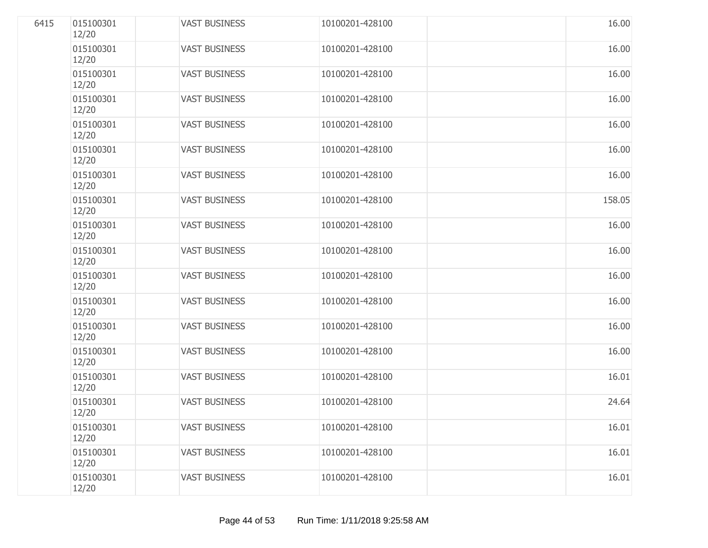| 6415 | 015100301<br>12/20 | <b>VAST BUSINESS</b> | 10100201-428100 | 16.00  |
|------|--------------------|----------------------|-----------------|--------|
|      | 015100301<br>12/20 | <b>VAST BUSINESS</b> | 10100201-428100 | 16.00  |
|      | 015100301<br>12/20 | <b>VAST BUSINESS</b> | 10100201-428100 | 16.00  |
|      | 015100301<br>12/20 | <b>VAST BUSINESS</b> | 10100201-428100 | 16.00  |
|      | 015100301<br>12/20 | <b>VAST BUSINESS</b> | 10100201-428100 | 16.00  |
|      | 015100301<br>12/20 | <b>VAST BUSINESS</b> | 10100201-428100 | 16.00  |
|      | 015100301<br>12/20 | <b>VAST BUSINESS</b> | 10100201-428100 | 16.00  |
|      | 015100301<br>12/20 | <b>VAST BUSINESS</b> | 10100201-428100 | 158.05 |
|      | 015100301<br>12/20 | <b>VAST BUSINESS</b> | 10100201-428100 | 16.00  |
|      | 015100301<br>12/20 | <b>VAST BUSINESS</b> | 10100201-428100 | 16.00  |
|      | 015100301<br>12/20 | <b>VAST BUSINESS</b> | 10100201-428100 | 16.00  |
|      | 015100301<br>12/20 | <b>VAST BUSINESS</b> | 10100201-428100 | 16.00  |
|      | 015100301<br>12/20 | <b>VAST BUSINESS</b> | 10100201-428100 | 16.00  |
|      | 015100301<br>12/20 | <b>VAST BUSINESS</b> | 10100201-428100 | 16.00  |
|      | 015100301<br>12/20 | <b>VAST BUSINESS</b> | 10100201-428100 | 16.01  |
|      | 015100301<br>12/20 | <b>VAST BUSINESS</b> | 10100201-428100 | 24.64  |
|      | 015100301<br>12/20 | <b>VAST BUSINESS</b> | 10100201-428100 | 16.01  |
|      | 015100301<br>12/20 | <b>VAST BUSINESS</b> | 10100201-428100 | 16.01  |
|      | 015100301<br>12/20 | <b>VAST BUSINESS</b> | 10100201-428100 | 16.01  |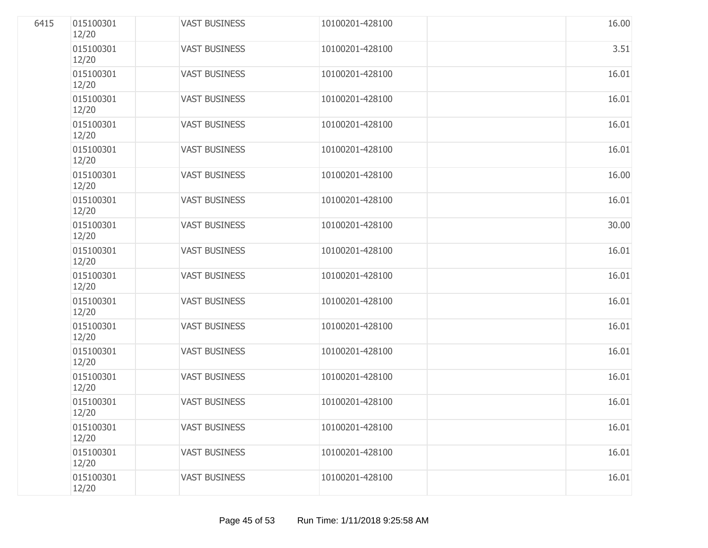| 6415 | 015100301<br>12/20 | <b>VAST BUSINESS</b> | 10100201-428100 | 16.00 |
|------|--------------------|----------------------|-----------------|-------|
|      | 015100301<br>12/20 | <b>VAST BUSINESS</b> | 10100201-428100 | 3.51  |
|      | 015100301<br>12/20 | <b>VAST BUSINESS</b> | 10100201-428100 | 16.01 |
|      | 015100301<br>12/20 | <b>VAST BUSINESS</b> | 10100201-428100 | 16.01 |
|      | 015100301<br>12/20 | <b>VAST BUSINESS</b> | 10100201-428100 | 16.01 |
|      | 015100301<br>12/20 | <b>VAST BUSINESS</b> | 10100201-428100 | 16.01 |
|      | 015100301<br>12/20 | <b>VAST BUSINESS</b> | 10100201-428100 | 16.00 |
|      | 015100301<br>12/20 | <b>VAST BUSINESS</b> | 10100201-428100 | 16.01 |
|      | 015100301<br>12/20 | <b>VAST BUSINESS</b> | 10100201-428100 | 30.00 |
|      | 015100301<br>12/20 | <b>VAST BUSINESS</b> | 10100201-428100 | 16.01 |
|      | 015100301<br>12/20 | <b>VAST BUSINESS</b> | 10100201-428100 | 16.01 |
|      | 015100301<br>12/20 | <b>VAST BUSINESS</b> | 10100201-428100 | 16.01 |
|      | 015100301<br>12/20 | <b>VAST BUSINESS</b> | 10100201-428100 | 16.01 |
|      | 015100301<br>12/20 | <b>VAST BUSINESS</b> | 10100201-428100 | 16.01 |
|      | 015100301<br>12/20 | <b>VAST BUSINESS</b> | 10100201-428100 | 16.01 |
|      | 015100301<br>12/20 | <b>VAST BUSINESS</b> | 10100201-428100 | 16.01 |
|      | 015100301<br>12/20 | <b>VAST BUSINESS</b> | 10100201-428100 | 16.01 |
|      | 015100301<br>12/20 | <b>VAST BUSINESS</b> | 10100201-428100 | 16.01 |
|      | 015100301<br>12/20 | <b>VAST BUSINESS</b> | 10100201-428100 | 16.01 |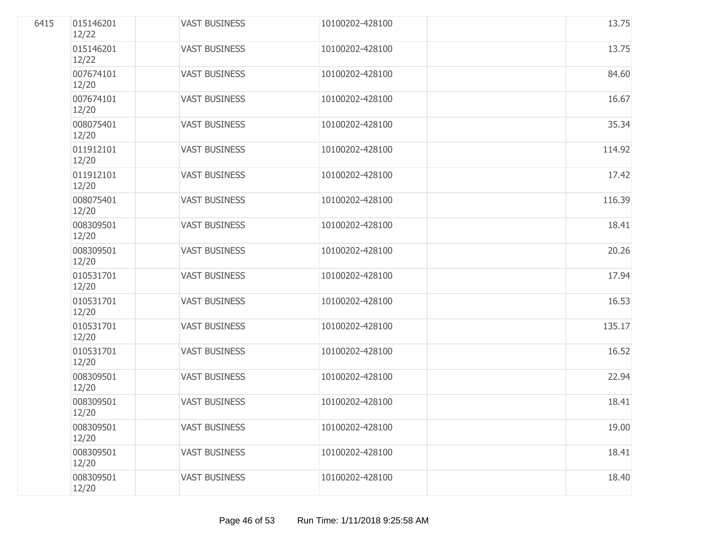| 6415 | 015146201<br>12/22 | <b>VAST BUSINESS</b> | 10100202-428100 | 13.75  |
|------|--------------------|----------------------|-----------------|--------|
|      | 015146201<br>12/22 | <b>VAST BUSINESS</b> | 10100202-428100 | 13.75  |
|      | 007674101<br>12/20 | <b>VAST BUSINESS</b> | 10100202-428100 | 84.60  |
|      | 007674101<br>12/20 | <b>VAST BUSINESS</b> | 10100202-428100 | 16.67  |
|      | 008075401<br>12/20 | <b>VAST BUSINESS</b> | 10100202-428100 | 35.34  |
|      | 011912101<br>12/20 | <b>VAST BUSINESS</b> | 10100202-428100 | 114.92 |
|      | 011912101<br>12/20 | <b>VAST BUSINESS</b> | 10100202-428100 | 17.42  |
|      | 008075401<br>12/20 | <b>VAST BUSINESS</b> | 10100202-428100 | 116.39 |
|      | 008309501<br>12/20 | <b>VAST BUSINESS</b> | 10100202-428100 | 18.41  |
|      | 008309501<br>12/20 | <b>VAST BUSINESS</b> | 10100202-428100 | 20.26  |
|      | 010531701<br>12/20 | <b>VAST BUSINESS</b> | 10100202-428100 | 17.94  |
|      | 010531701<br>12/20 | <b>VAST BUSINESS</b> | 10100202-428100 | 16.53  |
|      | 010531701<br>12/20 | <b>VAST BUSINESS</b> | 10100202-428100 | 135.17 |
|      | 010531701<br>12/20 | <b>VAST BUSINESS</b> | 10100202-428100 | 16.52  |
|      | 008309501<br>12/20 | <b>VAST BUSINESS</b> | 10100202-428100 | 22.94  |
|      | 008309501<br>12/20 | <b>VAST BUSINESS</b> | 10100202-428100 | 18.41  |
|      | 008309501<br>12/20 | <b>VAST BUSINESS</b> | 10100202-428100 | 19.00  |
|      | 008309501<br>12/20 | <b>VAST BUSINESS</b> | 10100202-428100 | 18.41  |
|      | 008309501<br>12/20 | <b>VAST BUSINESS</b> | 10100202-428100 | 18.40  |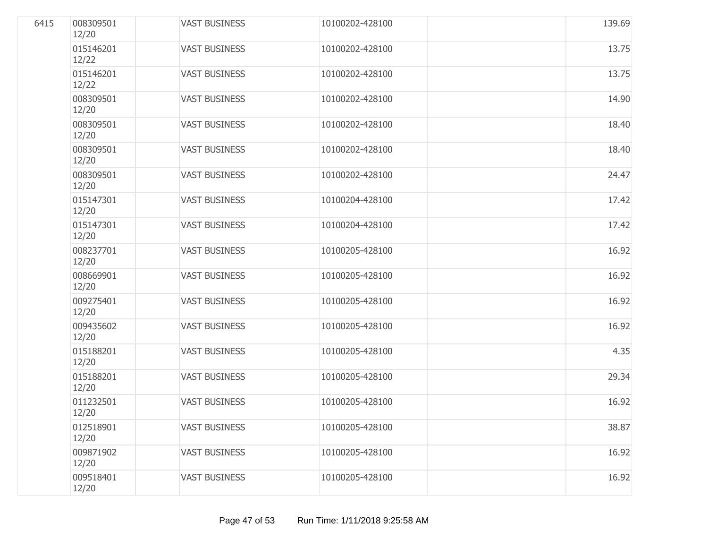| 6415 | 008309501<br>12/20 | <b>VAST BUSINESS</b> | 10100202-428100 | 139.69 |
|------|--------------------|----------------------|-----------------|--------|
|      | 015146201<br>12/22 | <b>VAST BUSINESS</b> | 10100202-428100 | 13.75  |
|      | 015146201<br>12/22 | <b>VAST BUSINESS</b> | 10100202-428100 | 13.75  |
|      | 008309501<br>12/20 | <b>VAST BUSINESS</b> | 10100202-428100 | 14.90  |
|      | 008309501<br>12/20 | <b>VAST BUSINESS</b> | 10100202-428100 | 18.40  |
|      | 008309501<br>12/20 | <b>VAST BUSINESS</b> | 10100202-428100 | 18.40  |
|      | 008309501<br>12/20 | <b>VAST BUSINESS</b> | 10100202-428100 | 24.47  |
|      | 015147301<br>12/20 | <b>VAST BUSINESS</b> | 10100204-428100 | 17.42  |
|      | 015147301<br>12/20 | <b>VAST BUSINESS</b> | 10100204-428100 | 17.42  |
|      | 008237701<br>12/20 | <b>VAST BUSINESS</b> | 10100205-428100 | 16.92  |
|      | 008669901<br>12/20 | <b>VAST BUSINESS</b> | 10100205-428100 | 16.92  |
|      | 009275401<br>12/20 | <b>VAST BUSINESS</b> | 10100205-428100 | 16.92  |
|      | 009435602<br>12/20 | <b>VAST BUSINESS</b> | 10100205-428100 | 16.92  |
|      | 015188201<br>12/20 | <b>VAST BUSINESS</b> | 10100205-428100 | 4.35   |
|      | 015188201<br>12/20 | <b>VAST BUSINESS</b> | 10100205-428100 | 29.34  |
|      | 011232501<br>12/20 | <b>VAST BUSINESS</b> | 10100205-428100 | 16.92  |
|      | 012518901<br>12/20 | <b>VAST BUSINESS</b> | 10100205-428100 | 38.87  |
|      | 009871902<br>12/20 | <b>VAST BUSINESS</b> | 10100205-428100 | 16.92  |
|      | 009518401<br>12/20 | <b>VAST BUSINESS</b> | 10100205-428100 | 16.92  |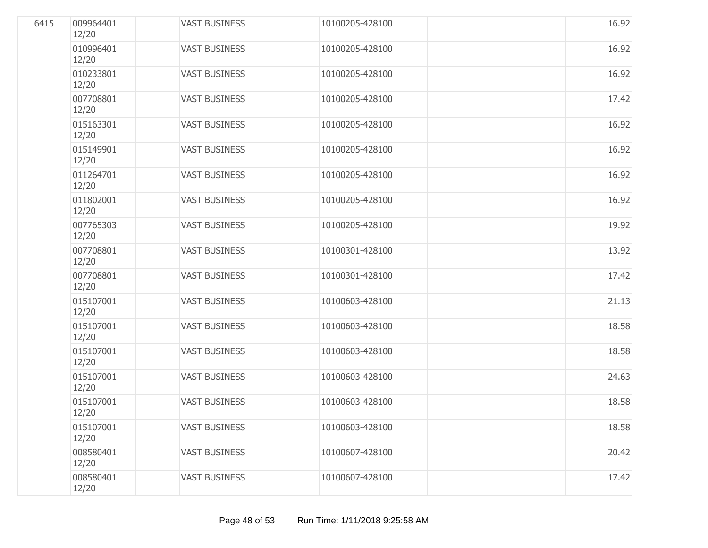| 6415 | 009964401<br>12/20 | <b>VAST BUSINESS</b> | 10100205-428100 | 16.92 |
|------|--------------------|----------------------|-----------------|-------|
|      | 010996401<br>12/20 | <b>VAST BUSINESS</b> | 10100205-428100 | 16.92 |
|      | 010233801<br>12/20 | <b>VAST BUSINESS</b> | 10100205-428100 | 16.92 |
|      | 007708801<br>12/20 | <b>VAST BUSINESS</b> | 10100205-428100 | 17.42 |
|      | 015163301<br>12/20 | <b>VAST BUSINESS</b> | 10100205-428100 | 16.92 |
|      | 015149901<br>12/20 | <b>VAST BUSINESS</b> | 10100205-428100 | 16.92 |
|      | 011264701<br>12/20 | <b>VAST BUSINESS</b> | 10100205-428100 | 16.92 |
|      | 011802001<br>12/20 | <b>VAST BUSINESS</b> | 10100205-428100 | 16.92 |
|      | 007765303<br>12/20 | <b>VAST BUSINESS</b> | 10100205-428100 | 19.92 |
|      | 007708801<br>12/20 | <b>VAST BUSINESS</b> | 10100301-428100 | 13.92 |
|      | 007708801<br>12/20 | <b>VAST BUSINESS</b> | 10100301-428100 | 17.42 |
|      | 015107001<br>12/20 | <b>VAST BUSINESS</b> | 10100603-428100 | 21.13 |
|      | 015107001<br>12/20 | <b>VAST BUSINESS</b> | 10100603-428100 | 18.58 |
|      | 015107001<br>12/20 | <b>VAST BUSINESS</b> | 10100603-428100 | 18.58 |
|      | 015107001<br>12/20 | <b>VAST BUSINESS</b> | 10100603-428100 | 24.63 |
|      | 015107001<br>12/20 | <b>VAST BUSINESS</b> | 10100603-428100 | 18.58 |
|      | 015107001<br>12/20 | <b>VAST BUSINESS</b> | 10100603-428100 | 18.58 |
|      | 008580401<br>12/20 | <b>VAST BUSINESS</b> | 10100607-428100 | 20.42 |
|      | 008580401<br>12/20 | <b>VAST BUSINESS</b> | 10100607-428100 | 17.42 |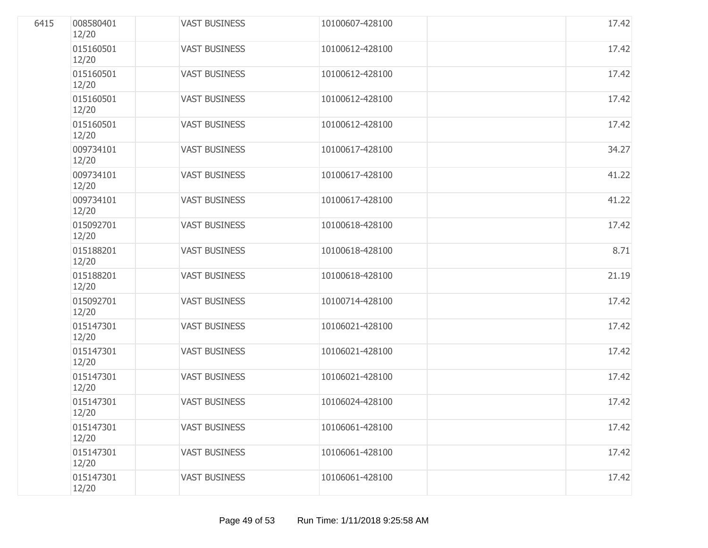| 6415 | 008580401<br>12/20 | <b>VAST BUSINESS</b> | 10100607-428100 | 17.42 |
|------|--------------------|----------------------|-----------------|-------|
|      | 015160501<br>12/20 | <b>VAST BUSINESS</b> | 10100612-428100 | 17.42 |
|      | 015160501<br>12/20 | <b>VAST BUSINESS</b> | 10100612-428100 | 17.42 |
|      | 015160501<br>12/20 | <b>VAST BUSINESS</b> | 10100612-428100 | 17.42 |
|      | 015160501<br>12/20 | <b>VAST BUSINESS</b> | 10100612-428100 | 17.42 |
|      | 009734101<br>12/20 | <b>VAST BUSINESS</b> | 10100617-428100 | 34.27 |
|      | 009734101<br>12/20 | <b>VAST BUSINESS</b> | 10100617-428100 | 41.22 |
|      | 009734101<br>12/20 | <b>VAST BUSINESS</b> | 10100617-428100 | 41.22 |
|      | 015092701<br>12/20 | <b>VAST BUSINESS</b> | 10100618-428100 | 17.42 |
|      | 015188201<br>12/20 | <b>VAST BUSINESS</b> | 10100618-428100 | 8.71  |
|      | 015188201<br>12/20 | <b>VAST BUSINESS</b> | 10100618-428100 | 21.19 |
|      | 015092701<br>12/20 | <b>VAST BUSINESS</b> | 10100714-428100 | 17.42 |
|      | 015147301<br>12/20 | <b>VAST BUSINESS</b> | 10106021-428100 | 17.42 |
|      | 015147301<br>12/20 | <b>VAST BUSINESS</b> | 10106021-428100 | 17.42 |
|      | 015147301<br>12/20 | <b>VAST BUSINESS</b> | 10106021-428100 | 17.42 |
|      | 015147301<br>12/20 | <b>VAST BUSINESS</b> | 10106024-428100 | 17.42 |
|      | 015147301<br>12/20 | <b>VAST BUSINESS</b> | 10106061-428100 | 17.42 |
|      | 015147301<br>12/20 | <b>VAST BUSINESS</b> | 10106061-428100 | 17.42 |
|      | 015147301<br>12/20 | <b>VAST BUSINESS</b> | 10106061-428100 | 17.42 |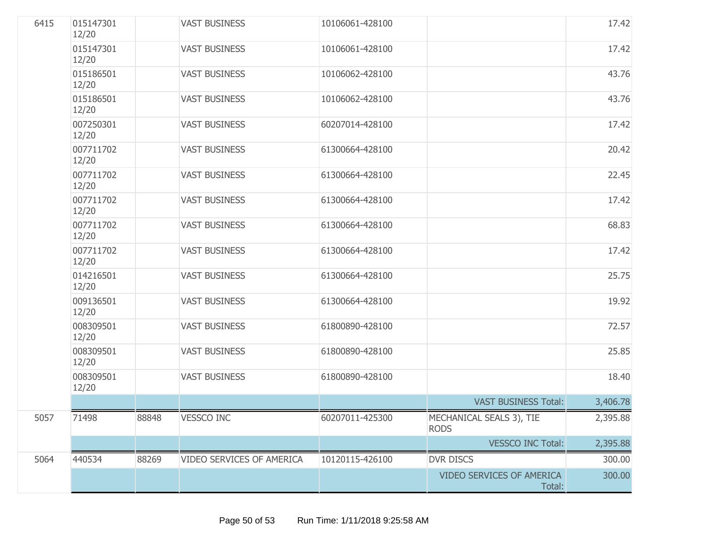| 6415 | 015147301<br>12/20 |       | <b>VAST BUSINESS</b>      | 10106061-428100 |                                         | 17.42    |
|------|--------------------|-------|---------------------------|-----------------|-----------------------------------------|----------|
|      | 015147301<br>12/20 |       | <b>VAST BUSINESS</b>      | 10106061-428100 |                                         | 17.42    |
|      | 015186501<br>12/20 |       | <b>VAST BUSINESS</b>      | 10106062-428100 |                                         | 43.76    |
|      | 015186501<br>12/20 |       | <b>VAST BUSINESS</b>      | 10106062-428100 |                                         | 43.76    |
|      | 007250301<br>12/20 |       | <b>VAST BUSINESS</b>      | 60207014-428100 |                                         | 17.42    |
|      | 007711702<br>12/20 |       | <b>VAST BUSINESS</b>      | 61300664-428100 |                                         | 20.42    |
|      | 007711702<br>12/20 |       | <b>VAST BUSINESS</b>      | 61300664-428100 |                                         | 22.45    |
|      | 007711702<br>12/20 |       | <b>VAST BUSINESS</b>      | 61300664-428100 |                                         | 17.42    |
|      | 007711702<br>12/20 |       | <b>VAST BUSINESS</b>      | 61300664-428100 |                                         | 68.83    |
|      | 007711702<br>12/20 |       | <b>VAST BUSINESS</b>      | 61300664-428100 |                                         | 17.42    |
|      | 014216501<br>12/20 |       | <b>VAST BUSINESS</b>      | 61300664-428100 |                                         | 25.75    |
|      | 009136501<br>12/20 |       | <b>VAST BUSINESS</b>      | 61300664-428100 |                                         | 19.92    |
|      | 008309501<br>12/20 |       | <b>VAST BUSINESS</b>      | 61800890-428100 |                                         | 72.57    |
|      | 008309501<br>12/20 |       | <b>VAST BUSINESS</b>      | 61800890-428100 |                                         | 25.85    |
|      | 008309501<br>12/20 |       | <b>VAST BUSINESS</b>      | 61800890-428100 |                                         | 18.40    |
|      |                    |       |                           |                 | <b>VAST BUSINESS Total:</b>             | 3,406.78 |
| 5057 | 71498              | 88848 | <b>VESSCO INC</b>         | 60207011-425300 | MECHANICAL SEALS 3), TIE<br><b>RODS</b> | 2,395.88 |
|      |                    |       |                           |                 | <b>VESSCO INC Total:</b>                | 2,395.88 |
| 5064 | 440534             | 88269 | VIDEO SERVICES OF AMERICA | 10120115-426100 | <b>DVR DISCS</b>                        | 300.00   |
|      |                    |       |                           |                 | VIDEO SERVICES OF AMERICA<br>Total:     | 300.00   |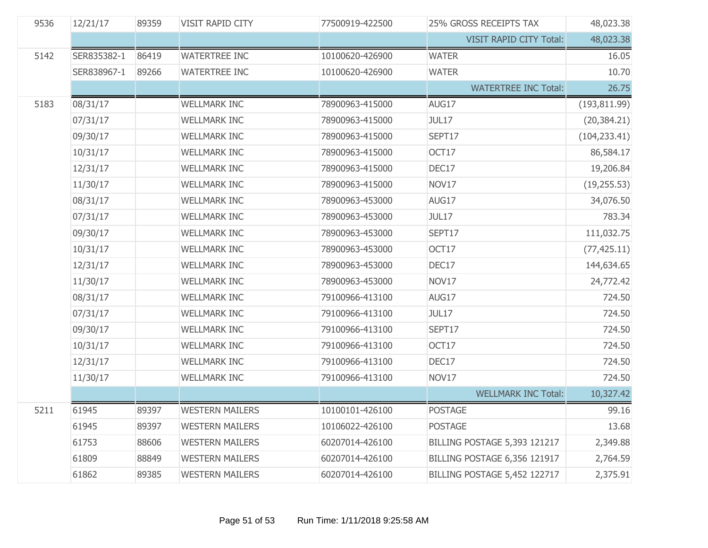| 9536 | 12/21/17    | 89359 | VISIT RAPID CITY       | 77500919-422500 | <b>25% GROSS RECEIPTS TAX</b>       | 48,023.38     |
|------|-------------|-------|------------------------|-----------------|-------------------------------------|---------------|
|      |             |       |                        |                 | VISIT RAPID CITY Total:             | 48,023.38     |
| 5142 | SER835382-1 | 86419 | <b>WATERTREE INC</b>   | 10100620-426900 | <b>WATER</b>                        | 16.05         |
|      | SER838967-1 | 89266 | <b>WATERTREE INC</b>   | 10100620-426900 | <b>WATER</b>                        | 10.70         |
|      |             |       |                        |                 | <b>WATERTREE INC Total:</b>         | 26.75         |
| 5183 | 08/31/17    |       | <b>WELLMARK INC</b>    | 78900963-415000 | AUG17                               | (193, 811.99) |
|      | 07/31/17    |       | <b>WELLMARK INC</b>    | 78900963-415000 | <b>JUL17</b>                        | (20, 384.21)  |
|      | 09/30/17    |       | <b>WELLMARK INC</b>    | 78900963-415000 | SEPT17                              | (104, 233.41) |
|      | 10/31/17    |       | <b>WELLMARK INC</b>    | 78900963-415000 | OCT17                               | 86,584.17     |
|      | 12/31/17    |       | <b>WELLMARK INC</b>    | 78900963-415000 | DEC17                               | 19,206.84     |
|      | 11/30/17    |       | <b>WELLMARK INC</b>    | 78900963-415000 | NOV17                               | (19, 255.53)  |
|      | 08/31/17    |       | <b>WELLMARK INC</b>    | 78900963-453000 | AUG17                               | 34,076.50     |
|      | 07/31/17    |       | <b>WELLMARK INC</b>    | 78900963-453000 | <b>JUL17</b>                        | 783.34        |
|      | 09/30/17    |       | <b>WELLMARK INC</b>    | 78900963-453000 | SEPT17                              | 111,032.75    |
|      | 10/31/17    |       | <b>WELLMARK INC</b>    | 78900963-453000 | OCT17                               | (77, 425.11)  |
|      | 12/31/17    |       | <b>WELLMARK INC</b>    | 78900963-453000 | DEC17                               | 144,634.65    |
|      | 11/30/17    |       | <b>WELLMARK INC</b>    | 78900963-453000 | NOV17                               | 24,772.42     |
|      | 08/31/17    |       | <b>WELLMARK INC</b>    | 79100966-413100 | AUG17                               | 724.50        |
|      | 07/31/17    |       | <b>WELLMARK INC</b>    | 79100966-413100 | <b>JUL17</b>                        | 724.50        |
|      | 09/30/17    |       | <b>WELLMARK INC</b>    | 79100966-413100 | SEPT17                              | 724.50        |
|      | 10/31/17    |       | <b>WELLMARK INC</b>    | 79100966-413100 | OCT17                               | 724.50        |
|      | 12/31/17    |       | <b>WELLMARK INC</b>    | 79100966-413100 | DEC17                               | 724.50        |
|      | 11/30/17    |       | <b>WELLMARK INC</b>    | 79100966-413100 | NOV17                               | 724.50        |
|      |             |       |                        |                 | <b>WELLMARK INC Total:</b>          | 10,327.42     |
| 5211 | 61945       | 89397 | <b>WESTERN MAILERS</b> | 10100101-426100 | <b>POSTAGE</b>                      | 99.16         |
|      | 61945       | 89397 | <b>WESTERN MAILERS</b> | 10106022-426100 | <b>POSTAGE</b>                      | 13.68         |
|      | 61753       | 88606 | <b>WESTERN MAILERS</b> | 60207014-426100 | <b>BILLING POSTAGE 5,393 121217</b> | 2,349.88      |
|      | 61809       | 88849 | <b>WESTERN MAILERS</b> | 60207014-426100 | BILLING POSTAGE 6,356 121917        | 2,764.59      |
|      | 61862       | 89385 | <b>WESTERN MAILERS</b> | 60207014-426100 | BILLING POSTAGE 5,452 122717        | 2,375.91      |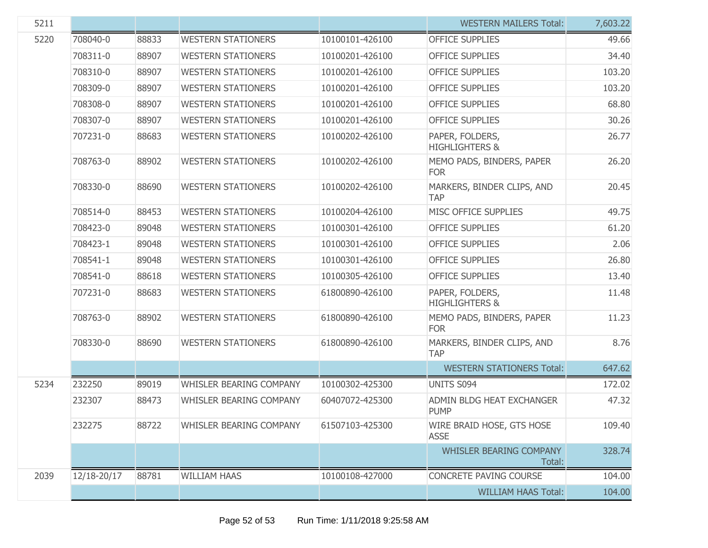| 5211 |             |       |                                |                 | <b>WESTERN MAILERS Total:</b>                | 7,603.22 |
|------|-------------|-------|--------------------------------|-----------------|----------------------------------------------|----------|
| 5220 | 708040-0    | 88833 | <b>WESTERN STATIONERS</b>      | 10100101-426100 | <b>OFFICE SUPPLIES</b>                       | 49.66    |
|      | 708311-0    | 88907 | <b>WESTERN STATIONERS</b>      | 10100201-426100 | <b>OFFICE SUPPLIES</b>                       | 34.40    |
|      | 708310-0    | 88907 | <b>WESTERN STATIONERS</b>      | 10100201-426100 | <b>OFFICE SUPPLIES</b>                       | 103.20   |
|      | 708309-0    | 88907 | <b>WESTERN STATIONERS</b>      | 10100201-426100 | <b>OFFICE SUPPLIES</b>                       | 103.20   |
|      | 708308-0    | 88907 | <b>WESTERN STATIONERS</b>      | 10100201-426100 | <b>OFFICE SUPPLIES</b>                       | 68.80    |
|      | 708307-0    | 88907 | <b>WESTERN STATIONERS</b>      | 10100201-426100 | <b>OFFICE SUPPLIES</b>                       | 30.26    |
|      | 707231-0    | 88683 | <b>WESTERN STATIONERS</b>      | 10100202-426100 | PAPER, FOLDERS,<br><b>HIGHLIGHTERS &amp;</b> | 26.77    |
|      | 708763-0    | 88902 | <b>WESTERN STATIONERS</b>      | 10100202-426100 | MEMO PADS, BINDERS, PAPER<br><b>FOR</b>      | 26.20    |
|      | 708330-0    | 88690 | <b>WESTERN STATIONERS</b>      | 10100202-426100 | MARKERS, BINDER CLIPS, AND<br><b>TAP</b>     | 20.45    |
|      | 708514-0    | 88453 | <b>WESTERN STATIONERS</b>      | 10100204-426100 | MISC OFFICE SUPPLIES                         | 49.75    |
|      | 708423-0    | 89048 | <b>WESTERN STATIONERS</b>      | 10100301-426100 | <b>OFFICE SUPPLIES</b>                       | 61.20    |
|      | 708423-1    | 89048 | <b>WESTERN STATIONERS</b>      | 10100301-426100 | <b>OFFICE SUPPLIES</b>                       | 2.06     |
|      | 708541-1    | 89048 | <b>WESTERN STATIONERS</b>      | 10100301-426100 | <b>OFFICE SUPPLIES</b>                       | 26.80    |
|      | 708541-0    | 88618 | <b>WESTERN STATIONERS</b>      | 10100305-426100 | <b>OFFICE SUPPLIES</b>                       | 13.40    |
|      | 707231-0    | 88683 | <b>WESTERN STATIONERS</b>      | 61800890-426100 | PAPER, FOLDERS,<br><b>HIGHLIGHTERS &amp;</b> | 11.48    |
|      | 708763-0    | 88902 | <b>WESTERN STATIONERS</b>      | 61800890-426100 | MEMO PADS, BINDERS, PAPER<br><b>FOR</b>      | 11.23    |
|      | 708330-0    | 88690 | <b>WESTERN STATIONERS</b>      | 61800890-426100 | MARKERS, BINDER CLIPS, AND<br><b>TAP</b>     | 8.76     |
|      |             |       |                                |                 | <b>WESTERN STATIONERS Total:</b>             | 647.62   |
| 5234 | 232250      | 89019 | <b>WHISLER BEARING COMPANY</b> | 10100302-425300 | UNITS S094                                   | 172.02   |
|      | 232307      | 88473 | WHISLER BEARING COMPANY        | 60407072-425300 | ADMIN BLDG HEAT EXCHANGER<br><b>PUMP</b>     | 47.32    |
|      | 232275      | 88722 | WHISLER BEARING COMPANY        | 61507103-425300 | WIRE BRAID HOSE, GTS HOSE<br><b>ASSE</b>     | 109.40   |
|      |             |       |                                |                 | <b>WHISLER BEARING COMPANY</b><br>Total:     | 328.74   |
| 2039 | 12/18-20/17 | 88781 | <b>WILLIAM HAAS</b>            | 10100108-427000 | <b>CONCRETE PAVING COURSE</b>                | 104.00   |
|      |             |       |                                |                 | <b>WILLIAM HAAS Total:</b>                   | 104.00   |